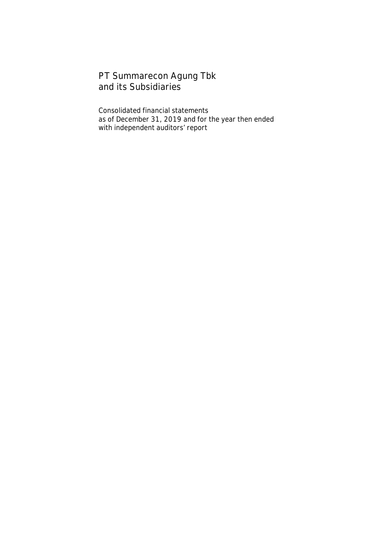# PT Summarecon Agung Tbk and its Subsidiaries

Consolidated financial statements as of December 31, 2019 and for the year then ended with independent auditors' report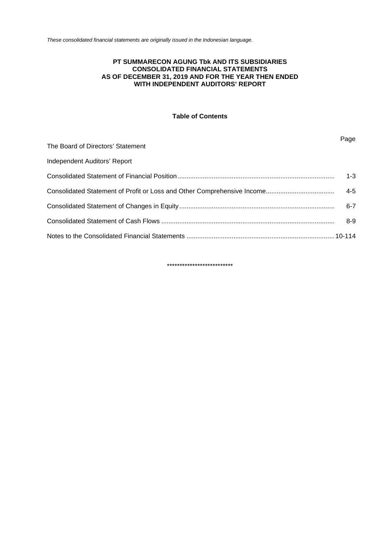## **PT SUMMARECON AGUNG Tbk AND ITS SUBSIDIARIES CONSOLIDATED FINANCIAL STATEMENTS AS OF DECEMBER 31, 2019 AND FOR THE YEAR THEN ENDED WITH INDEPENDENT AUDITORS' REPORT**

## **Table of Contents**

|                                   | Page    |
|-----------------------------------|---------|
| The Board of Directors' Statement |         |
| Independent Auditors' Report      |         |
|                                   | $1 - 3$ |
|                                   | $4 - 5$ |
|                                   | $6 - 7$ |
|                                   | $8-9$   |
|                                   |         |

\*\*\*\*\*\*\*\*\*\*\*\*\*\*\*\*\*\*\*\*\*\*\*\*\*\*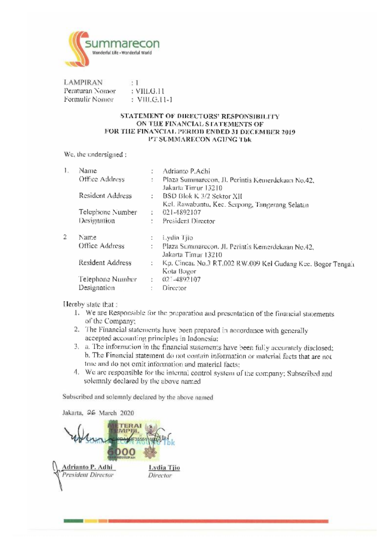

**LAMPIRAN**  $:1$ Peraturan Nomor : VIII.G.11 Formulir Nomor  $: VIII.G.I1-1$ 

## STATEMENT OF DIRECTORS' RESPONSIBILITY ON THE FINANCIAL STATEMENTS OF FOR THE FINANCIAL PERIOD ENDED 31 DECEMBER 2019 PT SUMMARECON AGUNG Thic

We, the undersigned :

| 1. | Name             | ř. | Adrianto P.Achi                                                           |
|----|------------------|----|---------------------------------------------------------------------------|
|    | Office Address   | ŗ  | Plaza Summarecon, Jl. Perintis Kemerdekaan No.42.<br>Jakarta Timur 13210- |
|    | Resident Address | ÷  | BSD Blok K 3/2 Sektor XII                                                 |
|    |                  |    | Kel. Rawabuntu, Kec. Serpong, Tangerang Selatan                           |
|    | Telephone Number |    | 021-4892107                                                               |
|    | Designation      | ř. | President Director                                                        |
| 2  | Name             | ÷  | Lydia Tjio                                                                |
|    | Office Address   | ÷  | Plaza Summarecon. JL Perintis Kemerdekaan No.42.<br>Jakarta Timur 13210   |
|    | Resident Address | ÷  | Kp. Cincau No.3 RT.002 RW.009 Kel Gudang Kec. Bogor Tengah<br>Kota Bəgər  |
|    | Telephone Number |    | 021-4892107                                                               |
|    | Designation      | Î. | Director                                                                  |

Hereby state that:

- 1. We are Responsible for the preparation and presentation of the financial statements. of the Company:
- 2. The Financial statements have been prepared in accordance with generally accepted accounting principles in Indonesia:
- 3. a. The information in the financial statements have been fully accurately disclosed; b. The Financial statement do not contain information or material facts that are not true and do not omit information and material facts:
- 4. We are responsible for the internal control system of the company; Subscribed and solemnly declared by the above named

Subscribed and solemnly declared by the above named

Jakarta, 26 March 2020

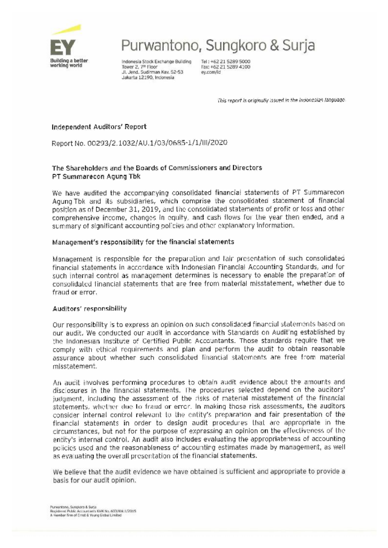

Purwantono, Sungkoro & Surja

Indonesia Stock Exchange Building Tower 2, 7th Floor Jl. Jend. Sudirman Kav. 52-53 Jakarta 12190, Indonesia

Tel: +62 21 5289 5000 Fax: +62 21 5289 4100 ey.com/id

This report is originally issued in the indonesian language.

## Independent Auditors' Report

Report No. 00293/2.1032/AU.1/03/0685-1/1/III/2020

## The Shareholders and the Boards of Commissioners and Directors PT Summarecon Agung Tbk

We have audited the accompanying consolidated financial statements of PT Summarecon Agung Tbk and its subsidiaries, which comprise the consolidated statement of financial position as of December 31, 2019, and the consolidated statements of profit or loss and other comprehensive income, changes in equity, and cash flows for the year then ended, and a summary of significant accounting policies and other explanatory information.

## Management's responsibility for the financial statements

Management is responsible for the preparation and fair presentation of such consolidated financial statements in accordance with Indonesian Financial Accounting Standards, and for such internal control as management determines is necessary to enable the preparation of consolidated financial statements that are free from material misstatement, whether due to fraud or error.

## Auditors' responsibility

Our responsibility is to express an opinion on such consolidated financial statements based on our audit. We conducted our audit in accordance with Standards on Auditing established by the Indonesian Institute of Certified Public Accountants. Those standards require that we comply with ethical requirements and plan and perform the audit to obtain reasonable assurance about whether such consolidated linancial statements are free from material misstatement.

An audit involves performing procedures to obtain audit evidence about the amounts and disclosures in the financial statements. The procedures selected depend on the auditors' judgment, including the assessment of the risks of material misstatement of the financial statements, whether doe to fraud or error. In making those risk assessments, the auditors consider internal control relevant to the entity's preparation and fair presentation of the financial statements in order to design audit procedures that are appropriate in the circumstances, but not for the purpose of expressing an opinion on the effectiveness of the entity's internal control. An audit also includes evaluating the appropriateness of accounting policies used and the reasonableness of accounting estimates made by management, as well as evaluating the overall presentation of the financial statements.

We believe that the audit evidence we have obtained is sufficient and appropriate to provide a basis for our audit opinion.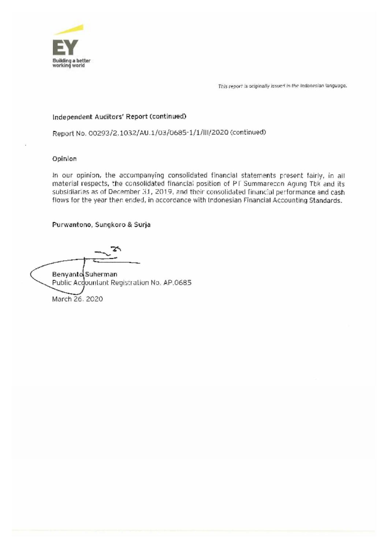

This report is originally issued in the Indonesian language.

## Independent Auditors' Report (continued)

Report No. 00293/2.1032/AU.1/03/0685-1/1/III/2020 (continued)

## Opinion

In our opinion, the accompanying consolidated financial statements present fairly, in all material respects, the consolidated financial position of PT Summarecon Agung Tbk and its subsidiaries as of December 31, 2019, and their consolidated financial performance and cash flows for the year then ended, in accordance with Indonesian Financial Accounting Standards.

Purwantono, Sungkoro & Surja

Benyanto Suherman Public Acqountant Registration No. AP.0685 March 26, 2020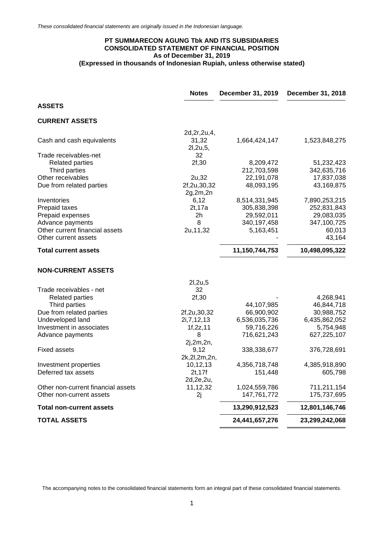### **PT SUMMARECON AGUNG Tbk AND ITS SUBSIDIARIES CONSOLIDATED STATEMENT OF FINANCIAL POSITION As of December 31, 2019 (Expressed in thousands of Indonesian Rupiah, unless otherwise stated)**

| <b>ASSETS</b><br><b>CURRENT ASSETS</b><br>2d, 2r, 2u, 4,<br>31,32<br>1,664,424,147<br>1,523,848,275<br>Cash and cash equivalents<br>2I, 2u, 5,<br>Trade receivables-net<br>32<br><b>Related parties</b><br>2f,30<br>8,209,472<br>Third parties<br>212,703,598<br>Other receivables<br>22,191,078<br>2u,32<br>Due from related parties<br>2f,2u,30,32<br>48,093,195<br>2g,2m,2n<br>Inventories<br>6,12<br>8,514,331,945<br>Prepaid taxes<br>2t, 17a<br>305,838,398<br>2h<br>Prepaid expenses<br>29,592,011<br>Advance payments<br>8<br>340, 197, 458<br>Other current financial assets<br>2u, 11, 32<br>5,163,451<br>Other current assets<br>11,150,744,753<br><b>Total current assets</b><br><b>NON-CURRENT ASSETS</b><br>2I, 2U, 5<br>32<br>Trade receivables - net<br>2f,30<br><b>Related parties</b><br>Third parties<br>44,107,985<br>Due from related parties<br>66,900,902<br>2f, 2u, 30, 32<br>Undeveloped land<br>6,536,035,736<br>2i, 7, 12, 13<br>Investment in associates<br>1f, 2z, 11<br>59,716,226<br>716,621,243<br>8<br>Advance payments<br>2j,2m,2n,<br><b>Fixed assets</b><br>9,12<br>338,338,677<br>2k, 2l, 2m, 2n,<br>10,12,13<br>Investment properties<br>4,356,718,748<br>Deferred tax assets<br>2t, 17f<br>151,448 | <b>Notes</b> | December 31, 2019 | December 31, 2018 |
|-------------------------------------------------------------------------------------------------------------------------------------------------------------------------------------------------------------------------------------------------------------------------------------------------------------------------------------------------------------------------------------------------------------------------------------------------------------------------------------------------------------------------------------------------------------------------------------------------------------------------------------------------------------------------------------------------------------------------------------------------------------------------------------------------------------------------------------------------------------------------------------------------------------------------------------------------------------------------------------------------------------------------------------------------------------------------------------------------------------------------------------------------------------------------------------------------------------------------------------------|--------------|-------------------|-------------------|
|                                                                                                                                                                                                                                                                                                                                                                                                                                                                                                                                                                                                                                                                                                                                                                                                                                                                                                                                                                                                                                                                                                                                                                                                                                           |              |                   |                   |
|                                                                                                                                                                                                                                                                                                                                                                                                                                                                                                                                                                                                                                                                                                                                                                                                                                                                                                                                                                                                                                                                                                                                                                                                                                           |              |                   |                   |
|                                                                                                                                                                                                                                                                                                                                                                                                                                                                                                                                                                                                                                                                                                                                                                                                                                                                                                                                                                                                                                                                                                                                                                                                                                           |              |                   |                   |
|                                                                                                                                                                                                                                                                                                                                                                                                                                                                                                                                                                                                                                                                                                                                                                                                                                                                                                                                                                                                                                                                                                                                                                                                                                           |              |                   |                   |
|                                                                                                                                                                                                                                                                                                                                                                                                                                                                                                                                                                                                                                                                                                                                                                                                                                                                                                                                                                                                                                                                                                                                                                                                                                           |              |                   |                   |
|                                                                                                                                                                                                                                                                                                                                                                                                                                                                                                                                                                                                                                                                                                                                                                                                                                                                                                                                                                                                                                                                                                                                                                                                                                           |              |                   | 51,232,423        |
|                                                                                                                                                                                                                                                                                                                                                                                                                                                                                                                                                                                                                                                                                                                                                                                                                                                                                                                                                                                                                                                                                                                                                                                                                                           |              |                   | 342,635,716       |
|                                                                                                                                                                                                                                                                                                                                                                                                                                                                                                                                                                                                                                                                                                                                                                                                                                                                                                                                                                                                                                                                                                                                                                                                                                           |              |                   | 17,837,038        |
|                                                                                                                                                                                                                                                                                                                                                                                                                                                                                                                                                                                                                                                                                                                                                                                                                                                                                                                                                                                                                                                                                                                                                                                                                                           |              |                   | 43,169,875        |
|                                                                                                                                                                                                                                                                                                                                                                                                                                                                                                                                                                                                                                                                                                                                                                                                                                                                                                                                                                                                                                                                                                                                                                                                                                           |              |                   |                   |
|                                                                                                                                                                                                                                                                                                                                                                                                                                                                                                                                                                                                                                                                                                                                                                                                                                                                                                                                                                                                                                                                                                                                                                                                                                           |              |                   | 7,890,253,215     |
|                                                                                                                                                                                                                                                                                                                                                                                                                                                                                                                                                                                                                                                                                                                                                                                                                                                                                                                                                                                                                                                                                                                                                                                                                                           |              |                   | 252,831,843       |
|                                                                                                                                                                                                                                                                                                                                                                                                                                                                                                                                                                                                                                                                                                                                                                                                                                                                                                                                                                                                                                                                                                                                                                                                                                           |              |                   | 29,083,035        |
|                                                                                                                                                                                                                                                                                                                                                                                                                                                                                                                                                                                                                                                                                                                                                                                                                                                                                                                                                                                                                                                                                                                                                                                                                                           |              |                   | 347,100,725       |
|                                                                                                                                                                                                                                                                                                                                                                                                                                                                                                                                                                                                                                                                                                                                                                                                                                                                                                                                                                                                                                                                                                                                                                                                                                           |              |                   | 60,013            |
|                                                                                                                                                                                                                                                                                                                                                                                                                                                                                                                                                                                                                                                                                                                                                                                                                                                                                                                                                                                                                                                                                                                                                                                                                                           |              |                   | 43,164            |
|                                                                                                                                                                                                                                                                                                                                                                                                                                                                                                                                                                                                                                                                                                                                                                                                                                                                                                                                                                                                                                                                                                                                                                                                                                           |              |                   | 10,498,095,322    |
|                                                                                                                                                                                                                                                                                                                                                                                                                                                                                                                                                                                                                                                                                                                                                                                                                                                                                                                                                                                                                                                                                                                                                                                                                                           |              |                   |                   |
|                                                                                                                                                                                                                                                                                                                                                                                                                                                                                                                                                                                                                                                                                                                                                                                                                                                                                                                                                                                                                                                                                                                                                                                                                                           |              |                   |                   |
|                                                                                                                                                                                                                                                                                                                                                                                                                                                                                                                                                                                                                                                                                                                                                                                                                                                                                                                                                                                                                                                                                                                                                                                                                                           |              |                   |                   |
|                                                                                                                                                                                                                                                                                                                                                                                                                                                                                                                                                                                                                                                                                                                                                                                                                                                                                                                                                                                                                                                                                                                                                                                                                                           |              |                   | 4,268,941         |
|                                                                                                                                                                                                                                                                                                                                                                                                                                                                                                                                                                                                                                                                                                                                                                                                                                                                                                                                                                                                                                                                                                                                                                                                                                           |              |                   | 46,844,718        |
|                                                                                                                                                                                                                                                                                                                                                                                                                                                                                                                                                                                                                                                                                                                                                                                                                                                                                                                                                                                                                                                                                                                                                                                                                                           |              |                   | 30,988,752        |
|                                                                                                                                                                                                                                                                                                                                                                                                                                                                                                                                                                                                                                                                                                                                                                                                                                                                                                                                                                                                                                                                                                                                                                                                                                           |              |                   | 6,435,862,052     |
|                                                                                                                                                                                                                                                                                                                                                                                                                                                                                                                                                                                                                                                                                                                                                                                                                                                                                                                                                                                                                                                                                                                                                                                                                                           |              |                   | 5,754,948         |
|                                                                                                                                                                                                                                                                                                                                                                                                                                                                                                                                                                                                                                                                                                                                                                                                                                                                                                                                                                                                                                                                                                                                                                                                                                           |              |                   | 627,225,107       |
|                                                                                                                                                                                                                                                                                                                                                                                                                                                                                                                                                                                                                                                                                                                                                                                                                                                                                                                                                                                                                                                                                                                                                                                                                                           |              |                   |                   |
|                                                                                                                                                                                                                                                                                                                                                                                                                                                                                                                                                                                                                                                                                                                                                                                                                                                                                                                                                                                                                                                                                                                                                                                                                                           |              |                   | 376,728,691       |
|                                                                                                                                                                                                                                                                                                                                                                                                                                                                                                                                                                                                                                                                                                                                                                                                                                                                                                                                                                                                                                                                                                                                                                                                                                           |              |                   |                   |
|                                                                                                                                                                                                                                                                                                                                                                                                                                                                                                                                                                                                                                                                                                                                                                                                                                                                                                                                                                                                                                                                                                                                                                                                                                           |              |                   | 4,385,918,890     |
|                                                                                                                                                                                                                                                                                                                                                                                                                                                                                                                                                                                                                                                                                                                                                                                                                                                                                                                                                                                                                                                                                                                                                                                                                                           |              |                   | 605,798           |
| 2d, 2e, 2u,                                                                                                                                                                                                                                                                                                                                                                                                                                                                                                                                                                                                                                                                                                                                                                                                                                                                                                                                                                                                                                                                                                                                                                                                                               |              |                   |                   |
| 11,12,32<br>Other non-current financial assets<br>1,024,559,786                                                                                                                                                                                                                                                                                                                                                                                                                                                                                                                                                                                                                                                                                                                                                                                                                                                                                                                                                                                                                                                                                                                                                                           |              |                   | 711,211,154       |
| Other non-current assets<br>147,761,772<br>2j                                                                                                                                                                                                                                                                                                                                                                                                                                                                                                                                                                                                                                                                                                                                                                                                                                                                                                                                                                                                                                                                                                                                                                                             |              |                   | 175,737,695       |
| 13,290,912,523<br><b>Total non-current assets</b>                                                                                                                                                                                                                                                                                                                                                                                                                                                                                                                                                                                                                                                                                                                                                                                                                                                                                                                                                                                                                                                                                                                                                                                         |              |                   | 12,801,146,746    |
| <b>TOTAL ASSETS</b><br>24,441,657,276                                                                                                                                                                                                                                                                                                                                                                                                                                                                                                                                                                                                                                                                                                                                                                                                                                                                                                                                                                                                                                                                                                                                                                                                     |              |                   | 23,299,242,068    |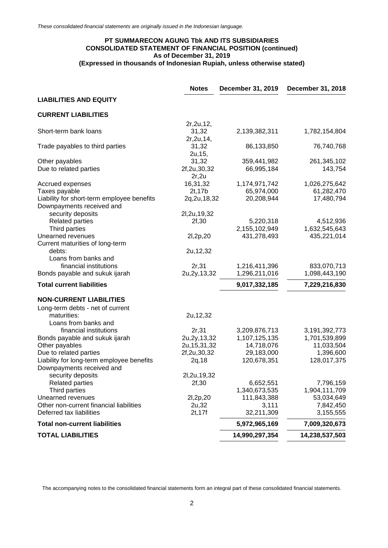### **PT SUMMARECON AGUNG Tbk AND ITS SUBSIDIARIES CONSOLIDATED STATEMENT OF FINANCIAL POSITION (continued) As of December 31, 2019 (Expressed in thousands of Indonesian Rupiah, unless otherwise stated)**

|                                                                                                                    | <b>Notes</b>                            | December 31, 2019                         | December 31, 2018                         |
|--------------------------------------------------------------------------------------------------------------------|-----------------------------------------|-------------------------------------------|-------------------------------------------|
| <b>LIABILITIES AND EQUITY</b>                                                                                      |                                         |                                           |                                           |
| <b>CURRENT LIABILITIES</b>                                                                                         |                                         |                                           |                                           |
| Short-term bank loans                                                                                              | 2r, 2u, 12,<br>31,32<br>2r, 2u, 14,     | 2,139,382,311                             | 1,782,154,804                             |
| Trade payables to third parties                                                                                    | 31,32<br>2u, 15,                        | 86,133,850                                | 76,740,768                                |
| Other payables<br>Due to related parties                                                                           | 31,32<br>2f,2u,30,32<br>2r, 2u          | 359,441,982<br>66,995,184                 | 261,345,102<br>143,754                    |
| Accrued expenses<br>Taxes payable<br>Liability for short-term employee benefits<br>Downpayments received and       | 16,31,32<br>2t, 17b<br>2q, 2u, 18, 32   | 1,174,971,742<br>65,974,000<br>20,208,944 | 1,026,275,642<br>61,282,470<br>17,480,794 |
| security deposits<br><b>Related parties</b><br>Third parties<br>Unearned revenues                                  | 2I, 2u, 19, 32<br>2f,30<br>2l, 2p, 20   | 5,220,318<br>2,155,102,949<br>431,278,493 | 4,512,936<br>1,632,545,643<br>435,221,014 |
| Current maturities of long-term<br>debts:<br>Loans from banks and<br>financial institutions                        | 2u, 12, 32<br>2r,31                     | 1,216,411,396                             | 833,070,713                               |
| Bonds payable and sukuk ijarah                                                                                     | 2u, 2y, 13, 32                          | 1,296,211,016                             | 1,098,443,190                             |
| <b>Total current liabilities</b>                                                                                   |                                         | 9,017,332,185                             | 7,229,216,830                             |
| <b>NON-CURRENT LIABILITIES</b><br>Long-term debts - net of current                                                 |                                         |                                           |                                           |
| maturities:<br>Loans from banks and                                                                                | 2u, 12, 32                              |                                           |                                           |
| financial institutions<br>Bonds payable and sukuk ijarah                                                           | 2r,31<br>2u, 2y, 13, 32                 | 3,209,876,713<br>1,107,125,135            | 3,191,392,773<br>1,701,539,899            |
| Other payables<br>Due to related parties<br>Liability for long-term employee benefits<br>Downpayments received and | 2u, 15, 31, 32<br>2f,2u,30,32<br>2q, 18 | 14,718,076<br>29,183,000<br>120,678,351   | 11,033,504<br>1,396,600<br>128,017,375    |
| security deposits<br><b>Related parties</b><br>Third parties                                                       | 2l, 2u, 19, 32<br>2f,30                 | 6,652,551<br>1,340,673,535                | 7,796,159<br>1,904,111,709                |
| Unearned revenues<br>Other non-current financial liabilities<br>Deferred tax liabilities                           | 21,2p,20<br>2u,32<br>2t, 17f            | 111,843,388<br>3,111<br>32,211,309        | 53,034,649<br>7,842,450<br>3,155,555      |
| <b>Total non-current liabilities</b>                                                                               |                                         | 5,972,965,169                             | 7,009,320,673                             |
| <b>TOTAL LIABILITIES</b>                                                                                           |                                         | 14,990,297,354                            | 14,238,537,503                            |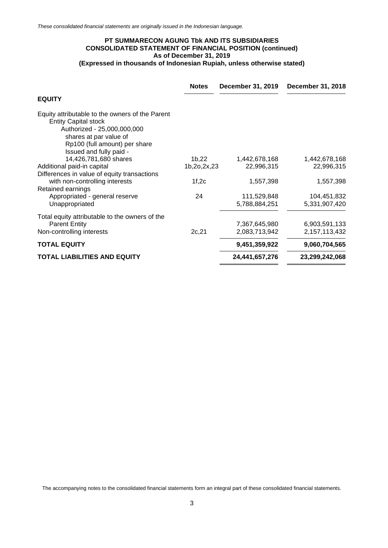## **PT SUMMARECON AGUNG Tbk AND ITS SUBSIDIARIES CONSOLIDATED STATEMENT OF FINANCIAL POSITION (continued) As of December 31, 2019**

**(Expressed in thousands of Indonesian Rupiah, unless otherwise stated)** 

|                                                                                                                                                                                                     | <b>Notes</b> | December 31, 2019 | December 31, 2018 |
|-----------------------------------------------------------------------------------------------------------------------------------------------------------------------------------------------------|--------------|-------------------|-------------------|
| <b>EQUITY</b>                                                                                                                                                                                       |              |                   |                   |
| Equity attributable to the owners of the Parent<br><b>Entity Capital stock</b><br>Authorized - 25,000,000,000<br>shares at par value of<br>Rp100 (full amount) per share<br>Issued and fully paid - |              |                   |                   |
| 14,426,781,680 shares                                                                                                                                                                               | 1b,22        | 1,442,678,168     | 1,442,678,168     |
| Additional paid-in capital                                                                                                                                                                          | 1b,2o,2x,23  | 22,996,315        | 22,996,315        |
| Differences in value of equity transactions                                                                                                                                                         |              |                   |                   |
| with non-controlling interests                                                                                                                                                                      | $1f$ , $2c$  | 1,557,398         | 1,557,398         |
| Retained earnings                                                                                                                                                                                   |              |                   |                   |
| Appropriated - general reserve                                                                                                                                                                      | 24           | 111,529,848       | 104,451,832       |
| Unappropriated                                                                                                                                                                                      |              | 5,788,884,251     | 5,331,907,420     |
| Total equity attributable to the owners of the                                                                                                                                                      |              |                   |                   |
| <b>Parent Entity</b>                                                                                                                                                                                |              | 7,367,645,980     | 6,903,591,133     |
| Non-controlling interests                                                                                                                                                                           | 2c,21        | 2,083,713,942     | 2,157,113,432     |
| <b>TOTAL EQUITY</b>                                                                                                                                                                                 |              | 9,451,359,922     | 9,060,704,565     |
| <b>TOTAL LIABILITIES AND EQUITY</b>                                                                                                                                                                 |              | 24,441,657,276    | 23,299,242,068    |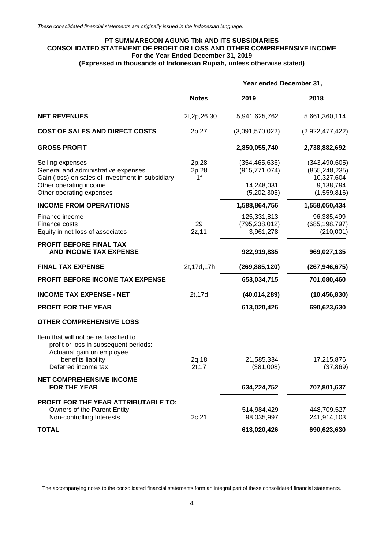### **PT SUMMARECON AGUNG Tbk AND ITS SUBSIDIARIES CONSOLIDATED STATEMENT OF PROFIT OR LOSS AND OTHER COMPREHENSIVE INCOME For the Year Ended December 31, 2019 (Expressed in thousands of Indonesian Rupiah, unless otherwise stated)**

|                                                                                                                                                                   |                      | Year ended December 31,                                         |                                                                              |  |  |
|-------------------------------------------------------------------------------------------------------------------------------------------------------------------|----------------------|-----------------------------------------------------------------|------------------------------------------------------------------------------|--|--|
|                                                                                                                                                                   | <b>Notes</b>         | 2019                                                            | 2018                                                                         |  |  |
| <b>NET REVENUES</b>                                                                                                                                               | 2f,2p,26,30          | 5,941,625,762                                                   | 5,661,360,114                                                                |  |  |
| <b>COST OF SALES AND DIRECT COSTS</b>                                                                                                                             | 2p,27                | (3,091,570,022)                                                 | (2,922,477,422)                                                              |  |  |
| <b>GROSS PROFIT</b>                                                                                                                                               |                      | 2,850,055,740                                                   | 2,738,882,692                                                                |  |  |
| Selling expenses<br>General and administrative expenses<br>Gain (loss) on sales of investment in subsidiary<br>Other operating income<br>Other operating expenses | 2p,28<br>2p,28<br>1f | (354, 465, 636)<br>(915, 771, 074)<br>14,248,031<br>(5,202,305) | (343, 490, 605)<br>(855, 248, 235)<br>10,327,604<br>9,138,794<br>(1,559,816) |  |  |
| <b>INCOME FROM OPERATIONS</b>                                                                                                                                     |                      | 1,588,864,756                                                   | 1,558,050,434                                                                |  |  |
| Finance income<br>Finance costs<br>Equity in net loss of associates                                                                                               | 29<br>2z,11          | 125,331,813<br>(795, 238, 012)<br>3,961,278                     | 96,385,499<br>(685, 198, 797)<br>(210,001)                                   |  |  |
| <b>PROFIT BEFORE FINAL TAX</b><br><b>AND INCOME TAX EXPENSE</b>                                                                                                   |                      | 922,919,835                                                     | 969,027,135                                                                  |  |  |
| <b>FINAL TAX EXPENSE</b>                                                                                                                                          | 2t, 17d, 17h         | (269, 885, 120)                                                 | (267, 946, 675)                                                              |  |  |
| PROFIT BEFORE INCOME TAX EXPENSE                                                                                                                                  |                      | 653,034,715                                                     | 701,080,460                                                                  |  |  |
| <b>INCOME TAX EXPENSE - NET</b>                                                                                                                                   | 2t, 17d              | (40,014,289)                                                    | (10, 456, 830)                                                               |  |  |
| <b>PROFIT FOR THE YEAR</b>                                                                                                                                        |                      | 613,020,426                                                     | 690,623,630                                                                  |  |  |
| <b>OTHER COMPREHENSIVE LOSS</b>                                                                                                                                   |                      |                                                                 |                                                                              |  |  |
| Item that will not be reclassified to<br>profit or loss in subsequent periods:<br>Actuarial gain on employee<br>benefits liability<br>Deferred income tax         | 2q, 18<br>2t, 17     | 21,585,334<br>(381,008)                                         | 17,215,876<br>(37, 869)                                                      |  |  |
| <b>NET COMPREHENSIVE INCOME</b><br><b>FOR THE YEAR</b>                                                                                                            |                      | 634,224,752                                                     | 707,801,637                                                                  |  |  |
| PROFIT FOR THE YEAR ATTRIBUTABLE TO:<br>Owners of the Parent Entity<br>Non-controlling Interests                                                                  | 2c,21                | 514,984,429<br>98,035,997                                       | 448,709,527<br>241,914,103                                                   |  |  |
| <b>TOTAL</b>                                                                                                                                                      |                      | 613,020,426                                                     | 690,623,630                                                                  |  |  |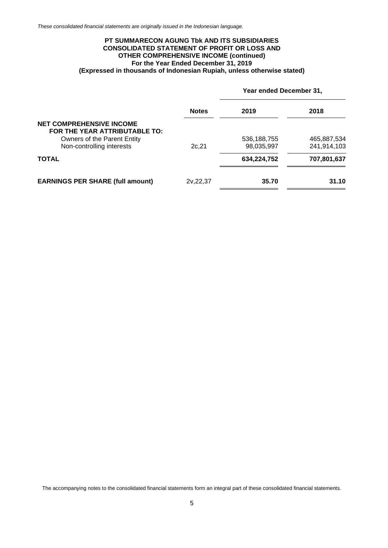#### **PT SUMMARECON AGUNG Tbk AND ITS SUBSIDIARIES CONSOLIDATED STATEMENT OF PROFIT OR LOSS AND OTHER COMPREHENSIVE INCOME (continued) For the Year Ended December 31, 2019 (Expressed in thousands of Indonesian Rupiah, unless otherwise stated)**

|                                                                                                                              |              | Year ended December 31,     |                            |
|------------------------------------------------------------------------------------------------------------------------------|--------------|-----------------------------|----------------------------|
|                                                                                                                              | <b>Notes</b> | 2019                        | 2018                       |
| <b>NET COMPREHENSIVE INCOME</b><br>FOR THE YEAR ATTRIBUTABLE TO:<br>Owners of the Parent Entity<br>Non-controlling interests | 2c.21        | 536, 188, 755<br>98,035,997 | 465.887.534<br>241,914,103 |
| <b>TOTAL</b>                                                                                                                 |              | 634,224,752                 | 707,801,637                |
| <b>EARNINGS PER SHARE (full amount)</b>                                                                                      | 2v, 22, 37   | 35.70                       | 31.10                      |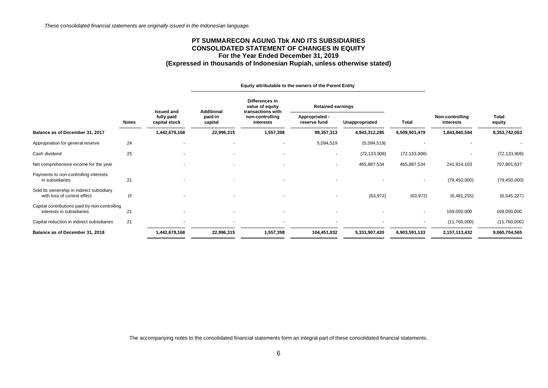#### **PT SUMMARECON AGUNG Tbk AND ITS SUBSIDIARIES CONSOLIDATED STATEMENT OF CHANGES IN EQUITY For the Year Ended December 31, 2019 (Expressed in thousands of Indonesian Rupiah, unless otherwise stated)**

l **Differences in value of equity Retained earnings Issued and Additional transactions with**   $\overline{a}$ **fully paid paid-in non-controlling Appropriated - Non-controlling Total Notes capital stock capital interests reserve fund Unappropriated Total interests equity**   $\overline{a}$ Balance as of December 31, 2017 **1.442,678,168** 22,996,315 1.557,398 99,357,313 4,943,312,285 6,509,901,479 1,843,840,584 8,353,742,063 Appropriation for general reserve and the contract of the contract of the contract of the contract of the contract of the contract of the contract of the contract of the contract of the contract of the contract of the cont Cash dividend 25 - - - - (72,133,908) (72,133,908) - (72,133,908) Net comprehensive income for the year  $707,801,637$ Payments to non-controlling interests<br>in subsidiaries in subsidiaries 21 - - - - - - (79,450,000) (79,450,000) Sold its ownership in indirect subsidiary<br>with loss of control effect with loss of control effect 1f - - - - (63,972) (63,972) (6,481,255) (6,545,227) Capital contributions paid by non-controlling interests in subsidiaries 21 - - - - - - 169,050,000 169,050,000 Capital reduction in indirect subsidiaries 21 - - - - - - (11,760,000) (11,760,000) **Balance as of December 31, 2018 1,442,678,168 22,996,315 1,557,398 104,451,832 5,331,907,420 6,903,591,133 2,157,113,432 9,060,704,565**

**Equity attributable to the owners of the Parent Entity**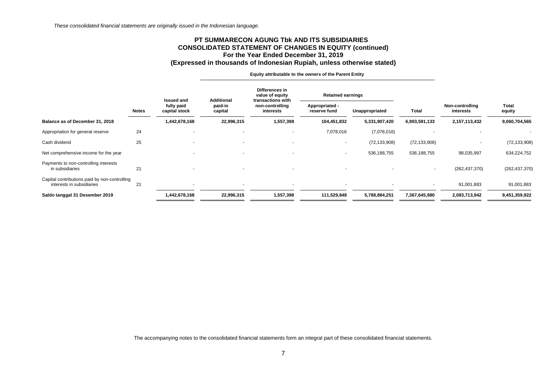#### **PT SUMMARECON AGUNG Tbk AND ITS SUBSIDIARIES CONSOLIDATED STATEMENT OF CHANGES IN EQUITY (continued) For the Year Ended December 31, 2019 (Expressed in thousands of Indonesian Rupiah, unless otherwise stated)**

l

**Equity attributable to the owners of the Parent Entity** 

|                                                                            |              | <b>Issued and</b>           | Differences in<br><b>Retained earnings</b><br>value of equity<br><b>Additional</b> |                                                   |                                |                |                |                              |                        |
|----------------------------------------------------------------------------|--------------|-----------------------------|------------------------------------------------------------------------------------|---------------------------------------------------|--------------------------------|----------------|----------------|------------------------------|------------------------|
|                                                                            | <b>Notes</b> | fully paid<br>capital stock | paid-in<br>capital                                                                 | transactions with<br>non-controlling<br>interests | Appropriated -<br>reserve fund | Unappropriated | <b>Total</b>   | Non-controlling<br>interests | <b>Total</b><br>equity |
| Balance as of December 31, 2018                                            |              | 1,442,678,168               | 22,996,315                                                                         | 1,557,398                                         | 104,451,832                    | 5,331,907,420  | 6,903,591,133  | 2,157,113,432                | 9,060,704,565          |
| Appropriation for general reserve                                          | 24           |                             |                                                                                    | $\overline{\phantom{a}}$                          | 7,078,016                      | (7,078,016)    |                |                              |                        |
| Cash dividend                                                              | 25           |                             | $\overline{a}$                                                                     | $\sim$                                            | $\overline{\phantom{a}}$       | (72, 133, 908) | (72, 133, 908) |                              | (72, 133, 908)         |
| Net comprehensive income for the year                                      |              |                             |                                                                                    | $\overline{\phantom{a}}$                          | $\sim$                         | 536,188,755    | 536,188,755    | 98,035,997                   | 634,224,752            |
| Payments to non-controlling interests<br>in subsidiaries                   | 21           |                             |                                                                                    | $\overline{\phantom{a}}$                          |                                |                | $\sim$         | (262, 437, 370)              | (262, 437, 370)        |
| Capital contributions paid by non-controlling<br>interests in subsidiaries | 21           |                             |                                                                                    |                                                   |                                |                |                | 91,001,883                   | 91,001,883             |
| Saldo tanggal 31 Desember 2019                                             |              | 1,442,678,168               | 22,996,315                                                                         | 1,557,398                                         | 111,529,848                    | 5,788,884,251  | 7,367,645,980  | 2,083,713,942                | 9,451,359,922          |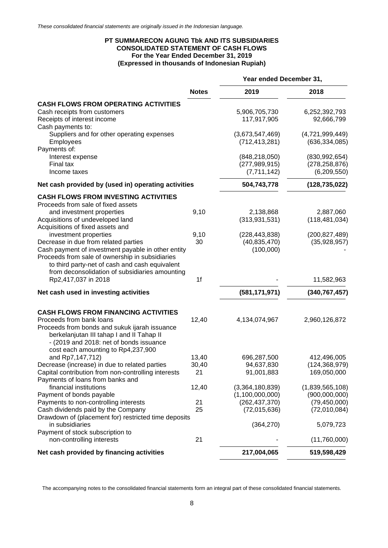## **PT SUMMARECON AGUNG Tbk AND ITS SUBSIDIARIES CONSOLIDATED STATEMENT OF CASH FLOWS For the Year Ended December 31, 2019 (Expressed in thousands of Indonesian Rupiah)**

|                                                      |              | Year ended December 31, |                 |  |
|------------------------------------------------------|--------------|-------------------------|-----------------|--|
|                                                      | <b>Notes</b> | 2019                    | 2018            |  |
| <b>CASH FLOWS FROM OPERATING ACTIVITIES</b>          |              |                         |                 |  |
| Cash receipts from customers                         |              | 5,906,705,730           | 6,252,392,793   |  |
| Receipts of interest income<br>Cash payments to:     |              | 117,917,905             | 92,666,799      |  |
| Suppliers and for other operating expenses           |              | (3,673,547,469)         | (4,721,999,449) |  |
| Employees                                            |              | (712, 413, 281)         | (636, 334, 085) |  |
| Payments of:                                         |              |                         |                 |  |
| Interest expense                                     |              | (848, 218, 050)         | (830, 992, 654) |  |
| Final tax                                            |              | (277, 989, 915)         | (278, 258, 876) |  |
| Income taxes                                         |              | (7, 711, 142)           | (6,209,550)     |  |
| Net cash provided by (used in) operating activities  |              | 504,743,778             | (128, 735, 022) |  |
| <b>CASH FLOWS FROM INVESTING ACTIVITIES</b>          |              |                         |                 |  |
| Proceeds from sale of fixed assets                   |              |                         |                 |  |
| and investment properties                            | 9,10         | 2,138,868               | 2,887,060       |  |
| Acquisitions of undeveloped land                     |              | (313, 931, 531)         | (118, 481, 034) |  |
| Acquisitions of fixed assets and                     |              |                         |                 |  |
| investment properties                                | 9,10         | (228, 443, 838)         | (200, 827, 489) |  |
| Decrease in due from related parties                 | 30           | (40, 835, 470)          | (35,928,957)    |  |
| Cash payment of investment payable in other entity   |              | (100,000)               |                 |  |
| Proceeds from sale of ownership in subsidiaries      |              |                         |                 |  |
| to third party-net of cash and cash equivalent       |              |                         |                 |  |
| from deconsolidation of subsidiaries amounting       |              |                         |                 |  |
| Rp2,417,037 in 2018                                  | 1f           |                         | 11,582,963      |  |
| Net cash used in investing activities                |              | (581, 171, 971)         | (340, 767, 457) |  |
| <b>CASH FLOWS FROM FINANCING ACTIVITIES</b>          |              |                         |                 |  |
| Proceeds from bank loans                             | 12,40        | 4,134,074,967           | 2,960,126,872   |  |
| Proceeds from bonds and sukuk ijarah issuance        |              |                         |                 |  |
| berkelanjutan III tahap I and II Tahap II            |              |                         |                 |  |
| - (2019 and 2018: net of bonds issuance              |              |                         |                 |  |
| cost each amounting to Rp4,237,900                   |              |                         |                 |  |
| and Rp7, 147, 712)                                   | 13,40        | 696,287,500             | 412,496,005     |  |
| Decrease (increase) in due to related parties        | 30,40        | 94,637,830              | (124, 368, 979) |  |
| Capital contribution from non-controlling interests  | 21           | 91,001,883              | 169,050,000     |  |
| Payments of loans from banks and                     |              |                         |                 |  |
| financial institutions                               | 12,40        | (3,364,180,839)         | (1,839,565,108) |  |
| Payment of bonds payable                             |              | (1,100,000,000)         | (900,000,000)   |  |
| Payments to non-controlling interests                | 21           | (262, 437, 370)         | (79, 450, 000)  |  |
| Cash dividends paid by the Company                   | 25           | (72,015,636)            | (72,010,084)    |  |
| Drawdown of (placement for) restricted time deposits |              |                         |                 |  |
| in subsidiaries                                      |              | (364, 270)              | 5,079,723       |  |
| Payment of stock subscription to                     |              |                         |                 |  |
| non-controlling interests                            | 21           |                         | (11,760,000)    |  |
| Net cash provided by financing activities            |              | 217,004,065             | 519,598,429     |  |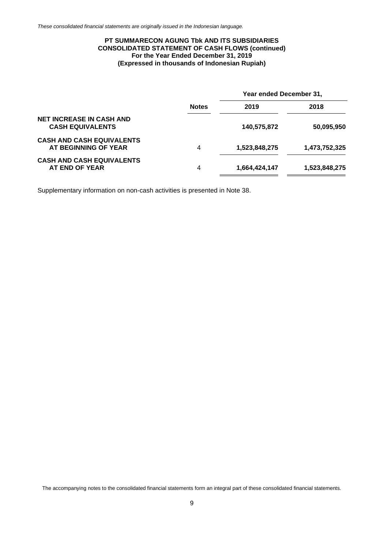#### **PT SUMMARECON AGUNG Tbk AND ITS SUBSIDIARIES CONSOLIDATED STATEMENT OF CASH FLOWS (continued) For the Year Ended December 31, 2019 (Expressed in thousands of Indonesian Rupiah)**

|                                                            | <b>Notes</b> | Year ended December 31, |               |
|------------------------------------------------------------|--------------|-------------------------|---------------|
|                                                            |              | 2019                    | 2018          |
| <b>NET INCREASE IN CASH AND</b><br><b>CASH EQUIVALENTS</b> |              | 140,575,872             | 50,095,950    |
| <b>CASH AND CASH EQUIVALENTS</b><br>AT BEGINNING OF YEAR   | 4            | 1,523,848,275           | 1,473,752,325 |
| <b>CASH AND CASH EQUIVALENTS</b><br>AT END OF YEAR         | 4            | 1,664,424,147           | 1,523,848,275 |

Supplementary information on non-cash activities is presented in Note 38.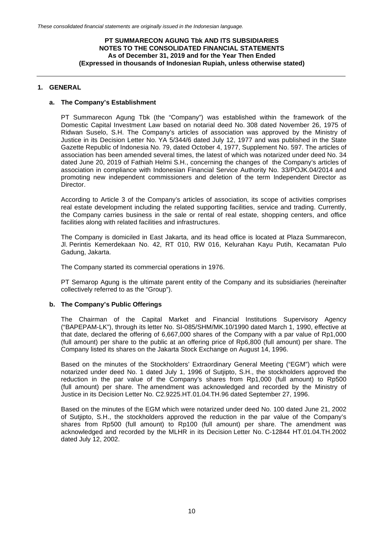## **1. GENERAL**

#### **a. The Company's Establishment**

 PT Summarecon Agung Tbk (the "Company") was established within the framework of the Domestic Capital Investment Law based on notarial deed No. 308 dated November 26, 1975 of Ridwan Suselo, S.H. The Company's articles of association was approved by the Ministry of Justice in its Decision Letter No. YA 5/344/6 dated July 12, 1977 and was published in the State Gazette Republic of Indonesia No. 79, dated October 4, 1977, Supplement No. 597. The articles of association has been amended several times, the latest of which was notarized under deed No. 34 dated June 20, 2019 of Fathiah Helmi S.H., concerning the changes of the Company's articles of association in compliance with Indonesian Financial Service Authority No. 33/POJK.04/2014 and promoting new independent commissioners and deletion of the term Independent Director as Director.

According to Article 3 of the Company's articles of association, its scope of activities comprises real estate development including the related supporting facilities, service and trading. Currently, the Company carries business in the sale or rental of real estate, shopping centers, and office facilities along with related facilities and infrastructures.

The Company is domiciled in East Jakarta, and its head office is located at Plaza Summarecon, Jl. Perintis Kemerdekaan No. 42, RT 010, RW 016, Kelurahan Kayu Putih, Kecamatan Pulo Gadung, Jakarta.

The Company started its commercial operations in 1976.

PT Semarop Agung is the ultimate parent entity of the Company and its subsidiaries (hereinafter collectively referred to as the "Group").

#### **b. The Company's Public Offerings**

The Chairman of the Capital Market and Financial Institutions Supervisory Agency ("BAPEPAM-LK"), through its letter No. SI-085/SHM/MK.10/1990 dated March 1, 1990, effective at that date, declared the offering of 6,667,000 shares of the Company with a par value of Rp1,000 (full amount) per share to the public at an offering price of Rp6,800 (full amount) per share. The Company listed its shares on the Jakarta Stock Exchange on August 14, 1996.

Based on the minutes of the Stockholders' Extraordinary General Meeting ("EGM") which were notarized under deed No. 1 dated July 1, 1996 of Sutjipto, S.H., the stockholders approved the reduction in the par value of the Company's shares from Rp1,000 (full amount) to Rp500 (full amount) per share. The amendment was acknowledged and recorded by the Ministry of Justice in its Decision Letter No. C2.9225.HT.01.04.TH.96 dated September 27, 1996.

Based on the minutes of the EGM which were notarized under deed No. 100 dated June 21, 2002 of Sutjipto, S.H., the stockholders approved the reduction in the par value of the Company's shares from Rp500 (full amount) to Rp100 (full amount) per share. The amendment was acknowledged and recorded by the MLHR in its Decision Letter No. C-12844 HT.01.04.TH.2002 dated July 12, 2002.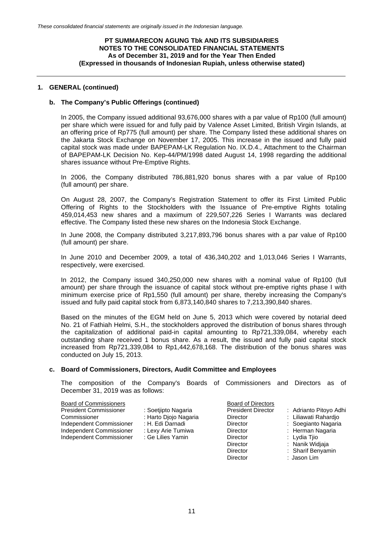#### **1. GENERAL (continued)**

#### **b. The Company's Public Offerings (continued)**

 In 2005, the Company issued additional 93,676,000 shares with a par value of Rp100 (full amount) per share which were issued for and fully paid by Valence Asset Limited, British Virgin Islands, at an offering price of Rp775 (full amount) per share. The Company listed these additional shares on the Jakarta Stock Exchange on November 17, 2005. This increase in the issued and fully paid capital stock was made under BAPEPAM-LK Regulation No. IX.D.4., Attachment to the Chairman of BAPEPAM-LK Decision No. Kep-44/PM/1998 dated August 14, 1998 regarding the additional shares issuance without Pre-Emptive Rights.

 In 2006, the Company distributed 786,881,920 bonus shares with a par value of Rp100 (full amount) per share.

On August 28, 2007, the Company's Registration Statement to offer its First Limited Public Offering of Rights to the Stockholders with the Issuance of Pre-emptive Rights totaling 459,014,453 new shares and a maximum of 229,507,226 Series I Warrants was declared effective. The Company listed these new shares on the Indonesia Stock Exchange.

 In June 2008, the Company distributed 3,217,893,796 bonus shares with a par value of Rp100 (full amount) per share.

 In June 2010 and December 2009, a total of 436,340,202 and 1,013,046 Series I Warrants, respectively, were exercised.

 In 2012, the Company issued 340,250,000 new shares with a nominal value of Rp100 (full amount) per share through the issuance of capital stock without pre-emptive rights phase I with minimum exercise price of Rp1,550 (full amount) per share, thereby increasing the Company's issued and fully paid capital stock from 6,873,140,840 shares to 7,213,390,840 shares.

 Based on the minutes of the EGM held on June 5, 2013 which were covered by notarial deed No. 21 of Fathiah Helmi, S.H., the stockholders approved the distribution of bonus shares through the capitalization of additional paid-in capital amounting to Rp721,339,084, whereby each outstanding share received 1 bonus share. As a result, the issued and fully paid capital stock increased from Rp721,339,084 to Rp1,442,678,168. The distribution of the bonus shares was conducted on July 15, 2013.

#### **c. Board of Commissioners, Directors, Audit Committee and Employees**

The composition of the Company's Boards of Commissioners and Directors as of December 31, 2019 was as follows:

> Director : Sharif Benyamin Director : Jason Lim

| <b>Board of Commissioners</b> |                       | <b>Board of Directors</b> |                        |
|-------------------------------|-----------------------|---------------------------|------------------------|
| <b>President Commissioner</b> | : Soetjipto Nagaria   | <b>President Director</b> | : Adrianto Pitoyo Adhi |
| Commissioner                  | : Harto Diojo Nagaria | <b>Director</b>           | : Liliawati Rahardjo   |
| Independent Commissioner      | : H. Edi Darnadi      | Director                  | : Soegianto Nagaria    |
| Independent Commissioner      | : Lexy Arie Tumiwa    | Director                  | : Herman Nagaria       |
| Independent Commissioner      | : Ge Lilies Yamin     | Director                  | : Lydia Tjio           |
|                               |                       | <b>Director</b>           | : Nanik Widiaia        |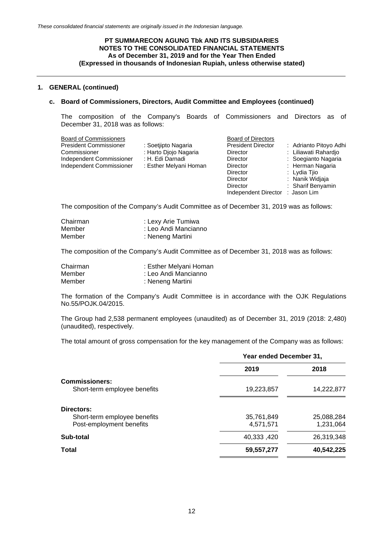#### **1. GENERAL (continued)**

#### **c. Board of Commissioners, Directors, Audit Committee and Employees (continued)**

The composition of the Company's Boards of Commissioners and Directors as of December 31, 2018 was as follows:

| <b>Board of Commissioners</b> |                        | <b>Board of Directors</b> |                        |
|-------------------------------|------------------------|---------------------------|------------------------|
| <b>President Commissioner</b> | : Soetiipto Nagaria    | <b>President Director</b> | : Adrianto Pitoyo Adhi |
| Commissioner                  | : Harto Diojo Nagaria  | Director                  | : Liliawati Rahardio   |
| Independent Commissioner      | : H. Edi Darnadi       | Director                  | : Soegianto Nagaria    |
| Independent Commissioner      | : Esther Melyani Homan | Director                  | : Herman Nagaria       |
|                               |                        | Director                  | : Lydia Tjio           |
|                               |                        | Director                  | : Nanik Widiaja        |
|                               |                        | Director                  | : Sharif Benyamin      |
|                               |                        | Independent Director      | : Jason Lim            |

The composition of the Company's Audit Committee as of December 31, 2019 was as follows:

| Chairman | : Lexy Arie Tumiwa   |
|----------|----------------------|
| Member   | : Leo Andi Mancianno |
| Member   | : Neneng Martini     |

The composition of the Company's Audit Committee as of December 31, 2018 was as follows:

| Chairman | : Esther Melyani Homan |
|----------|------------------------|
| Member   | : Leo Andi Mancianno   |
| Member   | : Neneng Martini       |

The formation of the Company's Audit Committee is in accordance with the OJK Regulations No.55/POJK.04/2015.

The Group had 2,538 permanent employees (unaudited) as of December 31, 2019 (2018: 2,480) (unaudited), respectively.

The total amount of gross compensation for the key management of the Company was as follows:

|                              | Year ended December 31, |            |
|------------------------------|-------------------------|------------|
|                              | 2019                    | 2018       |
| <b>Commissioners:</b>        |                         |            |
| Short-term employee benefits | 19,223,857              | 14,222,877 |
| Directors:                   |                         |            |
| Short-term employee benefits | 35,761,849              | 25,088,284 |
| Post-employment benefits     | 4,571,571               | 1,231,064  |
| Sub-total                    | 40,333,420              | 26,319,348 |
| Total                        | 59,557,277              | 40,542,225 |
|                              |                         |            |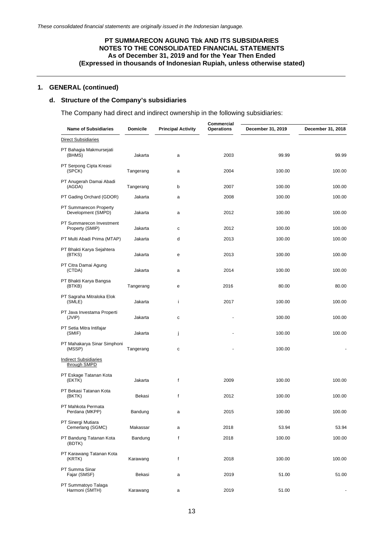## **1. GENERAL (continued)**

## **d. Structure of the Company's subsidiaries**

The Company had direct and indirect ownership in the following subsidiaries:

| <b>Name of Subsidiaries</b>                  | <b>Domicile</b> | <b>Principal Activity</b> | Commercial<br><b>Operations</b> | December 31, 2019 | December 31, 2018 |
|----------------------------------------------|-----------------|---------------------------|---------------------------------|-------------------|-------------------|
| <b>Direct Subsidiaries</b>                   |                 |                           |                                 |                   |                   |
| PT Bahagia Makmursejati<br>(BHMS)            | Jakarta         | a                         | 2003                            | 99.99             | 99.99             |
| PT Serpong Cipta Kreasi<br>(SPCK)            | Tangerang       | a                         | 2004                            | 100.00            | 100.00            |
| PT Anugerah Damai Abadi<br>(AGDA)            | Tangerang       | b                         | 2007                            | 100.00            | 100.00            |
| PT Gading Orchard (GDOR)                     | Jakarta         | a                         | 2008                            | 100.00            | 100.00            |
| PT Summarecon Property<br>Development (SMPD) | Jakarta         | a                         | 2012                            | 100.00            | 100.00            |
| PT Summarecon Investment<br>Property (SMIP)  | Jakarta         | $\mathbf c$               | 2012                            | 100.00            | 100.00            |
| PT Multi Abadi Prima (MTAP)                  | Jakarta         | d                         | 2013                            | 100.00            | 100.00            |
| PT Bhakti Karya Sejahtera<br>(BTKS)          | Jakarta         | e                         | 2013                            | 100.00            | 100.00            |
| PT Citra Damai Agung<br>(CTDA)               | Jakarta         | a                         | 2014                            | 100.00            | 100.00            |
| PT Bhakti Karya Bangsa<br>(BTKB)             | Tangerang       | е                         | 2016                            | 80.00             | 80.00             |
| PT Sagraha Mitraloka Elok<br>(SMLE)          | Jakarta         | j.                        | 2017                            | 100.00            | 100.00            |
| PT Java Investama Properti<br>(JVIP)         | Jakarta         | c                         |                                 | 100.00            | 100.00            |
| PT Setia Mitra Intifajar<br>(SMIF)           | Jakarta         | j                         |                                 | 100.00            | 100.00            |
| PT Mahakarya Sinar Simphoni<br>(MSSP)        | Tangerang       | c                         |                                 | 100.00            |                   |
| <b>Indirect Subsidiaries</b><br>through SMPD |                 |                           |                                 |                   |                   |
| PT Eskage Tatanan Kota<br>(EKTK)             | Jakarta         | f                         | 2009                            | 100.00            | 100.00            |
| PT Bekasi Tatanan Kota<br>(BKTK)             | Bekasi          | f                         | 2012                            | 100.00            | 100.00            |
| PT Mahkota Permata<br>Perdana (MKPP)         | Bandung         | a                         | 2015                            | 100.00            | 100.00            |
| PT Sinergi Mutiara<br>Cemerlang (SGMC)       | Makassar        | a                         | 2018                            | 53.94             | 53.94             |
| PT Bandung Tatanan Kota<br>(BDTK)            | Bandung         | f                         | 2018                            | 100.00            | 100.00            |
| PT Karawang Tatanan Kota<br>(KRTK)           | Karawang        | f                         | 2018                            | 100.00            | 100.00            |
| PT Summa Sinar<br>Fajar (SMSF)               | Bekasi          | a                         | 2019                            | 51.00             | 51.00             |
| PT Summatoyo Talaga<br>Harmoni (SMTH)        | Karawang        | a                         | 2019                            | 51.00             |                   |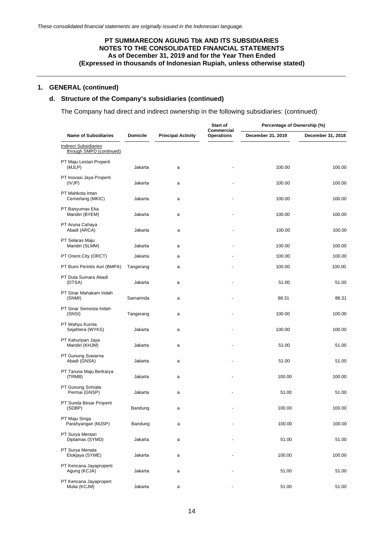## **1. GENERAL (continued)**

## **d. Structure of the Company's subsidiaries (continued)**

The Company had direct and indirect ownership in the following subsidiaries: (continued)

|                                                          |                 |                           | Start of<br>Commercial | Percentage of Ownership (%) |                   |
|----------------------------------------------------------|-----------------|---------------------------|------------------------|-----------------------------|-------------------|
| <b>Name of Subsidiaries</b>                              | <b>Domicile</b> | <b>Principal Activity</b> | <b>Operations</b>      | December 31, 2019           | December 31, 2018 |
| <b>Indirect Subsidiaries</b><br>through SMPD (continued) |                 |                           |                        |                             |                   |
| PT Maju Lestari Properti<br>(MJLP)                       | Jakarta         | a                         |                        | 100.00                      | 100.00            |
| PT Inovasi Jaya Properti<br>(IVJP)                       | Jakarta         | a                         |                        | 100.00                      | 100.00            |
| PT Mahkota Intan<br>Cemerlang (MKIC)                     | Jakarta         | a                         |                        | 100.00                      | 100.00            |
| PT Banyumas Eka<br>Mandiri (BYEM)                        | Jakarta         | a                         |                        | 100.00                      | 100.00            |
| PT Aruna Cahaya<br>Abadi (ARCA)                          | Jakarta         | a                         |                        | 100.00                      | 100.00            |
| PT Selaras Maju<br>Mandiri (SLMM)                        | Jakarta         | a                         |                        | 100.00                      | 100.00            |
| PT Orient City (ORCT)                                    | Jakarta         | a                         |                        | 100.00                      | 100.00            |
| PT Bumi Perintis Asri (BMPA)                             | Tangerang       | a                         |                        | 100.00                      | 100.00            |
| PT Duta Sumara Abadi<br>(DTSA)                           | Jakarta         | a                         |                        | 51.00                       | 51.00             |
| PT Sinar Mahakam Indah<br>(SNMI)                         | Samarinda       | a                         |                        | 88.31                       | 88.31             |
| PT Sinar Semesta Indah<br>(SNSI)                         | Tangerang       | a                         |                        | 100.00                      | 100.00            |
| PT Wahyu Kurnia<br>Sejahtera (WYKS)                      | Jakarta         | a                         |                        | 100.00                      | 100.00            |
| PT Kahuripan Jaya<br>Mandiri (KHJM)                      | Jakarta         | a                         |                        | 51.00                       | 51.00             |
| PT Gunung Suwarna<br>Abadi (GNSA)                        | Jakarta         | a                         |                        | 51.00                       | 51.00             |
| PT Taruna Maju Berkarya<br>(TRMB)                        | Jakarta         | a                         |                        | 100.00                      | 100.00            |
| PT Gunung Srimala<br>Permai (GNSP)                       | Jakarta         | a                         |                        | 51.00                       | 51.00             |
| PT Sunda Besar Properti<br>(SDBP)                        | Bandung         | a                         |                        | 100.00                      | 100.00            |
| PT Maju Singa<br>Parahyangan (MJSP)                      | Bandung         | a                         |                        | 100.00                      | 100.00            |
| PT Surya Mentari<br>Diptamas (SYMD)                      | Jakarta         | a                         |                        | 51.00                       | 51.00             |
| PT Surya Menata<br>Elokjaya (SYME)                       | Jakarta         | a                         |                        | 100.00                      | 100.00            |
| PT Kencana Jayaproperti<br>Agung (KCJA)                  | Jakarta         | a                         |                        | 51.00                       | 51.00             |
| PT Kencana Jayapropert<br>Mulia (KCJM)                   | Jakarta         | a                         |                        | 51.00                       | 51.00             |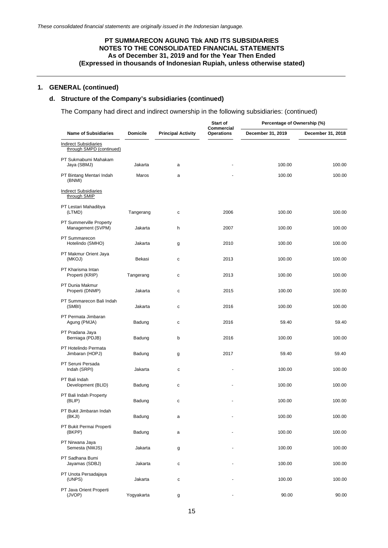## **1. GENERAL (continued)**

## **d. Structure of the Company's subsidiaries (continued)**

The Company had direct and indirect ownership in the following subsidiaries: (continued)

|                                                          |                 |                           | Start of<br><b>Commercial</b><br><b>Operations</b> | Percentage of Ownership (%) |                   |
|----------------------------------------------------------|-----------------|---------------------------|----------------------------------------------------|-----------------------------|-------------------|
| <b>Name of Subsidiaries</b>                              | <b>Domicile</b> | <b>Principal Activity</b> |                                                    | December 31, 2019           | December 31, 2018 |
| <b>Indirect Subsidiaries</b><br>through SMPD (continued) |                 |                           |                                                    |                             |                   |
| PT Sukmabumi Mahakam<br>Jaya (SBMJ)                      | Jakarta         | a                         |                                                    | 100.00                      | 100.00            |
| PT Bintang Mentari Indah<br>(BNMI)                       | Maros           | a                         |                                                    | 100.00                      | 100.00            |
| <b>Indirect Subsidiaries</b><br>through SMIP             |                 |                           |                                                    |                             |                   |
| PT Lestari Mahadibya<br>(LTMD)                           | Tangerang       | $\mathbf c$               | 2006                                               | 100.00                      | 100.00            |
| PT Summerville Property<br>Management (SVPM)             | Jakarta         | h                         | 2007                                               | 100.00                      | 100.00            |
| PT Summarecon<br>Hotelindo (SMHO)                        | Jakarta         | g                         | 2010                                               | 100.00                      | 100.00            |
| PT Makmur Orient Jaya<br>(MKOJ)                          | Bekasi          | $\mathbf c$               | 2013                                               | 100.00                      | 100.00            |
| PT Kharisma Intan<br>Properti (KRIP)                     | Tangerang       | c                         | 2013                                               | 100.00                      | 100.00            |
| PT Dunia Makmur<br>Properti (DNMP)                       | Jakarta         | с                         | 2015                                               | 100.00                      | 100.00            |
| PT Summarecon Bali Indah<br>(SMBI)                       | Jakarta         | c                         | 2016                                               | 100.00                      | 100.00            |
| PT Permata Jimbaran<br>Agung (PMJA)                      | Badung          | $\mathbf c$               | 2016                                               | 59.40                       | 59.40             |
| PT Pradana Jaya<br>Berniaga (PDJB)                       | Badung          | b                         | 2016                                               | 100.00                      | 100.00            |
| PT Hotelindo Permata<br>Jimbaran (HOPJ)                  | Badung          | g                         | 2017                                               | 59.40                       | 59.40             |
| PT Seruni Persada<br>Indah (SRPI)                        | Jakarta         | $\mathbf c$               |                                                    | 100.00                      | 100.00            |
| PT Bali Indah<br>Development (BLID)                      | Badung          | $\mathbf c$               |                                                    | 100.00                      | 100.00            |
| PT Bali Indah Property<br>(BLIP)                         | Badung          | c                         |                                                    | 100.00                      | 100.00            |
| PT Bukit Jimbaran Indah<br>(BKJI)                        | Badung          | a                         |                                                    | 100.00                      | 100.00            |
| PT Bukit Permai Properti<br>(BKPP)                       | Badung          | a                         |                                                    | 100.00                      | 100.00            |
| PT Nirwana Jaya<br>Semesta (NWJS)                        | Jakarta         | g                         |                                                    | 100.00                      | 100.00            |
| PT Sadhana Bumi<br>Jayamas (SDBJ)                        | Jakarta         | c                         |                                                    | 100.00                      | 100.00            |
| PT Unota Persadajaya<br>(UNPS)                           | Jakarta         | с                         |                                                    | 100.00                      | 100.00            |
| PT Java Orient Properti<br>(JVOP)                        | Yogyakarta      | g                         |                                                    | 90.00                       | 90.00             |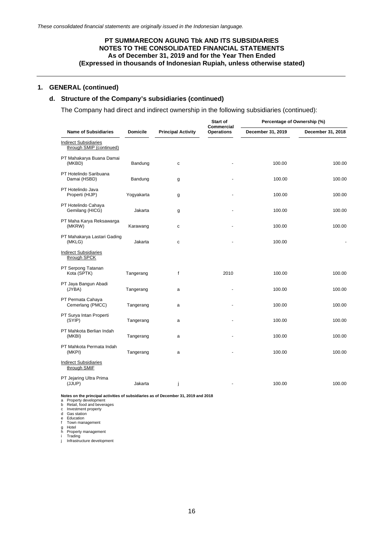## **1. GENERAL (continued)**

## **d. Structure of the Company's subsidiaries (continued)**

The Company had direct and indirect ownership in the following subsidiaries (continued):

|                                                          |                 | Start of<br><b>Commercial</b> | Percentage of Ownership (%) |                   |                   |
|----------------------------------------------------------|-----------------|-------------------------------|-----------------------------|-------------------|-------------------|
| <b>Name of Subsidiaries</b>                              | <b>Domicile</b> | <b>Principal Activity</b>     | <b>Operations</b>           | December 31, 2019 | December 31, 2018 |
| <b>Indirect Subsidiaries</b><br>through SMIP (continued) |                 |                               |                             |                   |                   |
| PT Mahakarya Buana Damai<br>(MKBD)                       | Bandung         | $\mathbf c$                   |                             | 100.00            | 100.00            |
| PT Hotelindo Saribuana<br>Damai (HSBD)                   | Bandung         | g                             |                             | 100.00            | 100.00            |
| PT Hotelindo Java<br>Properti (HIJP)                     | Yogyakarta      | g                             |                             | 100.00            | 100.00            |
| PT Hotelindo Cahaya<br>Gemilang (HICG)                   | Jakarta         | g                             |                             | 100.00            | 100.00            |
| PT Maha Karya Reksawarga<br>(MKRW)                       | Karawang        | $\mathbf c$                   |                             | 100.00            | 100.00            |
| PT Mahakarya Lastari Gading<br>(MKLG)                    | Jakarta         | $\mathbf{C}$                  |                             | 100.00            |                   |
| <b>Indirect Subsidiaries</b><br>through SPCK             |                 |                               |                             |                   |                   |
| PT Serpong Tatanan<br>Kota (SPTK)                        | Tangerang       | $\mathsf{f}$                  | 2010                        | 100.00            | 100.00            |
| PT Jaya Bangun Abadi<br>(JYBA)                           | Tangerang       | a                             |                             | 100.00            | 100.00            |
| PT Permata Cahaya<br>Cemerlang (PMCC)                    | Tangerang       | a                             |                             | 100.00            | 100.00            |
| PT Surya Intan Properti<br>(SYIP)                        | Tangerang       | a                             |                             | 100.00            | 100.00            |
| PT Mahkota Berlian Indah<br>(MKBI)                       | Tangerang       | a                             |                             | 100.00            | 100.00            |
| PT Mahkota Permata Indah<br>(MKPI)                       | Tangerang       | a                             |                             | 100.00            | 100.00            |
| <b>Indirect Subsidiaries</b><br>through SMIF             |                 |                               |                             |                   |                   |
| PT Jejaring Ultra Prima<br>(JJUP)                        | Jakarta         | j                             |                             | 100.00            | 100.00            |
|                                                          |                 |                               |                             |                   |                   |

 **Notes on the principal activities of subsidiaries as of December 31, 2019 and 2018**  a Property development b Retail, food and beverages

c Investment property

d Gas station e Education f Town management

g Hotel<br>h Property management<br>i Trading<br>j Infrastructure development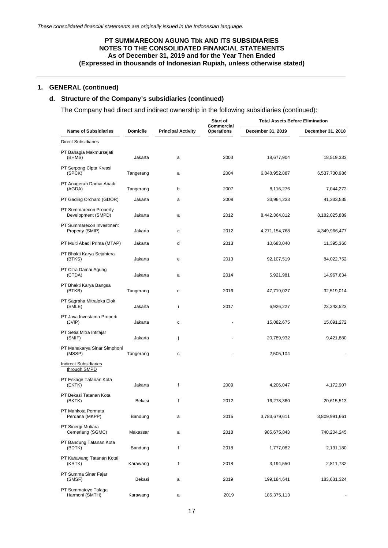## **1. GENERAL (continued)**

## **d. Structure of the Company's subsidiaries (continued)**

The Company had direct and indirect ownership in the following subsidiaries (continued):

|                                              | <b>Domicile</b> |                           | Start of<br>Commercial | <b>Total Assets Before Elimination</b> |                   |
|----------------------------------------------|-----------------|---------------------------|------------------------|----------------------------------------|-------------------|
| <b>Name of Subsidiaries</b>                  |                 | <b>Principal Activity</b> | <b>Operations</b>      | December 31, 2019                      | December 31, 2018 |
| <b>Direct Subsidiaries</b>                   |                 |                           |                        |                                        |                   |
| PT Bahagia Makmursejati<br>(BHMS)            | Jakarta         | a                         | 2003                   | 18,677,904                             | 18,519,333        |
| PT Serpong Cipta Kreasi<br>(SPCK)            | Tangerang       | a                         | 2004                   | 6,848,952,887                          | 6,537,730,986     |
| PT Anugerah Damai Abadi<br>(AGDA)            | Tangerang       | b                         | 2007                   | 8,116,276                              | 7,044,272         |
| PT Gading Orchard (GDOR)                     | Jakarta         | a                         | 2008                   | 33,964,233                             | 41,333,535        |
| PT Summarecon Property<br>Development (SMPD) | Jakarta         | a                         | 2012                   | 8,442,364,812                          | 8,182,025,889     |
| PT Summarecon Investment<br>Property (SMIP)  | Jakarta         | $\mathbf c$               | 2012                   | 4,271,154,768                          | 4,349,966,477     |
| PT Multi Abadi Prima (MTAP)                  | Jakarta         | d                         | 2013                   | 10,683,040                             | 11,395,360        |
| PT Bhakti Karya Sejahtera<br>(BTKS)          | Jakarta         | e                         | 2013                   | 92,107,519                             | 84,022,752        |
| PT Citra Damai Agung<br>(CTDA)               | Jakarta         | a                         | 2014                   | 5,921,981                              | 14,967,634        |
| PT Bhakti Karya Bangsa<br>(BTKB)             | Tangerang       | e                         | 2016                   | 47,719,027                             | 32,519,014        |
| PT Sagraha Mitraloka Elok<br>(SMLE)          | Jakarta         | i                         | 2017                   | 6,926,227                              | 23,343,523        |
| PT Java Investama Properti<br>(JVIP)         | Jakarta         | $\mathbf c$               |                        | 15,082,675                             | 15,091,272        |
| PT Setia Mitra Intifajar<br>(SMIF)           | Jakarta         | j                         |                        | 20,789,932                             | 9,421,880         |
| PT Mahakarya Sinar Simphoni<br>(MSSP)        | Tangerang       | $\mathbf c$               |                        | 2,505,104                              |                   |
| <b>Indirect Subsidiaries</b><br>through SMPD |                 |                           |                        |                                        |                   |
| PT Eskage Tatanan Kota<br>(EKTK)             | Jakarta         | f                         | 2009                   | 4,206,047                              | 4,172,907         |
| PT Bekasi Tatanan Kota<br>(BKTK)             | Bekasi          | f                         | 2012                   | 16,278,360                             | 20,615,513        |
| PT Mahkota Permata<br>Perdana (MKPP)         | Bandung         | a                         | 2015                   | 3,783,679,611                          | 3,809,991,661     |
| PT Sinergi Mutiara<br>Cemerlang (SGMC)       | Makassar        | a                         | 2018                   | 985,675,843                            | 740,204,245       |
| PT Bandung Tatanan Kota<br>(BDTK)            | Bandung         | f                         | 2018                   | 1,777,082                              | 2,191,180         |
| PT Karawang Tatanan Kotai<br>(KRTK)          | Karawang        | f                         | 2018                   | 3,194,550                              | 2,811,732         |
| PT Summa Sinar Fajar<br>(SMSF)               | Bekasi          | a                         | 2019                   | 199,184,641                            | 183,631,324       |
| PT Summatoyo Talaga<br>Harmoni (SMTH)        | Karawang        | a                         | 2019                   | 185,375,113                            |                   |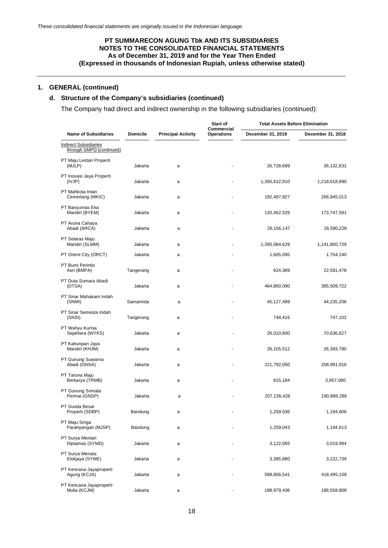## **1. GENERAL (continued)**

## **d. Structure of the Company's subsidiaries (continued)**

The Company had direct and indirect ownership in the following subsidiaries (continued):

|                                                          |                 |                           | Start of                 | <b>Total Assets Before Elimination</b> |                   |
|----------------------------------------------------------|-----------------|---------------------------|--------------------------|----------------------------------------|-------------------|
| <b>Name of Subsidiaries</b>                              | <b>Domicile</b> | <b>Principal Activity</b> | Commercial<br>Operations | December 31, 2019                      | December 31, 2018 |
| <b>Indirect Subsidiaries</b><br>through SMPD (continued) |                 |                           |                          |                                        |                   |
| PT Maju Lestari Properti<br>(MJLP)                       | Jakarta         | a                         |                          | 26,728,689                             | 36,132,831        |
| PT Inovasi Jaya Properti<br>(IVJP)                       | Jakarta         | a                         |                          | 1,395,612,910                          | 1,218,618,890     |
| PT Mahkota Intan<br>Cemerlang (MKIC)                     | Jakarta         | a                         |                          | 192,497,927                            | 266,945,013       |
| PT Banyumas Eka<br>Mandiri (BYEM)                        | Jakarta         | a                         |                          | 120,462,529                            | 173,747,591       |
| PT Aruna Cahaya<br>Abadi (ARCA)                          | Jakarta         | a                         |                          | 26, 156, 147                           | 26,590,228        |
| PT Selaras Maju<br>Mandiri (SLMM)                        | Jakarta         | a                         |                          | 1,395,084,629                          | 1,141,800,729     |
| PT Orient City (ORCT)                                    | Jakarta         | a                         |                          | 1,605,095                              | 1,754,140         |
| PT Bumi Perintis<br>Asri (BMPA)                          | Tangerang       | a                         |                          | 624,389                                | 22,581,478        |
| PT Duta Sumara Abadi<br>(DTSA)                           | Jakarta         | a                         |                          | 464,860,090                            | 395,509,722       |
| PT Sinar Mahakam Indah<br>(SNMI)                         | Samarinda       | a                         |                          | 45,127,489                             | 44,235,206        |
| PT Sinar Semesta Indah<br>(SNSI)                         | Tangerang       | a                         |                          | 749,416                                | 747,102           |
| PT Wahyu Kurnia<br>Sejahtera (WYKS)                      | Jakarta         | a                         |                          | 26,010,600                             | 70,636,627        |
| PT Kahuripan Jaya<br>Mandiri (KHJM)                      | Jakarta         | a                         |                          | 26,105,512                             | 26,393,790        |
| PT Gunung Suwarna<br>Abadi (GNSA)                        | Jakarta         | a                         |                          | 221,792,050                            | 208,991,916       |
| PT Taruna Maju<br>Berkarya (TRMB)                        | Jakarta         | a                         |                          | 815,184                                | 3,957,080         |
| PT Gunung Srimala<br>Permai (GNSP)                       | Jakarta         | a                         |                          | 207, 136, 428                          | 190,888,289       |
| PT Sunda Besar<br>Properti (SDBP)                        | Bandung         | a                         |                          | 1,259,036                              | 1,194,606         |
| PT Maju Singa<br>Parahyangan (MJSP)                      | Bandung         | a                         |                          | 1,259,043                              | 1,194,613         |
| PT Surya Mentari<br>Diptamas (SYMD)                      | Jakarta         | a                         |                          | 3,122,065                              | 3,019,994         |
| PT Surya Menata<br>Elokjaya (SYME)                       | Jakarta         | a                         |                          | 3,385,880                              | 3,222,739         |
| PT Kencana Jayaproperti<br>Agung (KCJA)                  | Jakarta         | a                         |                          | 598,656,541                            | 418,495,159       |
| PT Kencana Jayaproperti<br>Mulia (KCJM)                  | Jakarta         | a                         |                          | 188,979,436                            | 188,558,808       |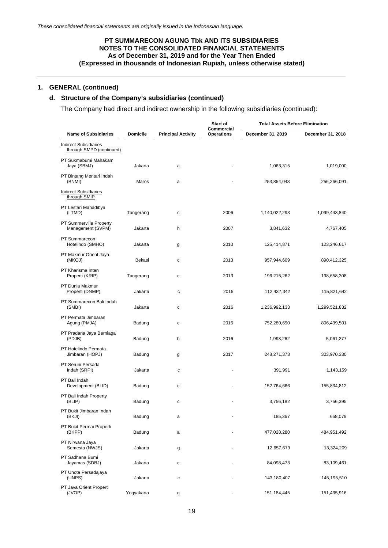## **1. GENERAL (continued)**

## **d. Structure of the Company's subsidiaries (continued)**

The Company had direct and indirect ownership in the following subsidiaries (continued):

|                                                          |                 |                           | Start of<br>Commercial | <b>Total Assets Before Elimination</b> |                   |
|----------------------------------------------------------|-----------------|---------------------------|------------------------|----------------------------------------|-------------------|
| <b>Name of Subsidiaries</b>                              | <b>Domicile</b> | <b>Principal Activity</b> | <b>Operations</b>      | December 31, 2019                      | December 31, 2018 |
| <b>Indirect Subsidiaries</b><br>through SMPD (continued) |                 |                           |                        |                                        |                   |
| PT Sukmabumi Mahakam<br>Jaya (SBMJ)                      | Jakarta         | a                         |                        | 1,063,315                              | 1,019,000         |
| PT Bintang Mentari Indah<br>(BNMI)                       | Maros           | a                         |                        | 253,854,043                            | 256,266,091       |
| <b>Indirect Subsidiaries</b><br>through SMIP             |                 |                           |                        |                                        |                   |
| PT Lestari Mahadibya<br>(LTMD)                           | Tangerang       | c                         | 2006                   | 1,140,022,293                          | 1,099,443,840     |
| PT Summerville Property<br>Management (SVPM)             | Jakarta         | h                         | 2007                   | 3,841,632                              | 4,767,405         |
| PT Summarecon<br>Hotelindo (SMHO)                        | Jakarta         | g                         | 2010                   | 125,414,871                            | 123,246,617       |
| PT Makmur Orient Jaya<br>(MKOJ)                          | Bekasi          | с                         | 2013                   | 957,944,609                            | 890,412,325       |
| PT Kharisma Intan<br>Properti (KRIP)                     | Tangerang       | c                         | 2013                   | 196,215,262                            | 198,658,308       |
| PT Dunia Makmur<br>Properti (DNMP)                       | Jakarta         | c                         | 2015                   | 112,437,342                            | 115,821,642       |
| PT Summarecon Bali Indah<br>(SMBI)                       | Jakarta         | с                         | 2016                   | 1,236,992,133                          | 1,299,521,832     |
| PT Permata Jimbaran<br>Agung (PMJA)                      | Badung          | c                         | 2016                   | 752,280,690                            | 806,439,501       |
| PT Pradana Jaya Berniaga<br>(PDJB)                       | Badung          | b                         | 2016                   | 1,993,262                              | 5,061,277         |
| PT Hotelindo Permata<br>Jimbaran (HOPJ)                  | Badung          | g                         | 2017                   | 248,271,373                            | 303,970,330       |
| PT Seruni Persada<br>Indah (SRPI)                        | Jakarta         | c                         |                        | 391,991                                | 1,143,159         |
| PT Bali Indah<br>Development (BLID)                      | Badung          | с                         |                        | 152,764,666                            | 155,834,812       |
| PT Bali Indah Property<br>(BLIP)                         | Badung          | с                         |                        | 3,756,182                              | 3,756,395         |
| PT Bukit Jimbaran Indah<br>(BKJI)                        | Badung          | a                         | ä,                     | 185,367                                | 658,079           |
| PT Bukit Permai Properti<br>(BKPP)                       | Badung          | a                         |                        | 477,028,280                            | 484,951,492       |
| PT Nirwana Jaya<br>Semesta (NWJS)                        | Jakarta         | g                         |                        | 12,657,679                             | 13,324,209        |
| PT Sadhana Bumi<br>Jayamas (SDBJ)                        | Jakarta         | с                         |                        | 84,098,473                             | 83,109,461        |
| PT Unota Persadajaya<br>(UNPS)                           | Jakarta         | c                         |                        | 143,180,407                            | 145,195,510       |
| PT Java Orient Properti<br>(JVOP)                        | Yogyakarta      | g                         |                        | 151,184,445                            | 151,435,916       |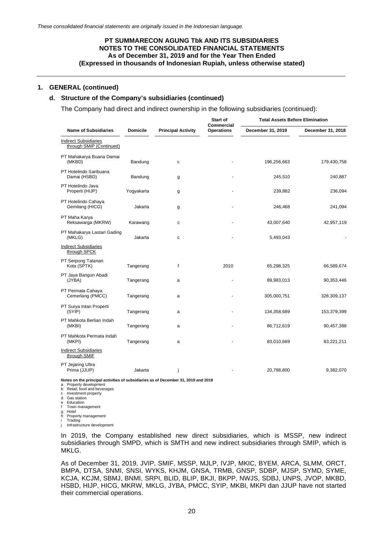#### **1. GENERAL (continued)**

#### **d. Structure of the Company's subsidiaries (continued)**

The Company had direct and indirect ownership in the following subsidiaries (continued):

|                                                          |                 | Start of<br><b>Commercial</b> | <b>Total Assets Before Elimination</b> |                   |                   |
|----------------------------------------------------------|-----------------|-------------------------------|----------------------------------------|-------------------|-------------------|
| <b>Name of Subsidiaries</b>                              | <b>Domicile</b> | <b>Principal Activity</b>     | <b>Operations</b>                      | December 31, 2019 | December 31, 2018 |
| <b>Indirect Subsidiaries</b><br>through SMIP (Continued) |                 |                               |                                        |                   |                   |
| PT Mahakarya Buana Damai<br>(MKBD)                       | Bandung         | c                             |                                        | 196,256,663       | 179,430,758       |
| PT Hotelindo Saribuana<br>Damai (HSBD)                   | Bandung         | g                             |                                        | 245,510           | 240,887           |
| PT Hotelindo Java<br>Properti (HIJP)                     | Yogyakarta      | g                             |                                        | 239,882           | 236,094           |
| PT Hotelindo Cahaya<br>Gemilang (HICG)                   | Jakarta         | g                             |                                        | 246,468           | 241,094           |
| PT Maha Karya<br>Reksawarga (MKRW)                       | Karawang        | c                             |                                        | 43,007,640        | 42,957,119        |
| PT Mahakarya Lastari Gading<br>(MKLG)                    | Jakarta         | c                             |                                        | 5,493,043         |                   |
| <b>Indirect Subsidiaries</b><br>through SPCK             |                 |                               |                                        |                   |                   |
| PT Serpong Tatanan<br>Kota (SPTK)                        | Tangerang       | f                             | 2010                                   | 65,298,325        | 66,589,674        |
| PT Jaya Bangun Abadi<br>(JYBA)                           | Tangerang       | a                             |                                        | 89,983,013        | 90,353,446        |
| PT Permata Cahaya<br>Cemerlang (PMCC)                    | Tangerang       | a                             |                                        | 305,000,751       | 328,309,137       |
| PT Surya Intan Properti<br>(SYIP)                        | Tangerang       | a                             |                                        | 134,358,689       | 153,379,399       |
| PT Mahkota Berlian Indah<br>(MKBI)                       | Tangerang       | a                             |                                        | 86,712,619        | 90,457,388        |
| PT Mahkota Permata Indah<br>(MKPI)                       | Tangerang       | a                             |                                        | 83,010,669        | 83,221,211        |
| <b>Indirect Subsidiaries</b><br>through SMIF             |                 |                               |                                        |                   |                   |
| PT Jejaring Ultra<br>Prima (JJUP)                        | Jakarta         | j                             |                                        | 20,788,800        | 9,382,070         |

 **Notes on the principal activities of subsidiaries as of December 31, 2019 and 2018** 

a Property development b Retail, food and beverages

c Investment property

 d Gas station e Education

f Town management g Hotel h Property management

i Trading<br>j Infrastructure development

In 2019, the Company established new direct subsidiaries, which is MSSP, new indirect subsidiaries through SMPD, which is SMTH and new indirect subsidiaries through SMIP, which is MKLG.

As of December 31, 2019, JVIP, SMIF, MSSP, MJLP, IVJP, MKIC, BYEM, ARCA, SLMM, ORCT, BMPA, DTSA, SNMI, SNSI, WYKS, KHJM, GNSA, TRMB, GNSP, SDBP, MJSP, SYMD, SYME, KCJA, KCJM, SBMJ, BNMI, SRPI, BLID, BLIP, BKJI, BKPP, NWJS, SDBJ, UNPS, JVOP, MKBD, HSBD, HIJP, HICG, MKRW, MKLG, JYBA, PMCC, SYIP, MKBI, MKPI dan JJUP have not started their commercial operations.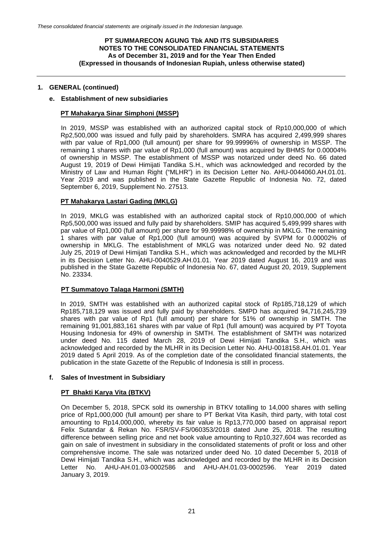#### **1. GENERAL (continued)**

#### **e. Establishment of new subsidiaries**

#### **PT Mahakarya Sinar Simphoni (MSSP)**

In 2019, MSSP was established with an authorized capital stock of Rp10,000,000 of which Rp2,500,000 was issued and fully paid by shareholders. SMRA has acquired 2,499,999 shares with par value of Rp1,000 (full amount) per share for 99.99996% of ownership in MSSP. The remaining 1 shares with par value of Rp1,000 (full amount) was acquired by BHMS for 0.00004% of ownership in MSSP. The establishment of MSSP was notarized under deed No. 66 dated August 19, 2019 of Dewi Himijati Tandika S.H., which was acknowledged and recorded by the Ministry of Law and Human Right ("MLHR") in its Decision Letter No. AHU-0044060.AH.01.01. Year 2019 and was published in the State Gazette Republic of Indonesia No. 72, dated September 6, 2019, Supplement No. 27513.

## **PT Mahakarya Lastari Gading (MKLG)**

 In 2019, MKLG was established with an authorized capital stock of Rp10,000,000 of which Rp5,500,000 was issued and fully paid by shareholders. SMIP has acquired 5,499,999 shares with par value of Rp1,000 (full amount) per share for 99.99998% of ownership in MKLG. The remaining 1 shares with par value of Rp1,000 (full amount) was acquired by SVPM for 0.00002% of ownership in MKLG. The establishment of MKLG was notarized under deed No. 92 dated July 25, 2019 of Dewi Himijati Tandika S.H., which was acknowledged and recorded by the MLHR in its Decision Letter No. AHU-0040529.AH.01.01. Year 2019 dated August 16, 2019 and was published in the State Gazette Republic of Indonesia No. 67, dated August 20, 2019, Supplement No. 23334.

## **PT Summatoyo Talaga Harmoni (SMTH)**

In 2019, SMTH was established with an authorized capital stock of Rp185,718,129 of which Rp185,718,129 was issued and fully paid by shareholders. SMPD has acquired 94,716,245,739 shares with par value of Rp1 (full amount) per share for 51% of ownership in SMTH. The remaining 91,001,883,161 shares with par value of Rp1 (full amount) was acquired by PT Toyota Housing Indonesia for 49% of ownership in SMTH. The establishment of SMTH was notarized under deed No. 115 dated March 28, 2019 of Dewi Himijati Tandika S.H., which was acknowledged and recorded by the MLHR in its Decision Letter No. AHU-0018158.AH.01.01. Year 2019 dated 5 April 2019. As of the completion date of the consolidated financial statements, the publication in the state Gazette of the Republic of Indonesia is still in process.

#### **f. Sales of Investment in Subsidiary**

## **PT Bhakti Karya Vita (BTKV)**

On December 5, 2018, SPCK sold its ownership in BTKV totalling to 14,000 shares with selling price of Rp1,000,000 (full amount) per share to PT Berkat Vita Kasih, third party, with total cost amounting to Rp14,000,000, whereby its fair value is Rp13,770,000 based on appraisal report Felix Sutandar & Rekan No. FSR/SV-FS/060353/2018 dated June 25, 2018. The resulting difference between selling price and net book value amounting to Rp10,327,604 was recorded as gain on sale of investment in subsidiary in the consolidated statements of profit or loss and other comprehensive income. The sale was notarized under deed No. 10 dated December 5, 2018 of Dewi Himijati Tandika S.H., which was acknowledged and recorded by the MLHR in its Decision Letter No. AHU-AH.01.03-0002586 and AHU-AH.01.03-0002596. Year 2019 dated January 3, 2019.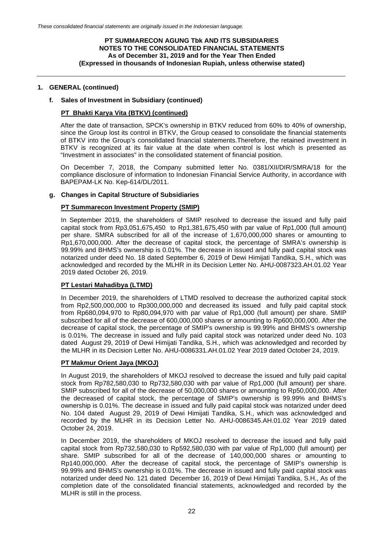#### **1. GENERAL (continued)**

#### **f. Sales of Investment in Subsidiary (continued)**

#### **PT Bhakti Karya Vita (BTKV) (continued)**

After the date of transaction, SPCK's ownership in BTKV reduced from 60% to 40% of ownership, since the Group lost its control in BTKV, the Group ceased to consolidate the financial statements of BTKV into the Group's consolidated financial statements.Therefore, the retained investment in BTKV is recognized at its fair value at the date when control is lost which is presented as "Investment in associates" in the consolidated statement of financial position.

On December 7, 2018, the Company submitted letter No. 0381/XII/DIR/SMRA/18 for the compliance disclosure of information to Indonesian Financial Service Authority, in accordance with BAPEPAM-LK No. Kep-614/DL/2011.

#### **g. Changes in Capital Structure of Subsidiaries**

## **PT Summarecon Investment Property (SMIP)**

In September 2019, the shareholders of SMIP resolved to decrease the issued and fully paid capital stock from Rp3,051,675,450 to Rp1,381,675,450 with par value of Rp1,000 (full amount) per share. SMRA subscribed for all of the increase of 1,670,000,000 shares or amounting to Rp1,670,000,000. After the decrease of capital stock, the percentage of SMRA's ownership is 99.99% and BHMS's ownership is 0.01%. The decrease in issued and fully paid capital stock was notarized under deed No. 18 dated September 6, 2019 of Dewi Himijati Tandika, S.H., which was acknowledged and recorded by the MLHR in its Decision Letter No. AHU-0087323.AH.01.02 Year 2019 dated October 26, 2019.

## **PT Lestari Mahadibya (LTMD)**

In December 2019, the shareholders of LTMD resolved to decrease the authorized capital stock from Rp2,500,000,000 to Rp300,000,000 and decreased its issued and fully paid capital stock from Rp680,094,970 to Rp80,094,970 with par value of Rp1,000 (full amount) per share. SMIP subscribed for all of the decrease of 600,000,000 shares or amounting to Rp600,000,000. After the decrease of capital stock, the percentage of SMIP's ownership is 99.99% and BHMS's ownership is 0.01%. The decrease in issued and fully paid capital stock was notarized under deed No. 103 dated August 29, 2019 of Dewi Himijati Tandika, S.H., which was acknowledged and recorded by the MLHR in its Decision Letter No. AHU-0086331.AH.01.02 Year 2019 dated October 24, 2019.

## **PT Makmur Orient Jaya (MKOJ)**

In August 2019, the shareholders of MKOJ resolved to decrease the issued and fully paid capital stock from Rp782,580,030 to Rp732,580,030 with par value of Rp1,000 (full amount) per share. SMIP subscribed for all of the decrease of 50,000,000 shares or amounting to Rp50,000,000. After the decreased of capital stock, the percentage of SMIP's ownership is 99.99% and BHMS's ownership is 0.01%. The decrease in issued and fully paid capital stock was notarized under deed No. 104 dated August 29, 2019 of Dewi Himijati Tandika, S.H., which was acknowledged and recorded by the MLHR in its Decision Letter No. AHU-0086345.AH.01.02 Year 2019 dated October 24, 2019.

In December 2019, the shareholders of MKOJ resolved to decrease the issued and fully paid capital stock from Rp732,580,030 to Rp592,580,030 with par value of Rp1,000 (full amount) per share. SMIP subscribed for all of the decrease of 140,000,000 shares or amounting to Rp140,000,000. After the decrease of capital stock, the percentage of SMIP's ownership is 99.99% and BHMS's ownership is 0.01%. The decrease in issued and fully paid capital stock was notarized under deed No. 121 dated December 16, 2019 of Dewi Himijati Tandika, S.H., As of the completion date of the consolidated financial statements, acknowledged and recorded by the MLHR is still in the process.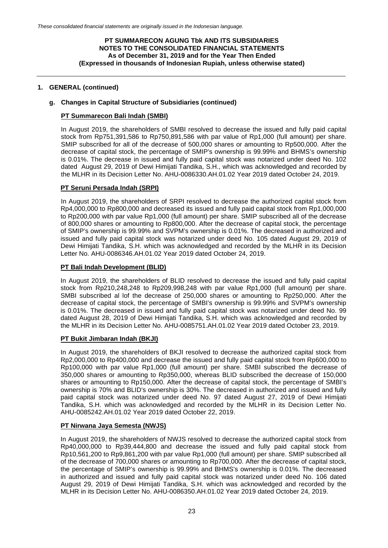## **1. GENERAL (continued)**

## **g. Changes in Capital Structure of Subsidiaries (continued)**

## **PT Summarecon Bali Indah (SMBI)**

In August 2019, the shareholders of SMBI resolved to decrease the issued and fully paid capital stock from Rp751,391,586 to Rp750,891,586 with par value of Rp1,000 (full amount) per share. SMIP subscribed for all of the decrease of 500,000 shares or amounting to Rp500,000. After the decrease of capital stock, the percentage of SMIP's ownership is 99.99% and BHMS's ownership is 0.01%. The decrease in issued and fully paid capital stock was notarized under deed No. 102 dated August 29, 2019 of Dewi Himijati Tandika, S.H., which was acknowledged and recorded by the MLHR in its Decision Letter No. AHU-0086330.AH.01.02 Year 2019 dated October 24, 2019.

## **PT Seruni Persada Indah (SRPI)**

In August 2019, the shareholders of SRPI resolved to decrease the authorized capital stock from Rp4,000,000 to Rp800,000 and decreased its issued and fully paid capital stock from Rp1,000,000 to Rp200,000 with par value Rp1,000 (full amount) per share. SMIP subscribed all of the decrease of 800,000 shares or amounting to Rp800,000. After the decrease of capital stock, the percentage of SMIP's ownership is 99.99% and SVPM's ownership is 0.01%. The decreased in authorized and issued and fully paid capital stock was notarized under deed No. 105 dated August 29, 2019 of Dewi Himijati Tandika, S.H. which was acknowledged and recorded by the MLHR in its Decision Letter No. AHU-0086346.AH.01.02 Year 2019 dated October 24, 2019.

## **PT Bali Indah Development (BLID)**

In August 2019, the shareholders of BLID resolved to decrease the issued and fully paid capital stock from Rp210,248,248 to Rp209,998,248 with par value Rp1,000 (full amount) per share. SMBI subscribed al lof the decrease of 250,000 shares or amounting to Rp250,000. After the decrease of capital stock, the percentage of SMBI's ownership is 99.99% and SVPM's ownership is 0.01%. The decreased in issued and fully paid capital stock was notarized under deed No. 99 dated August 28, 2019 of Dewi Himijati Tandika, S.H. which was acknowledged and recorded by the MLHR in its Decision Letter No. AHU-0085751.AH.01.02 Year 2019 dated October 23, 2019.

#### **PT Bukit Jimbaran Indah (BKJI)**

In August 2019, the shareholders of BKJI resolved to decrease the authorized capital stock from Rp2,000,000 to Rp400,000 and decrease the issued and fully paid capital stock from Rp600,000 to Rp100,000 with par value Rp1,000 (full amount) per share. SMBI subscribed the decrease of 350,000 shares or amounting to Rp350,000, whereas BLID subscribed the decrease of 150,000 shares or amounting to Rp150,000. After the decrease of capital stock, the percentage of SMBI's ownership is 70% and BLID's ownership is 30%. The decreased in authorized and issued and fully paid capital stock was notarized under deed No. 97 dated August 27, 2019 of Dewi Himijati Tandika, S.H. which was acknowledged and recorded by the MLHR in its Decision Letter No. AHU-0085242.AH.01.02 Year 2019 dated October 22, 2019.

## **PT Nirwana Jaya Semesta (NWJS)**

In August 2019, the shareholders of NWJS resolved to decrease the authorized capital stock from Rp40,000,000 to Rp39,444,800 and decrease the issued and fully paid capital stock from Rp10,561,200 to Rp9,861,200 with par value Rp1,000 (full amount) per share. SMIP subscribed all of the decrease of 700,000 shares or amounting to Rp700,000. After the decrease of capital stock, the percentage of SMIP's ownership is 99.99% and BHMS's ownership is 0.01%. The decreased in authorized and issued and fully paid capital stock was notarized under deed No. 106 dated August 29, 2019 of Dewi Himijati Tandika, S.H. which was acknowledged and recorded by the MLHR in its Decision Letter No. AHU-0086350.AH.01.02 Year 2019 dated October 24, 2019.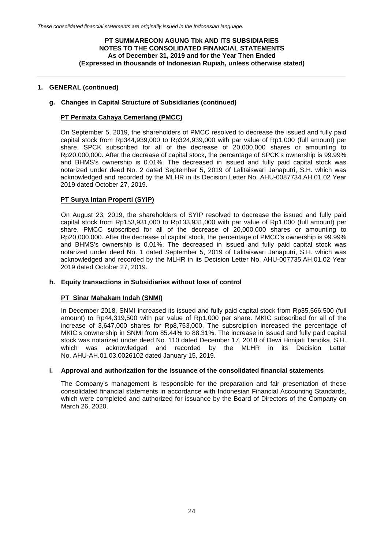#### **1. GENERAL (continued)**

#### **g. Changes in Capital Structure of Subsidiaries (continued)**

## **PT Permata Cahaya Cemerlang (PMCC)**

On September 5, 2019, the shareholders of PMCC resolved to decrease the issued and fully paid capital stock from Rp344,939,000 to Rp324,939,000 with par value of Rp1,000 (full amount) per share. SPCK subscribed for all of the decrease of 20,000,000 shares or amounting to Rp20,000,000. After the decrease of capital stock, the percentage of SPCK's ownership is 99.99% and BHMS's ownership is 0.01%. The decreased in issued and fully paid capital stock was notarized under deed No. 2 dated September 5, 2019 of Lalitaiswari Janaputri, S.H. which was acknowledged and recorded by the MLHR in its Decision Letter No. AHU-0087734.AH.01.02 Year 2019 dated October 27, 2019.

## **PT Surya Intan Properti (SYIP)**

On August 23, 2019, the shareholders of SYIP resolved to decrease the issued and fully paid capital stock from Rp153,931,000 to Rp133,931,000 with par value of Rp1,000 (full amount) per share. PMCC subscribed for all of the decrease of 20,000,000 shares or amounting to Rp20,000,000. After the decrease of capital stock, the percentage of PMCC's ownership is 99.99% and BHMS's ownership is 0.01%. The decreased in issued and fully paid capital stock was notarized under deed No. 1 dated September 5, 2019 of Lalitaiswari Janaputri, S.H. which was acknowledged and recorded by the MLHR in its Decision Letter No. AHU-007735.AH.01.02 Year 2019 dated October 27, 2019.

#### **h. Equity transactions in Subsidiaries without loss of control**

#### **PT Sinar Mahakam Indah (SNMI)**

In December 2018, SNMI increased its issued and fully paid capital stock from Rp35,566,500 (full amount) to Rp44,319,500 with par value of Rp1,000 per share. MKIC subscribed for all of the increase of 3,647,000 shares for Rp8,753,000. The subsrciption increased the percentage of MKIC's onwnership in SNMI from 85.44% to 88.31%. The increase in issued and fully paid capital stock was notarized under deed No. 110 dated December 17, 2018 of Dewi Himijati Tandika, S.H. which was acknowledged and recorded by the MLHR in its Decision Letter No. AHU-AH.01.03.0026102 dated January 15, 2019.

#### **i. Approval and authorization for the issuance of the consolidated financial statements**

The Company's management is responsible for the preparation and fair presentation of these consolidated financial statements in accordance with Indonesian Financial Accounting Standards, which were completed and authorized for issuance by the Board of Directors of the Company on March 26, 2020.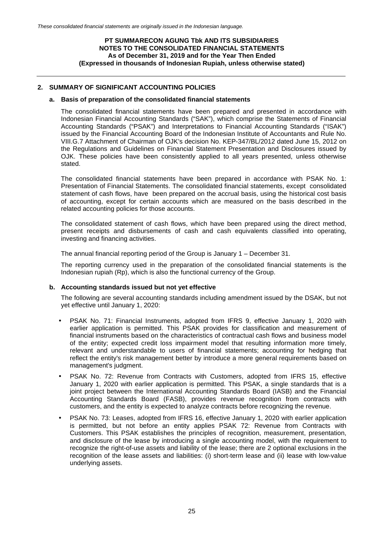## **2. SUMMARY OF SIGNIFICANT ACCOUNTING POLICIES**

#### **a. Basis of preparation of the consolidated financial statements**

The consolidated financial statements have been prepared and presented in accordance with Indonesian Financial Accounting Standards ("SAK"), which comprise the Statements of Financial Accounting Standards ("PSAK") and Interpretations to Financial Accounting Standards ("ISAK") issued by the Financial Accounting Board of the Indonesian Institute of Accountants and Rule No. VIII.G.7 Attachment of Chairman of OJK's decision No. KEP-347/BL/2012 dated June 15, 2012 on the Regulations and Guidelines on Financial Statement Presentation and Disclosures issued by OJK. These policies have been consistently applied to all years presented, unless otherwise stated.

The consolidated financial statements have been prepared in accordance with PSAK No. 1: Presentation of Financial Statements. The consolidated financial statements, except consolidated statement of cash flows, have been prepared on the accrual basis, using the historical cost basis of accounting, except for certain accounts which are measured on the basis described in the related accounting policies for those accounts.

The consolidated statement of cash flows, which have been prepared using the direct method, present receipts and disbursements of cash and cash equivalents classified into operating, investing and financing activities.

The annual financial reporting period of the Group is January 1 – December 31.

The reporting currency used in the preparation of the consolidated financial statements is the Indonesian rupiah (Rp), which is also the functional currency of the Group.

#### **b. Accounting standards issued but not yet effective**

The following are several accounting standards including amendment issued by the DSAK, but not yet effective until January 1, 2020:

- PSAK No. 71: Financial Instruments, adopted from IFRS 9, effective January 1, 2020 with earlier application is permitted. This PSAK provides for classification and measurement of financial instruments based on the characteristics of contractual cash flows and business model of the entity; expected credit loss impairment model that resulting information more timely, relevant and understandable to users of financial statements; accounting for hedging that reflect the entity's risk management better by introduce a more general requirements based on management's judgment.
- PSAK No. 72: Revenue from Contracts with Customers, adopted from IFRS 15, effective January 1, 2020 with earlier application is permitted. This PSAK, a single standards that is a joint project between the International Accounting Standards Board (IASB) and the Financial Accounting Standards Board (FASB), provides revenue recognition from contracts with customers, and the entity is expected to analyze contracts before recognizing the revenue.
- PSAK No. 73: Leases, adopted from IFRS 16, effective January 1, 2020 with earlier application is permitted, but not before an entity applies PSAK 72: Revenue from Contracts with Customers. This PSAK establishes the principles of recognition, measurement, presentation, and disclosure of the lease by introducing a single accounting model, with the requirement to recognize the right-of-use assets and liability of the lease; there are 2 optional exclusions in the recognition of the lease assets and liabilities: (i) short-term lease and (ii) lease with low-value underlying assets.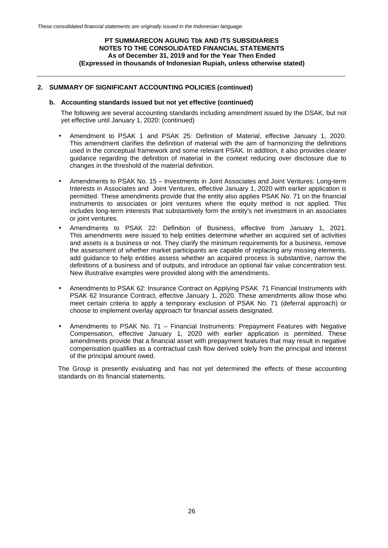## **2. SUMMARY OF SIGNIFICANT ACCOUNTING POLICIES (continued)**

#### **b. Accounting standards issued but not yet effective (continued)**

The following are several accounting standards including amendment issued by the DSAK, but not yet effective until January 1, 2020: (continued)

- Amendment to PSAK 1 and PSAK 25: Definition of Material, effective January 1, 2020. This amendment clarifies the definition of material with the aim of harmonizing the definitions used in the conceptual framework and some relevant PSAK. In addition, it also provides clearer guidance regarding the definition of material in the context reducing over disclosure due to changes in the threshold of the material definition.
- Amendments to PSAK No. 15 Investments in Joint Associates and Joint Ventures: Long-term Interests in Associates and Joint Ventures, effective January 1, 2020 with earlier application is permitted. These amendments provide that the entity also applies PSAK No. 71 on the financial instruments to associates or joint ventures where the equity method is not applied. This includes long-term interests that substantively form the entity's net investment in an associates or joint ventures.
- Amendments to PSAK 22: Definition of Business, effective from January 1, 2021. This amendments were issued to help entities determine whether an acquired set of activities and assets is a business or not. They clarify the minimum requirements for a business, remove the assessment of whether market participants are capable of replacing any missing elements, add guidance to help entities assess whether an acquired process is substantive, narrow the definitions of a business and of outputs, and introduce an optional fair value concentration test. New illustrative examples were provided along with the amendments.
- Amendments to PSAK 62: Insurance Contract on Applying PSAK 71 Financial Instruments with PSAK 62 Insurance Contract, effective January 1, 2020. These amendments allow those who meet certain criteria to apply a temporary exclusion of PSAK No. 71 (deferral approach) or choose to implement overlay approach for financial assets designated.
- Amendments to PSAK No. 71 Financial Instruments: Prepayment Features with Negative Compensation, effective January 1, 2020 with earlier application is permitted. These amendments provide that a financial asset with prepayment features that may result in negative compensation qualifies as a contractual cash flow derived solely from the principal and interest of the principal amount owed.

The Group is presently evaluating and has not yet determined the effects of these accounting standards on its financial statements.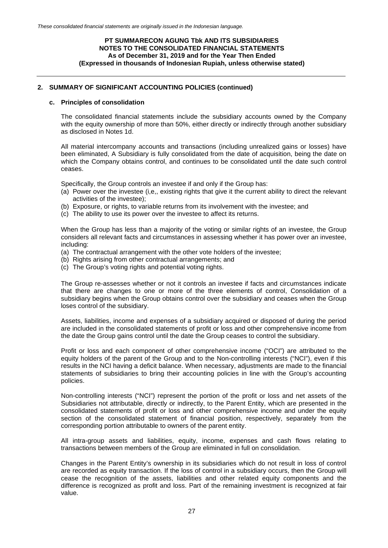## **2. SUMMARY OF SIGNIFICANT ACCOUNTING POLICIES (continued)**

#### **c. Principles of consolidation**

The consolidated financial statements include the subsidiary accounts owned by the Company with the equity ownership of more than 50%, either directly or indirectly through another subsidiary as disclosed in Notes 1d.

All material intercompany accounts and transactions (including unrealized gains or losses) have been eliminated, A Subsidiary is fully consolidated from the date of acquisition, being the date on which the Company obtains control, and continues to be consolidated until the date such control ceases.

Specifically, the Group controls an investee if and only if the Group has:

- (a) Power over the investee (i,e,, existing rights that give it the current ability to direct the relevant activities of the investee);
- (b) Exposure, or rights, to variable returns from its involvement with the investee; and
- (c) The ability to use its power over the investee to affect its returns.

When the Group has less than a majority of the voting or similar rights of an investee, the Group considers all relevant facts and circumstances in assessing whether it has power over an investee, including:

- (a) The contractual arrangement with the other vote holders of the investee;
- (b) Rights arising from other contractual arrangements; and
- (c) The Group's voting rights and potential voting rights.

The Group re-assesses whether or not it controls an investee if facts and circumstances indicate that there are changes to one or more of the three elements of control, Consolidation of a subsidiary begins when the Group obtains control over the subsidiary and ceases when the Group loses control of the subsidiary.

Assets, liabilities, income and expenses of a subsidiary acquired or disposed of during the period are included in the consolidated statements of profit or loss and other comprehensive income from the date the Group gains control until the date the Group ceases to control the subsidiary.

Profit or loss and each component of other comprehensive income ("OCI") are attributed to the equity holders of the parent of the Group and to the Non-controlling interests ("NCI"), even if this results in the NCI having a deficit balance. When necessary, adjustments are made to the financial statements of subsidiaries to bring their accounting policies in line with the Group's accounting policies.

Non-controlling interests ("NCI") represent the portion of the profit or loss and net assets of the Subsidiaries not attributable, directly or indirectly, to the Parent Entity, which are presented in the consolidated statements of profit or loss and other comprehensive income and under the equity section of the consolidated statement of financial position, respectively, separately from the corresponding portion attributable to owners of the parent entity.

All intra-group assets and liabilities, equity, income, expenses and cash flows relating to transactions between members of the Group are eliminated in full on consolidation.

Changes in the Parent Entity's ownership in its subsidiaries which do not result in loss of control are recorded as equity transaction. If the loss of control in a subsidiary occurs, then the Group will cease the recognition of the assets, liabilities and other related equity components and the difference is recognized as profit and loss. Part of the remaining investment is recognized at fair value.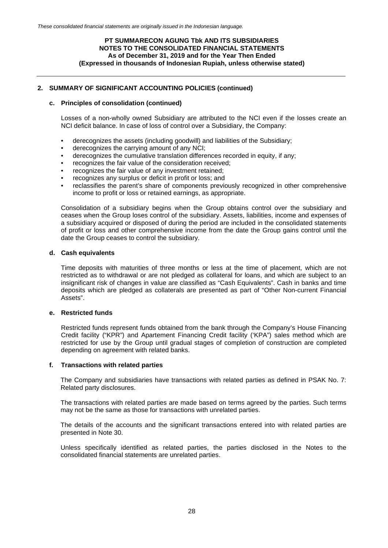## **2. SUMMARY OF SIGNIFICANT ACCOUNTING POLICIES (continued)**

#### **c. Principles of consolidation (continued)**

Losses of a non-wholly owned Subsidiary are attributed to the NCI even if the losses create an NCI deficit balance. In case of loss of control over a Subsidiary, the Company:

- derecognizes the assets (including goodwill) and liabilities of the Subsidiary;
- derecognizes the carrying amount of any NCI;
- derecognizes the cumulative translation differences recorded in equity, if any;
- recognizes the fair value of the consideration received;
- recognizes the fair value of any investment retained;
- recognizes any surplus or deficit in profit or loss; and
- reclassifies the parent's share of components previously recognized in other comprehensive income to profit or loss or retained earnings, as appropriate.

Consolidation of a subsidiary begins when the Group obtains control over the subsidiary and ceases when the Group loses control of the subsidiary. Assets, liabilities, income and expenses of a subsidiary acquired or disposed of during the period are included in the consolidated statements of profit or loss and other comprehensive income from the date the Group gains control until the date the Group ceases to control the subsidiary.

## **d. Cash equivalents**

Time deposits with maturities of three months or less at the time of placement, which are not restricted as to withdrawal or are not pledged as collateral for loans, and which are subject to an insignificant risk of changes in value are classified as "Cash Equivalents". Cash in banks and time deposits which are pledged as collaterals are presented as part of "Other Non-current Financial Assets".

#### **e. Restricted funds**

Restricted funds represent funds obtained from the bank through the Company's House Financing Credit facility ("KPR") and Apartement Financing Credit facility ('KPA") sales method which are restricted for use by the Group until gradual stages of completion of construction are completed depending on agreement with related banks.

#### **f. Transactions with related parties**

The Company and subsidiaries have transactions with related parties as defined in PSAK No. 7: Related party disclosures.

The transactions with related parties are made based on terms agreed by the parties. Such terms may not be the same as those for transactions with unrelated parties.

The details of the accounts and the significant transactions entered into with related parties are presented in Note 30.

Unless specifically identified as related parties, the parties disclosed in the Notes to the consolidated financial statements are unrelated parties.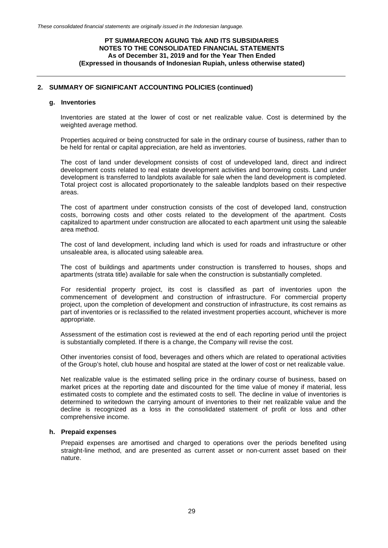## **2. SUMMARY OF SIGNIFICANT ACCOUNTING POLICIES (continued)**

#### **g. Inventories**

Inventories are stated at the lower of cost or net realizable value. Cost is determined by the weighted average method.

Properties acquired or being constructed for sale in the ordinary course of business, rather than to be held for rental or capital appreciation, are held as inventories.

The cost of land under development consists of cost of undeveloped land, direct and indirect development costs related to real estate development activities and borrowing costs. Land under development is transferred to landplots available for sale when the land development is completed. Total project cost is allocated proportionately to the saleable landplots based on their respective areas.

The cost of apartment under construction consists of the cost of developed land, construction costs, borrowing costs and other costs related to the development of the apartment. Costs capitalized to apartment under construction are allocated to each apartment unit using the saleable area method.

The cost of land development, including land which is used for roads and infrastructure or other unsaleable area, is allocated using saleable area.

The cost of buildings and apartments under construction is transferred to houses, shops and apartments (strata title) available for sale when the construction is substantially completed.

For residential property project, its cost is classified as part of inventories upon the commencement of development and construction of infrastructure. For commercial property project, upon the completion of development and construction of infrastructure, its cost remains as part of inventories or is reclassified to the related investment properties account, whichever is more appropriate.

Assessment of the estimation cost is reviewed at the end of each reporting period until the project is substantially completed. If there is a change, the Company will revise the cost.

Other inventories consist of food, beverages and others which are related to operational activities of the Group's hotel, club house and hospital are stated at the lower of cost or net realizable value.

Net realizable value is the estimated selling price in the ordinary course of business, based on market prices at the reporting date and discounted for the time value of money if material, less estimated costs to complete and the estimated costs to sell. The decline in value of inventories is determined to writedown the carrying amount of inventories to their net realizable value and the decline is recognized as a loss in the consolidated statement of profit or loss and other comprehensive income.

#### **h. Prepaid expenses**

Prepaid expenses are amortised and charged to operations over the periods benefited using straight-line method, and are presented as current asset or non-current asset based on their nature.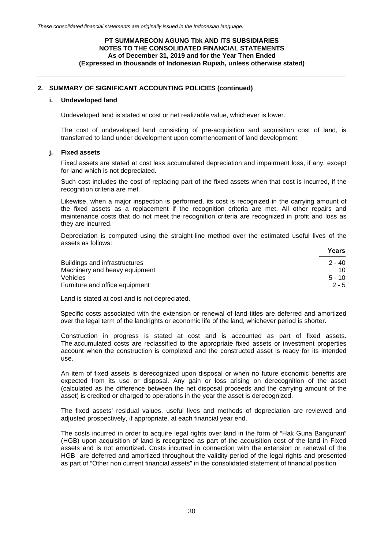## **2. SUMMARY OF SIGNIFICANT ACCOUNTING POLICIES (continued)**

#### **i. Undeveloped land**

Undeveloped land is stated at cost or net realizable value, whichever is lower.

The cost of undeveloped land consisting of pre-acquisition and acquisition cost of land, is transferred to land under development upon commencement of land development.

## **j. Fixed assets**

Fixed assets are stated at cost less accumulated depreciation and impairment loss, if any, except for land which is not depreciated.

Such cost includes the cost of replacing part of the fixed assets when that cost is incurred, if the recognition criteria are met.

Likewise, when a major inspection is performed, its cost is recognized in the carrying amount of the fixed assets as a replacement if the recognition criteria are met. All other repairs and maintenance costs that do not meet the recognition criteria are recognized in profit and loss as they are incurred.

Depreciation is computed using the straight-line method over the estimated useful lives of the assets as follows:

|                                | Years    |
|--------------------------------|----------|
| Buildings and infrastructures  | $2 - 40$ |
| Machinery and heavy equipment  | 10.      |
| Vehicles                       | $5 - 10$ |
| Furniture and office equipment | $2 - 5$  |

Land is stated at cost and is not depreciated.

Specific costs associated with the extension or renewal of land titles are deferred and amortized over the legal term of the landrights or economic life of the land, whichever period is shorter.

Construction in progress is stated at cost and is accounted as part of fixed assets. The accumulated costs are reclassified to the appropriate fixed assets or investment properties account when the construction is completed and the constructed asset is ready for its intended use.

An item of fixed assets is derecognized upon disposal or when no future economic benefits are expected from its use or disposal. Any gain or loss arising on derecognition of the asset (calculated as the difference between the net disposal proceeds and the carrying amount of the asset) is credited or charged to operations in the year the asset is derecognized.

The fixed assets' residual values, useful lives and methods of depreciation are reviewed and adjusted prospectively, if appropriate, at each financial year end.

The costs incurred in order to acquire legal rights over land in the form of "Hak Guna Bangunan" (HGB) upon acquisition of land is recognized as part of the acquisition cost of the land in Fixed assets and is not amortized. Costs incurred in connection with the extension or renewal of the HGB are deferred and amortized throughout the validity period of the legal rights and presented as part of "Other non current financial assets" in the consolidated statement of financial position.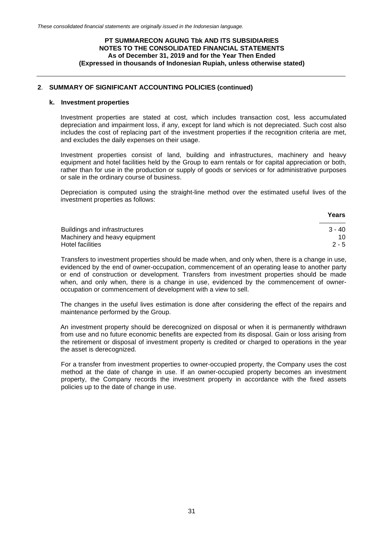## **2**. **SUMMARY OF SIGNIFICANT ACCOUNTING POLICIES (continued)**

#### **k. Investment properties**

Investment properties are stated at cost, which includes transaction cost, less accumulated depreciation and impairment loss, if any, except for land which is not depreciated. Such cost also includes the cost of replacing part of the investment properties if the recognition criteria are met, and excludes the daily expenses on their usage.

Investment properties consist of land, building and infrastructures, machinery and heavy equipment and hotel facilities held by the Group to earn rentals or for capital appreciation or both, rather than for use in the production or supply of goods or services or for administrative purposes or sale in the ordinary course of business.

Depreciation is computed using the straight-line method over the estimated useful lives of the investment properties as follows:

|                               | Years    |
|-------------------------------|----------|
| Buildings and infrastructures | $3 - 40$ |
| Machinery and heavy equipment | 10.      |
| Hotel facilities              | $2 - 5$  |

Transfers to investment properties should be made when, and only when, there is a change in use, evidenced by the end of owner-occupation, commencement of an operating lease to another party or end of construction or development. Transfers from investment properties should be made when, and only when, there is a change in use, evidenced by the commencement of owneroccupation or commencement of development with a view to sell.

The changes in the useful lives estimation is done after considering the effect of the repairs and maintenance performed by the Group.

An investment property should be derecognized on disposal or when it is permanently withdrawn from use and no future economic benefits are expected from its disposal. Gain or loss arising from the retirement or disposal of investment property is credited or charged to operations in the year the asset is derecognized.

For a transfer from investment properties to owner-occupied property, the Company uses the cost method at the date of change in use. If an owner-occupied property becomes an investment property, the Company records the investment property in accordance with the fixed assets policies up to the date of change in use.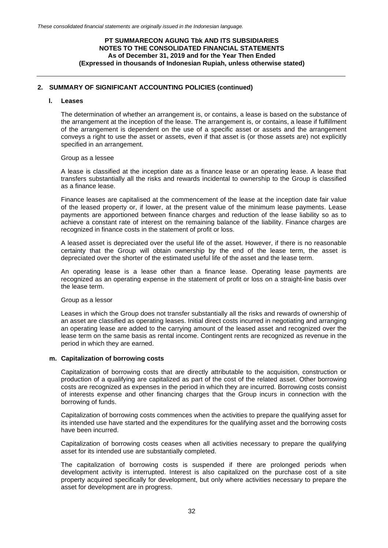## **2. SUMMARY OF SIGNIFICANT ACCOUNTING POLICIES (continued)**

### **l. Leases**

The determination of whether an arrangement is, or contains, a lease is based on the substance of the arrangement at the inception of the lease. The arrangement is, or contains, a lease if fulfillment of the arrangement is dependent on the use of a specific asset or assets and the arrangement conveys a right to use the asset or assets, even if that asset is (or those assets are) not explicitly specified in an arrangement.

#### Group as a lessee

A lease is classified at the inception date as a finance lease or an operating lease. A lease that transfers substantially all the risks and rewards incidental to ownership to the Group is classified as a finance lease.

Finance leases are capitalised at the commencement of the lease at the inception date fair value of the leased property or, if lower, at the present value of the minimum lease payments. Lease payments are apportioned between finance charges and reduction of the lease liability so as to achieve a constant rate of interest on the remaining balance of the liability. Finance charges are recognized in finance costs in the statement of profit or loss.

A leased asset is depreciated over the useful life of the asset. However, if there is no reasonable certainty that the Group will obtain ownership by the end of the lease term, the asset is depreciated over the shorter of the estimated useful life of the asset and the lease term.

An operating lease is a lease other than a finance lease. Operating lease payments are recognized as an operating expense in the statement of profit or loss on a straight-line basis over the lease term.

### Group as a lessor

Leases in which the Group does not transfer substantially all the risks and rewards of ownership of an asset are classified as operating leases. Initial direct costs incurred in negotiating and arranging an operating lease are added to the carrying amount of the leased asset and recognized over the lease term on the same basis as rental income. Contingent rents are recognized as revenue in the period in which they are earned.

### **m. Capitalization of borrowing costs**

Capitalization of borrowing costs that are directly attributable to the acquisition, construction or production of a qualifying are capitalized as part of the cost of the related asset. Other borrowing costs are recognized as expenses in the period in which they are incurred. Borrowing costs consist of interests expense and other financing charges that the Group incurs in connection with the borrowing of funds.

Capitalization of borrowing costs commences when the activities to prepare the qualifying asset for its intended use have started and the expenditures for the qualifying asset and the borrowing costs have been incurred.

Capitalization of borrowing costs ceases when all activities necessary to prepare the qualifying asset for its intended use are substantially completed.

The capitalization of borrowing costs is suspended if there are prolonged periods when development activity is interrupted. Interest is also capitalized on the purchase cost of a site property acquired specifically for development, but only where activities necessary to prepare the asset for development are in progress.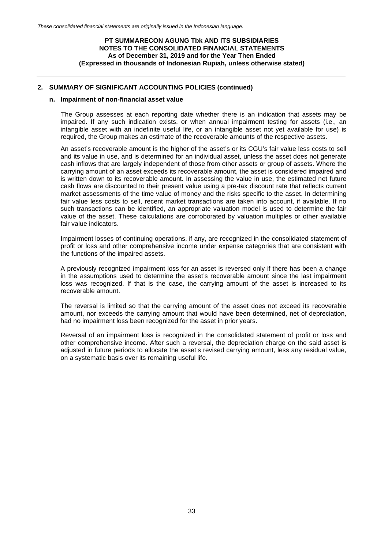## **2. SUMMARY OF SIGNIFICANT ACCOUNTING POLICIES (continued)**

#### **n. Impairment of non-financial asset value**

The Group assesses at each reporting date whether there is an indication that assets may be impaired. If any such indication exists, or when annual impairment testing for assets (i.e., an intangible asset with an indefinite useful life, or an intangible asset not yet available for use) is required, the Group makes an estimate of the recoverable amounts of the respective assets.

An asset's recoverable amount is the higher of the asset's or its CGU's fair value less costs to sell and its value in use, and is determined for an individual asset, unless the asset does not generate cash inflows that are largely independent of those from other assets or group of assets. Where the carrying amount of an asset exceeds its recoverable amount, the asset is considered impaired and is written down to its recoverable amount. In assessing the value in use, the estimated net future cash flows are discounted to their present value using a pre-tax discount rate that reflects current market assessments of the time value of money and the risks specific to the asset. In determining fair value less costs to sell, recent market transactions are taken into account, if available. If no such transactions can be identified, an appropriate valuation model is used to determine the fair value of the asset. These calculations are corroborated by valuation multiples or other available fair value indicators.

Impairment losses of continuing operations, if any, are recognized in the consolidated statement of profit or loss and other comprehensive income under expense categories that are consistent with the functions of the impaired assets.

A previously recognized impairment loss for an asset is reversed only if there has been a change in the assumptions used to determine the asset's recoverable amount since the last impairment loss was recognized. If that is the case, the carrying amount of the asset is increased to its recoverable amount.

The reversal is limited so that the carrying amount of the asset does not exceed its recoverable amount, nor exceeds the carrying amount that would have been determined, net of depreciation, had no impairment loss been recognized for the asset in prior years.

Reversal of an impairment loss is recognized in the consolidated statement of profit or loss and other comprehensive income. After such a reversal, the depreciation charge on the said asset is adjusted in future periods to allocate the asset's revised carrying amount, less any residual value, on a systematic basis over its remaining useful life.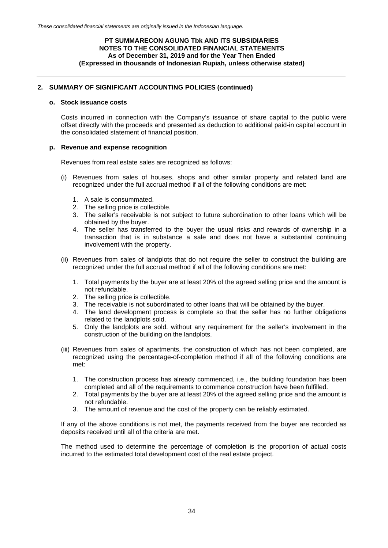## **2. SUMMARY OF SIGNIFICANT ACCOUNTING POLICIES (continued)**

### **o. Stock issuance costs**

Costs incurred in connection with the Company's issuance of share capital to the public were offset directly with the proceeds and presented as deduction to additional paid-in capital account in the consolidated statement of financial position.

### **p. Revenue and expense recognition**

Revenues from real estate sales are recognized as follows:

- (i) Revenues from sales of houses, shops and other similar property and related land are recognized under the full accrual method if all of the following conditions are met:
	- 1. A sale is consummated.
	- 2. The selling price is collectible.
	- 3. The seller's receivable is not subject to future subordination to other loans which will be obtained by the buyer.
	- 4. The seller has transferred to the buyer the usual risks and rewards of ownership in a transaction that is in substance a sale and does not have a substantial continuing involvement with the property.
- (ii) Revenues from sales of landplots that do not require the seller to construct the building are recognized under the full accrual method if all of the following conditions are met:
	- 1. Total payments by the buyer are at least 20% of the agreed selling price and the amount is not refundable.
	- 2. The selling price is collectible.
	- 3. The receivable is not subordinated to other loans that will be obtained by the buyer.
	- 4. The land development process is complete so that the seller has no further obligations related to the landplots sold.
	- 5. Only the landplots are sold. without any requirement for the seller's involvement in the construction of the building on the landplots.
- (iii) Revenues from sales of apartments, the construction of which has not been completed, are recognized using the percentage-of-completion method if all of the following conditions are met:
	- 1. The construction process has already commenced, i.e., the building foundation has been completed and all of the requirements to commence construction have been fulfilled.
	- 2. Total payments by the buyer are at least 20% of the agreed selling price and the amount is not refundable.
	- 3. The amount of revenue and the cost of the property can be reliably estimated.

If any of the above conditions is not met, the payments received from the buyer are recorded as deposits received until all of the criteria are met.

The method used to determine the percentage of completion is the proportion of actual costs incurred to the estimated total development cost of the real estate project.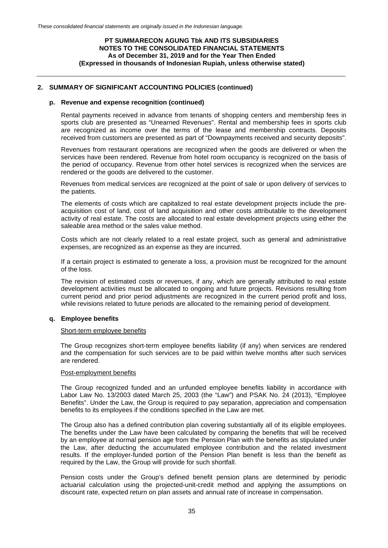## **2. SUMMARY OF SIGNIFICANT ACCOUNTING POLICIES (continued)**

### **p. Revenue and expense recognition (continued)**

Rental payments received in advance from tenants of shopping centers and membership fees in sports club are presented as "Unearned Revenues". Rental and membership fees in sports club are recognized as income over the terms of the lease and membership contracts. Deposits received from customers are presented as part of "Downpayments received and security deposits".

Revenues from restaurant operations are recognized when the goods are delivered or when the services have been rendered. Revenue from hotel room occupancy is recognized on the basis of the period of occupancy. Revenue from other hotel services is recognized when the services are rendered or the goods are delivered to the customer.

Revenues from medical services are recognized at the point of sale or upon delivery of services to the patients.

The elements of costs which are capitalized to real estate development projects include the preacquisition cost of land, cost of land acquisition and other costs attributable to the development activity of real estate. The costs are allocated to real estate development projects using either the saleable area method or the sales value method.

Costs which are not clearly related to a real estate project, such as general and administrative expenses, are recognized as an expense as they are incurred.

If a certain project is estimated to generate a loss, a provision must be recognized for the amount of the loss.

The revision of estimated costs or revenues, if any, which are generally attributed to real estate development activities must be allocated to ongoing and future projects. Revisions resulting from current period and prior period adjustments are recognized in the current period profit and loss. while revisions related to future periods are allocated to the remaining period of development.

### **q. Employee benefits**

#### Short-term employee benefits

The Group recognizes short-term employee benefits liability (if any) when services are rendered and the compensation for such services are to be paid within twelve months after such services are rendered.

#### Post-employment benefits

The Group recognized funded and an unfunded employee benefits liability in accordance with Labor Law No. 13/2003 dated March 25, 2003 (the "Law") and PSAK No. 24 (2013), "Employee Benefits". Under the Law, the Group is required to pay separation, appreciation and compensation benefits to its employees if the conditions specified in the Law are met.

The Group also has a defined contribution plan covering substantially all of its eligible employees. The benefits under the Law have been calculated by comparing the benefits that will be received by an employee at normal pension age from the Pension Plan with the benefits as stipulated under the Law, after deducting the accumulated employee contribution and the related investment results. If the employer-funded portion of the Pension Plan benefit is less than the benefit as required by the Law, the Group will provide for such shortfall.

Pension costs under the Group's defined benefit pension plans are determined by periodic actuarial calculation using the projected-unit-credit method and applying the assumptions on discount rate, expected return on plan assets and annual rate of increase in compensation.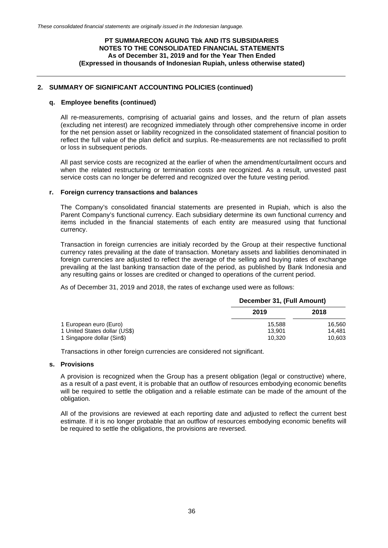## **2. SUMMARY OF SIGNIFICANT ACCOUNTING POLICIES (continued)**

### **q. Employee benefits (continued)**

All re-measurements, comprising of actuarial gains and losses, and the return of plan assets (excluding net interest) are recognized immediately through other comprehensive income in order for the net pension asset or liability recognized in the consolidated statement of financial position to reflect the full value of the plan deficit and surplus. Re-measurements are not reclassified to profit or loss in subsequent periods.

All past service costs are recognized at the earlier of when the amendment/curtailment occurs and when the related restructuring or termination costs are recognized. As a result, unvested past service costs can no longer be deferred and recognized over the future vesting period.

### **r. Foreign currency transactions and balances**

The Company's consolidated financial statements are presented in Rupiah, which is also the Parent Company's functional currency. Each subsidiary determine its own functional currency and items included in the financial statements of each entity are measured using that functional currency.

Transaction in foreign currencies are initialy recorded by the Group at their respective functional currency rates prevailing at the date of transaction. Monetary assets and liabilities denominated in foreign currencies are adjusted to reflect the average of the selling and buying rates of exchange prevailing at the last banking transaction date of the period, as published by Bank Indonesia and any resulting gains or losses are credited or changed to operations of the current period.

As of December 31, 2019 and 2018, the rates of exchange used were as follows:

|                               | December 31, (Full Amount) |        |
|-------------------------------|----------------------------|--------|
|                               | 2019                       | 2018   |
| 1 European euro (Euro)        | 15.588                     | 16.560 |
| 1 United States dollar (US\$) | 13.901                     | 14.481 |
| 1 Singapore dollar (Sin\$)    | 10.320                     | 10,603 |

Transactions in other foreign currencies are considered not significant.

### **s. Provisions**

A provision is recognized when the Group has a present obligation (legal or constructive) where, as a result of a past event, it is probable that an outflow of resources embodying economic benefits will be required to settle the obligation and a reliable estimate can be made of the amount of the obligation.

All of the provisions are reviewed at each reporting date and adjusted to reflect the current best estimate. If it is no longer probable that an outflow of resources embodying economic benefits will be required to settle the obligations, the provisions are reversed.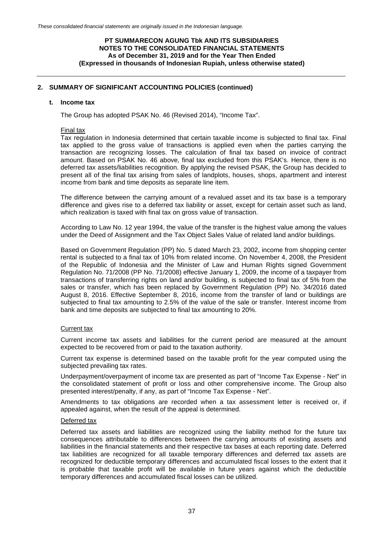## **2. SUMMARY OF SIGNIFICANT ACCOUNTING POLICIES (continued)**

### **t. Income tax**

The Group has adopted PSAK No. 46 (Revised 2014), "Income Tax".

#### Final tax

Tax regulation in Indonesia determined that certain taxable income is subjected to final tax. Final tax applied to the gross value of transactions is applied even when the parties carrying the transaction are recognizing losses. The calculation of final tax based on invoice of contract amount. Based on PSAK No. 46 above, final tax excluded from this PSAK's. Hence, there is no deferred tax assets/liabilities recognition. By applying the revised PSAK, the Group has decided to present all of the final tax arising from sales of landplots, houses, shops, apartment and interest income from bank and time deposits as separate line item.

The difference between the carrying amount of a revalued asset and its tax base is a temporary difference and gives rise to a deferred tax liability or asset, except for certain asset such as land, which realization is taxed with final tax on gross value of transaction.

According to Law No. 12 year 1994, the value of the transfer is the highest value among the values under the Deed of Assignment and the Tax Object Sales Value of related land and/or buildings.

Based on Government Regulation (PP) No. 5 dated March 23, 2002, income from shopping center rental is subjected to a final tax of 10% from related income. On November 4, 2008, the President of the Republic of Indonesia and the Minister of Law and Human Rights signed Government Regulation No. 71/2008 (PP No. 71/2008) effective January 1, 2009, the income of a taxpayer from transactions of transferring rights on land and/or building, is subjected to final tax of 5% from the sales or transfer, which has been replaced by Government Regulation (PP) No. 34/2016 dated August 8, 2016. Effective September 8, 2016, income from the transfer of land or buildings are subjected to final tax amounting to 2.5% of the value of the sale or transfer. Interest income from bank and time deposits are subjected to final tax amounting to 20%.

### Current tax

Current income tax assets and liabilities for the current period are measured at the amount expected to be recovered from or paid to the taxation authority.

Current tax expense is determined based on the taxable profit for the year computed using the subjected prevailing tax rates.

Underpayment/overpayment of income tax are presented as part of "Income Tax Expense - Net" in the consolidated statement of profit or loss and other comprehensive income. The Group also presented interest/penalty, if any, as part of "Income Tax Expense - Net".

Amendments to tax obligations are recorded when a tax assessment letter is received or, if appealed against, when the result of the appeal is determined.

### Deferred tax

Deferred tax assets and liabilities are recognized using the liability method for the future tax consequences attributable to differences between the carrying amounts of existing assets and liabilities in the financial statements and their respective tax bases at each reporting date. Deferred tax liabilities are recognized for all taxable temporary differences and deferred tax assets are recognized for deductible temporary differences and accumulated fiscal losses to the extent that it is probable that taxable profit will be available in future years against which the deductible temporary differences and accumulated fiscal losses can be utilized.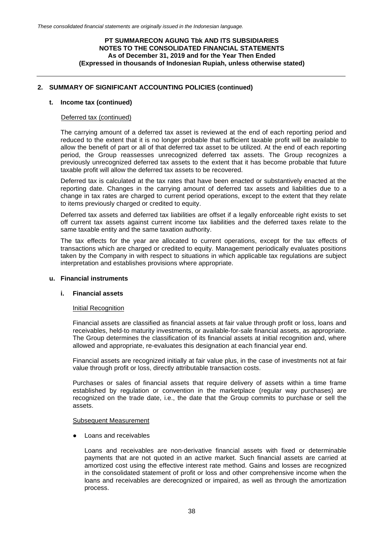## **2. SUMMARY OF SIGNIFICANT ACCOUNTING POLICIES (continued)**

### **t. Income tax (continued)**

### Deferred tax (continued)

The carrying amount of a deferred tax asset is reviewed at the end of each reporting period and reduced to the extent that it is no longer probable that sufficient taxable profit will be available to allow the benefit of part or all of that deferred tax asset to be utilized. At the end of each reporting period, the Group reassesses unrecognized deferred tax assets. The Group recognizes a previously unrecognized deferred tax assets to the extent that it has become probable that future taxable profit will allow the deferred tax assets to be recovered.

Deferred tax is calculated at the tax rates that have been enacted or substantively enacted at the reporting date. Changes in the carrying amount of deferred tax assets and liabilities due to a change in tax rates are charged to current period operations, except to the extent that they relate to items previously charged or credited to equity.

Deferred tax assets and deferred tax liabilities are offset if a legally enforceable right exists to set off current tax assets against current income tax liabilities and the deferred taxes relate to the same taxable entity and the same taxation authority.

The tax effects for the year are allocated to current operations, except for the tax effects of transactions which are charged or credited to equity. Management periodically evaluates positions taken by the Company in with respect to situations in which applicable tax regulations are subject interpretation and establishes provisions where appropriate.

### **u. Financial instruments**

### **i. Financial assets**

### Initial Recognition

Financial assets are classified as financial assets at fair value through profit or loss, loans and receivables, held-to maturity investments, or available-for-sale financial assets, as appropriate. The Group determines the classification of its financial assets at initial recognition and, where allowed and appropriate, re-evaluates this designation at each financial year end.

Financial assets are recognized initially at fair value plus, in the case of investments not at fair value through profit or loss, directly attributable transaction costs.

Purchases or sales of financial assets that require delivery of assets within a time frame established by regulation or convention in the marketplace (regular way purchases) are recognized on the trade date, i.e., the date that the Group commits to purchase or sell the assets.

#### Subsequent Measurement

**Loans and receivables** 

Loans and receivables are non-derivative financial assets with fixed or determinable payments that are not quoted in an active market. Such financial assets are carried at amortized cost using the effective interest rate method. Gains and losses are recognized in the consolidated statement of profit or loss and other comprehensive income when the loans and receivables are derecognized or impaired, as well as through the amortization process.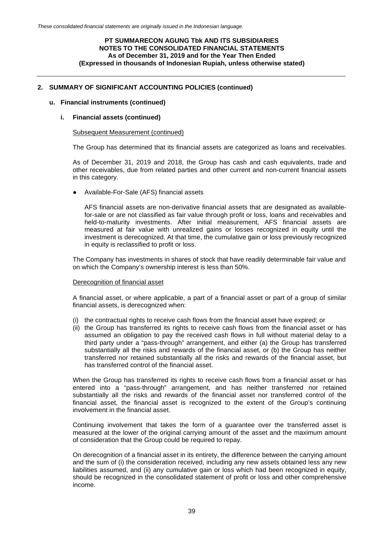## **2. SUMMARY OF SIGNIFICANT ACCOUNTING POLICIES (continued)**

### **u. Financial instruments (continued)**

## **i. Financial assets (continued)**

#### Subsequent Measurement (continued)

The Group has determined that its financial assets are categorized as loans and receivables.

As of December 31, 2019 and 2018, the Group has cash and cash equivalents, trade and other receivables, due from related parties and other current and non-current financial assets in this category.

Available-For-Sale (AFS) financial assets

AFS financial assets are non-derivative financial assets that are designated as availablefor-sale or are not classified as fair value through profit or loss, loans and receivables and held-to-maturity investments. After initial measurement, AFS financial assets are measured at fair value with unrealized gains or losses recognized in equity until the investment is derecognized. At that time, the cumulative gain or loss previously recognized in equity is reclassified to profit or loss.

The Company has investments in shares of stock that have readily determinable fair value and on which the Company's ownership interest is less than 50%.

### Derecognition of financial asset

A financial asset, or where applicable, a part of a financial asset or part of a group of similar financial assets, is derecognized when:

- (i) the contractual rights to receive cash flows from the financial asset have expired; or
- (ii) the Group has transferred its rights to receive cash flows from the financial asset or has assumed an obligation to pay the received cash flows in full without material delay to a third party under a "pass-through" arrangement, and either (a) the Group has transferred substantially all the risks and rewards of the financial asset, or (b) the Group has neither transferred nor retained substantially all the risks and rewards of the financial asset, but has transferred control of the financial asset.

When the Group has transferred its rights to receive cash flows from a financial asset or has entered into a "pass-through" arrangement, and has neither transferred nor retained substantially all the risks and rewards of the financial asset nor transferred control of the financial asset, the financial asset is recognized to the extent of the Group's continuing involvement in the financial asset.

Continuing involvement that takes the form of a guarantee over the transferred asset is measured at the lower of the original carrying amount of the asset and the maximum amount of consideration that the Group could be required to repay.

On derecognition of a financial asset in its entirety, the difference between the carrying amount and the sum of (i) the consideration received, including any new assets obtained less any new liabilities assumed, and (ii) any cumulative gain or loss which had been recognized in equity, should be recognized in the consolidated statement of profit or loss and other comprehensive income.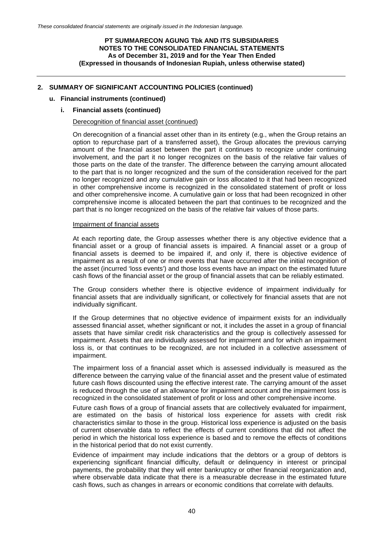## **2. SUMMARY OF SIGNIFICANT ACCOUNTING POLICIES (continued)**

### **u. Financial instruments (continued)**

# **i. Financial assets (continued)**

### Derecognition of financial asset (continued)

On derecognition of a financial asset other than in its entirety (e.g., when the Group retains an option to repurchase part of a transferred asset), the Group allocates the previous carrying amount of the financial asset between the part it continues to recognize under continuing involvement, and the part it no longer recognizes on the basis of the relative fair values of those parts on the date of the transfer. The difference between the carrying amount allocated to the part that is no longer recognized and the sum of the consideration received for the part no longer recognized and any cumulative gain or loss allocated to it that had been recognized in other comprehensive income is recognized in the consolidated statement of profit or loss and other comprehensive income. A cumulative gain or loss that had been recognized in other comprehensive income is allocated between the part that continues to be recognized and the part that is no longer recognized on the basis of the relative fair values of those parts.

### Impairment of financial assets

At each reporting date, the Group assesses whether there is any objective evidence that a financial asset or a group of financial assets is impaired. A financial asset or a group of financial assets is deemed to be impaired if, and only if, there is objective evidence of impairment as a result of one or more events that have occurred after the initial recognition of the asset (incurred 'loss events') and those loss events have an impact on the estimated future cash flows of the financial asset or the group of financial assets that can be reliably estimated.

The Group considers whether there is objective evidence of impairment individually for financial assets that are individually significant, or collectively for financial assets that are not individually significant.

If the Group determines that no objective evidence of impairment exists for an individually assessed financial asset, whether significant or not, it includes the asset in a group of financial assets that have similar credit risk characteristics and the group is collectively assessed for impairment. Assets that are individually assessed for impairment and for which an impairment loss is, or that continues to be recognized, are not included in a collective assessment of impairment.

The impairment loss of a financial asset which is assessed individually is measured as the difference between the carrying value of the financial asset and the present value of estimated future cash flows discounted using the effective interest rate. The carrying amount of the asset is reduced through the use of an allowance for impairment account and the impairment loss is recognized in the consolidated statement of profit or loss and other comprehensive income.

Future cash flows of a group of financial assets that are collectively evaluated for impairment, are estimated on the basis of historical loss experience for assets with credit risk characteristics similar to those in the group. Historical loss experience is adjusted on the basis of current observable data to reflect the effects of current conditions that did not affect the period in which the historical loss experience is based and to remove the effects of conditions in the historical period that do not exist currently.

Evidence of impairment may include indications that the debtors or a group of debtors is experiencing significant financial difficulty, default or delinquency in interest or principal payments, the probability that they will enter bankruptcy or other financial reorganization and, where observable data indicate that there is a measurable decrease in the estimated future cash flows, such as changes in arrears or economic conditions that correlate with defaults.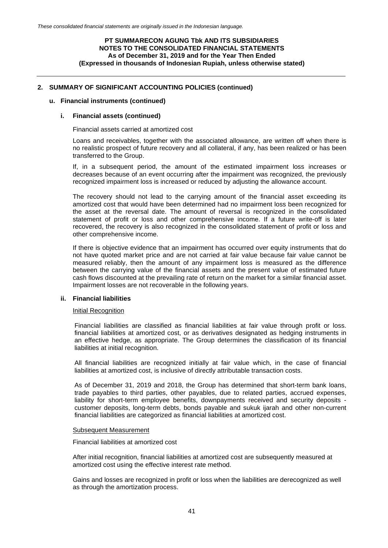## **2. SUMMARY OF SIGNIFICANT ACCOUNTING POLICIES (continued)**

### **u. Financial instruments (continued)**

### **i. Financial assets (continued)**

Financial assets carried at amortized cost

Loans and receivables, together with the associated allowance, are written off when there is no realistic prospect of future recovery and all collateral, if any, has been realized or has been transferred to the Group.

If, in a subsequent period, the amount of the estimated impairment loss increases or decreases because of an event occurring after the impairment was recognized, the previously recognized impairment loss is increased or reduced by adjusting the allowance account.

The recovery should not lead to the carrying amount of the financial asset exceeding its amortized cost that would have been determined had no impairment loss been recognized for the asset at the reversal date. The amount of reversal is recognized in the consolidated statement of profit or loss and other comprehensive income. If a future write-off is later recovered, the recovery is also recognized in the consolidated statement of profit or loss and other comprehensive income.

If there is objective evidence that an impairment has occurred over equity instruments that do not have quoted market price and are not carried at fair value because fair value cannot be measured reliably, then the amount of any impairment loss is measured as the difference between the carrying value of the financial assets and the present value of estimated future cash flows discounted at the prevailing rate of return on the market for a similar financial asset. Impairment losses are not recoverable in the following years.

### **ii. Financial liabilities**

### Initial Recognition

Financial liabilities are classified as financial liabilities at fair value through profit or loss. financial liabilities at amortized cost, or as derivatives designated as hedging instruments in an effective hedge, as appropriate. The Group determines the classification of its financial liabilities at initial recognition.

All financial liabilities are recognized initially at fair value which, in the case of financial liabilities at amortized cost, is inclusive of directly attributable transaction costs.

As of December 31, 2019 and 2018, the Group has determined that short-term bank loans, trade payables to third parties, other payables, due to related parties, accrued expenses, liability for short-term employee benefits, downpayments received and security deposits customer deposits, long-term debts, bonds payable and sukuk ijarah and other non-current financial liabilities are categorized as financial liabilities at amortized cost.

#### Subsequent Measurement

Financial liabilities at amortized cost

After initial recognition, financial liabilities at amortized cost are subsequently measured at amortized cost using the effective interest rate method.

Gains and losses are recognized in profit or loss when the liabilities are derecognized as well as through the amortization process.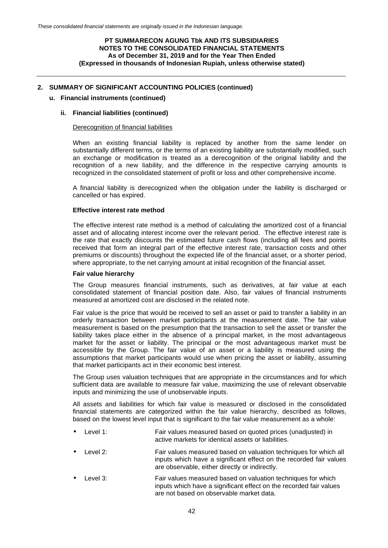## **2. SUMMARY OF SIGNIFICANT ACCOUNTING POLICIES (continued)**

### **u. Financial instruments (continued)**

#### **ii. Financial liabilities (continued)**

#### Derecognition of financial liabilities

When an existing financial liability is replaced by another from the same lender on substantially different terms, or the terms of an existing liability are substantially modified, such an exchange or modification is treated as a derecognition of the original liability and the recognition of a new liability, and the difference in the respective carrying amounts is recognized in the consolidated statement of profit or loss and other comprehensive income.

A financial liability is derecognized when the obligation under the liability is discharged or cancelled or has expired.

#### **Effective interest rate method**

The effective interest rate method is a method of calculating the amortized cost of a financial asset and of allocating interest income over the relevant period. The effective interest rate is the rate that exactly discounts the estimated future cash flows (including all fees and points received that form an integral part of the effective interest rate, transaction costs and other premiums or discounts) throughout the expected life of the financial asset, or a shorter period, where appropriate, to the net carrying amount at initial recognition of the financial asset.

#### **Fair value hierarchy**

The Group measures financial instruments, such as derivatives, at fair value at each consolidated statement of financial position date. Also, fair values of financial instruments measured at amortized cost are disclosed in the related note.

Fair value is the price that would be received to sell an asset or paid to transfer a liability in an orderly transaction between market participants at the measurement date. The fair value measurement is based on the presumption that the transaction to sell the asset or transfer the liability takes place either in the absence of a principal market, in the most advantageous market for the asset or liability. The principal or the most advantageous market must be accessible by the Group. The fair value of an asset or a liability is measured using the assumptions that market participants would use when pricing the asset or liability, assuming that market participants act in their economic best interest.

The Group uses valuation techniques that are appropriate in the circumstances and for which sufficient data are available to measure fair value, maximizing the use of relevant observable inputs and minimizing the use of unobservable inputs.

All assets and liabilities for which fair value is measured or disclosed in the consolidated financial statements are categorized within the fair value hierarchy, described as follows, based on the lowest level input that is significant to the fair value measurement as a whole:

- Level 1: Fair values measured based on quoted prices (unadjusted) in active markets for identical assets or liabilities.
- Level 2: Fair values measured based on valuation techniques for which all inputs which have a significant effect on the recorded fair values are observable, either directly or indirectly.
- Level 3: Fair values measured based on valuation techniques for which inputs which have a significant effect on the recorded fair values are not based on observable market data.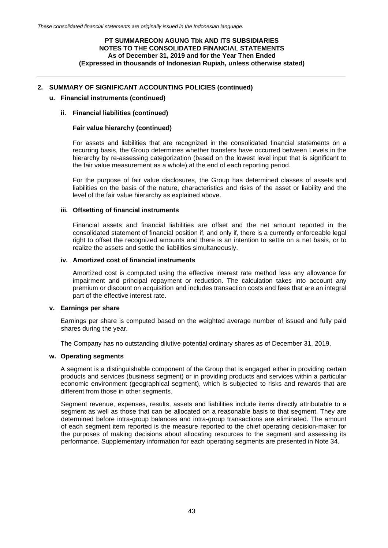## **2. SUMMARY OF SIGNIFICANT ACCOUNTING POLICIES (continued)**

### **u. Financial instruments (continued)**

### **ii. Financial liabilities (continued)**

### **Fair value hierarchy (continued)**

For assets and liabilities that are recognized in the consolidated financial statements on a recurring basis, the Group determines whether transfers have occurred between Levels in the hierarchy by re-assessing categorization (based on the lowest level input that is significant to the fair value measurement as a whole) at the end of each reporting period.

For the purpose of fair value disclosures, the Group has determined classes of assets and liabilities on the basis of the nature, characteristics and risks of the asset or liability and the level of the fair value hierarchy as explained above.

#### **iii. Offsetting of financial instruments**

Financial assets and financial liabilities are offset and the net amount reported in the consolidated statement of financial position if, and only if, there is a currently enforceable legal right to offset the recognized amounts and there is an intention to settle on a net basis, or to realize the assets and settle the liabilities simultaneously.

### **iv. Amortized cost of financial instruments**

Amortized cost is computed using the effective interest rate method less any allowance for impairment and principal repayment or reduction. The calculation takes into account any premium or discount on acquisition and includes transaction costs and fees that are an integral part of the effective interest rate.

### **v. Earnings per share**

Earnings per share is computed based on the weighted average number of issued and fully paid shares during the year.

The Company has no outstanding dilutive potential ordinary shares as of December 31, 2019.

### **w. Operating segments**

A segment is a distinguishable component of the Group that is engaged either in providing certain products and services (business segment) or in providing products and services within a particular economic environment (geographical segment), which is subjected to risks and rewards that are different from those in other segments.

Segment revenue, expenses, results, assets and liabilities include items directly attributable to a segment as well as those that can be allocated on a reasonable basis to that segment. They are determined before intra-group balances and intra-group transactions are eliminated. The amount of each segment item reported is the measure reported to the chief operating decision-maker for the purposes of making decisions about allocating resources to the segment and assessing its performance. Supplementary information for each operating segments are presented in Note 34.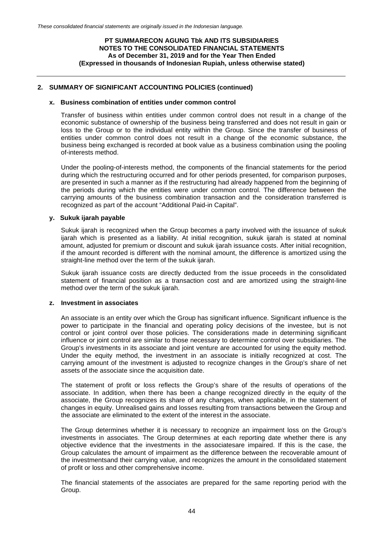## **2. SUMMARY OF SIGNIFICANT ACCOUNTING POLICIES (continued)**

#### **x. Business combination of entities under common control**

Transfer of business within entities under common control does not result in a change of the economic substance of ownership of the business being transferred and does not result in gain or loss to the Group or to the individual entity within the Group. Since the transfer of business of entities under common control does not result in a change of the economic substance, the business being exchanged is recorded at book value as a business combination using the pooling of-interests method.

Under the pooling-of-interests method, the components of the financial statements for the period during which the restructuring occurred and for other periods presented, for comparison purposes, are presented in such a manner as if the restructuring had already happened from the beginning of the periods during which the entities were under common control. The difference between the carrying amounts of the business combination transaction and the consideration transferred is recognized as part of the account "Additional Paid-in Capital".

### **y. Sukuk ijarah payable**

Sukuk ijarah is recognized when the Group becomes a party involved with the issuance of sukuk ijarah which is presented as a liability. At initial recognition, sukuk ijarah is stated at nominal amount, adjusted for premium or discount and sukuk ijarah issuance costs. After initial recognition, if the amount recorded is different with the nominal amount, the difference is amortized using the straight-line method over the term of the sukuk ijarah.

Sukuk ijarah issuance costs are directly deducted from the issue proceeds in the consolidated statement of financial position as a transaction cost and are amortized using the straight-line method over the term of the sukuk ijarah.

### **z. Investment in associates**

An associate is an entity over which the Group has significant influence. Significant influence is the power to participate in the financial and operating policy decisions of the investee, but is not control or joint control over those policies. The considerations made in determining significant influence or joint control are similar to those necessary to determine control over subsidiaries. The Group's investments in its associate and joint venture are accounted for using the equity method. Under the equity method, the investment in an associate is initially recognized at cost. The carrying amount of the investment is adjusted to recognize changes in the Group's share of net assets of the associate since the acquisition date.

The statement of profit or loss reflects the Group's share of the results of operations of the associate. In addition, when there has been a change recognized directly in the equity of the associate, the Group recognizes its share of any changes, when applicable, in the statement of changes in equity. Unrealised gains and losses resulting from transactions between the Group and the associate are eliminated to the extent of the interest in the associate.

The Group determines whether it is necessary to recognize an impairment loss on the Group's investments in associates. The Group determines at each reporting date whether there is any objective evidence that the investments in the associatesare impaired. If this is the case, the Group calculates the amount of impairment as the difference between the recoverable amount of the investmentsand their carrying value, and recognizes the amount in the consolidated statement of profit or loss and other comprehensive income.

The financial statements of the associates are prepared for the same reporting period with the Group.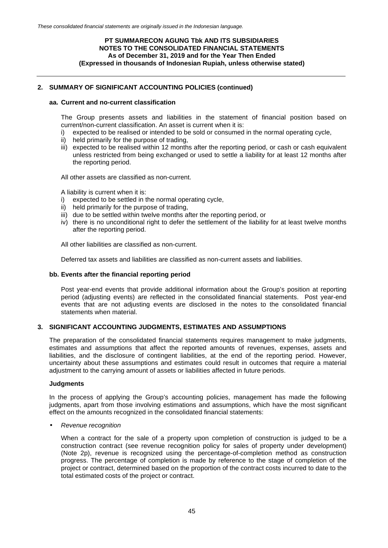## **2. SUMMARY OF SIGNIFICANT ACCOUNTING POLICIES (continued)**

### **aa. Current and no-current classification**

The Group presents assets and liabilities in the statement of financial position based on current/non-current classification. An asset is current when it is:

- i) expected to be realised or intended to be sold or consumed in the normal operating cycle,
- ii) held primarily for the purpose of trading,
- iii) expected to be realised within 12 months after the reporting period, or cash or cash equivalent unless restricted from being exchanged or used to settle a liability for at least 12 months after the reporting period.

All other assets are classified as non-current.

A liability is current when it is:

- i) expected to be settled in the normal operating cycle,
- ii) held primarily for the purpose of trading,
- iii) due to be settled within twelve months after the reporting period, or
- iv) there is no unconditional right to defer the settlement of the liability for at least twelve months after the reporting period.

All other liabilities are classified as non-current.

Deferred tax assets and liabilities are classified as non-current assets and liabilities.

### **bb. Events after the financial reporting period**

Post year-end events that provide additional information about the Group's position at reporting period (adjusting events) are reflected in the consolidated financial statements. Post year-end events that are not adjusting events are disclosed in the notes to the consolidated financial statements when material.

### **3. SIGNIFICANT ACCOUNTING JUDGMENTS, ESTIMATES AND ASSUMPTIONS**

The preparation of the consolidated financial statements requires management to make judgments, estimates and assumptions that affect the reported amounts of revenues, expenses, assets and liabilities, and the disclosure of contingent liabilities, at the end of the reporting period. However, uncertainty about these assumptions and estimates could result in outcomes that require a material adjustment to the carrying amount of assets or liabilities affected in future periods.

### **Judgments**

In the process of applying the Group's accounting policies, management has made the following judgments, apart from those involving estimations and assumptions, which have the most significant effect on the amounts recognized in the consolidated financial statements:

### *Revenue recognition*

When a contract for the sale of a property upon completion of construction is judged to be a construction contract (see revenue recognition policy for sales of property under development) (Note 2p), revenue is recognized using the percentage-of-completion method as construction progress. The percentage of completion is made by reference to the stage of completion of the project or contract, determined based on the proportion of the contract costs incurred to date to the total estimated costs of the project or contract.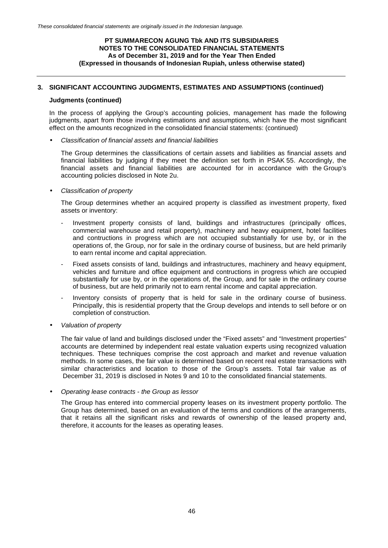## **3. SIGNIFICANT ACCOUNTING JUDGMENTS, ESTIMATES AND ASSUMPTIONS (continued)**

### **Judgments (continued)**

In the process of applying the Group's accounting policies, management has made the following judgments, apart from those involving estimations and assumptions, which have the most significant effect on the amounts recognized in the consolidated financial statements: (continued)

*Classification of financial assets and financial liabilities* 

The Group determines the classifications of certain assets and liabilities as financial assets and financial liabilities by judging if they meet the definition set forth in PSAK 55. Accordingly, the financial assets and financial liabilities are accounted for in accordance with the Group's accounting policies disclosed in Note 2u.

### *Classification of property*

The Group determines whether an acquired property is classified as investment property, fixed assets or inventory:

- Investment property consists of land, buildings and infrastructures (principally offices, commercial warehouse and retail property), machinery and heavy equipment, hotel facilities and contructions in progress which are not occupied substantially for use by, or in the operations of, the Group, nor for sale in the ordinary course of business, but are held primarily to earn rental income and capital appreciation.
- Fixed assets consists of land, buildings and infrastructures, machinery and heavy equipment, vehicles and furniture and office equipment and contructions in progress which are occupied substantially for use by, or in the operations of, the Group, and for sale in the ordinary course of business, but are held primarily not to earn rental income and capital appreciation.
- Inventory consists of property that is held for sale in the ordinary course of business. Principally, this is residential property that the Group develops and intends to sell before or on completion of construction.
- *Valuation of property*

The fair value of land and buildings disclosed under the "Fixed assets" and "Investment properties" accounts are determined by independent real estate valuation experts using recognized valuation techniques. These techniques comprise the cost approach and market and revenue valuation methods. In some cases, the fair value is determined based on recent real estate transactions with similar characteristics and location to those of the Group's assets. Total fair value as of December 31, 2019 is disclosed in Notes 9 and 10 to the consolidated financial statements.

*Operating lease contracts - the Group as lessor* 

The Group has entered into commercial property leases on its investment property portfolio. The Group has determined, based on an evaluation of the terms and conditions of the arrangements, that it retains all the significant risks and rewards of ownership of the leased property and, therefore, it accounts for the leases as operating leases.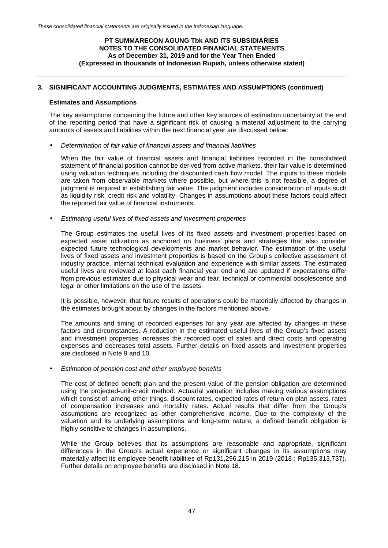## **3. SIGNIFICANT ACCOUNTING JUDGMENTS, ESTIMATES AND ASSUMPTIONS (continued)**

### **Estimates and Assumptions**

The key assumptions concerning the future and other key sources of estimation uncertainty at the end of the reporting period that have a significant risk of causing a material adjustment to the carrying amounts of assets and liabilities within the next financial year are discussed below:

*Determination of fair value of financial assets and financial liabilities*

When the fair value of financial assets and financial liabilities recorded in the consolidated statement of financial position cannot be derived from active markets, their fair value is determined using valuation techniques including the discounted cash flow model. The inputs to these models are taken from observable markets where possible, but where this is not feasible, a degree of judgment is required in establishing fair value. The judgment includes consideration of inputs such as liquidity risk, credit risk and volatility. Changes in assumptions about these factors could affect the reported fair value of financial instruments.

### *Estimating useful lives of fixed assets and investment properties*

The Group estimates the useful lives of its fixed assets and investment properties based on expected asset utilization as anchored on business plans and strategies that also consider expected future technological developments and market behavior. The estimation of the useful lives of fixed assets and investment properties is based on the Group's collective assessment of industry practice, internal technical evaluation and experience with similar assets. The estimated useful lives are reviewed at least each financial year end and are updated if expectations differ from previous estimates due to physical wear and tear, technical or commercial obsolescence and legal or other limitations on the use of the assets.

It is possible, however, that future results of operations could be materially affected by changes in the estimates brought about by changes in the factors mentioned above.

The amounts and timing of recorded expenses for any year are affected by changes in these factors and circumstances. A reduction in the estimated useful lives of the Group's fixed assets and investment properties increases the recorded cost of sales and direct costs and operating expenses and decreases total assets. Further details on fixed assets and investment properties are disclosed in Note 9 and 10.

### *Estimation of pension cost and other employee benefits*

The cost of defined benefit plan and the present value of the pension obligation are determined using the projected-unit-credit method. Actuarial valuation includes making various assumptions which consist of, among other things, discount rates, expected rates of return on plan assets, rates of compensation increases and mortality rates. Actual results that differ from the Group's assumptions are recognized as other comprehensive income. Due to the complexity of the valuation and its underlying assumptions and long-term nature, a defined benefit obligation is highly sensitive to changes in assumptions.

While the Group believes that its assumptions are reasonable and appropriate, significant differences in the Group's actual experience or significant changes in its assumptions may materially affect its employee benefit liabilities of Rp131,296,215 in 2019 (2018 : Rp135,313,737). Further details on employee benefits are disclosed in Note 18.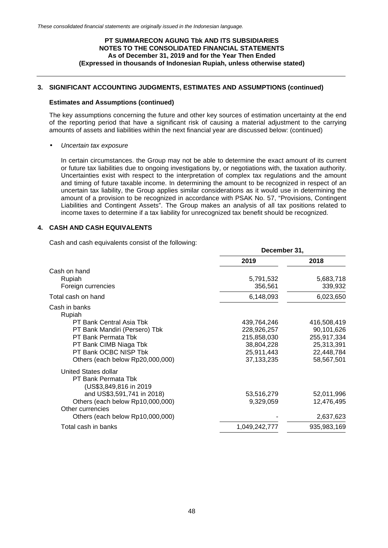### **3. SIGNIFICANT ACCOUNTING JUDGMENTS, ESTIMATES AND ASSUMPTIONS (continued)**

### **Estimates and Assumptions (continued)**

The key assumptions concerning the future and other key sources of estimation uncertainty at the end of the reporting period that have a significant risk of causing a material adjustment to the carrying amounts of assets and liabilities within the next financial year are discussed below: (continued)

*Uncertain tax exposure* 

In certain circumstances. the Group may not be able to determine the exact amount of its current or future tax liabilities due to ongoing investigations by, or negotiations with, the taxation authority. Uncertainties exist with respect to the interpretation of complex tax regulations and the amount and timing of future taxable income. In determining the amount to be recognized in respect of an uncertain tax liability, the Group applies similar considerations as it would use in determining the amount of a provision to be recognized in accordance with PSAK No. 57, "Provisions, Contingent Liabilities and Contingent Assets". The Group makes an analysis of all tax positions related to income taxes to determine if a tax liability for unrecognized tax benefit should be recognized.

## **4. CASH AND CASH EQUIVALENTS**

Cash and cash equivalents consist of the following:

|                                  | December 31,  |             |
|----------------------------------|---------------|-------------|
|                                  | 2019          | 2018        |
| Cash on hand                     |               |             |
| Rupiah                           | 5,791,532     | 5,683,718   |
| Foreign currencies               | 356,561       | 339,932     |
| Total cash on hand               | 6,148,093     | 6,023,650   |
| Cash in banks                    |               |             |
| Rupiah                           |               |             |
| PT Bank Central Asia Tbk         | 439,764,246   | 416,508,419 |
| PT Bank Mandiri (Persero) Tbk    | 228,926,257   | 90,101,626  |
| PT Bank Permata Tbk              | 215,858,030   | 255,917,334 |
| PT Bank CIMB Niaga Tbk           | 38,804,228    | 25,313,391  |
| PT Bank OCBC NISP Tbk            | 25,911,443    | 22,448,784  |
| Others (each below Rp20,000,000) | 37, 133, 235  | 58,567,501  |
| United States dollar             |               |             |
| PT Bank Permata Tbk              |               |             |
| (US\$3,849,816 in 2019           |               |             |
| and US\$3,591,741 in 2018)       | 53,516,279    | 52,011,996  |
| Others (each below Rp10,000,000) | 9,329,059     | 12,476,495  |
| Other currencies                 |               |             |
| Others (each below Rp10,000,000) |               | 2,637,623   |
| Total cash in banks              | 1,049,242,777 | 935,983,169 |
|                                  |               |             |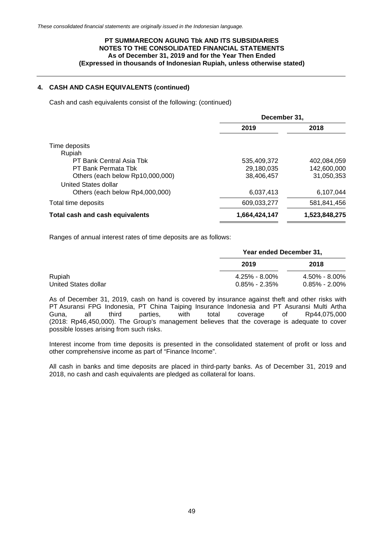## **4. CASH AND CASH EQUIVALENTS (continued)**

Cash and cash equivalents consist of the following: (continued)

|               | December 31,  |  |
|---------------|---------------|--|
| 2019          | 2018          |  |
|               |               |  |
|               |               |  |
| 535,409,372   | 402,084,059   |  |
| 29,180,035    | 142,600,000   |  |
| 38,406,457    | 31.050.353    |  |
|               |               |  |
| 6,037,413     | 6,107,044     |  |
| 609,033,277   | 581,841,456   |  |
| 1,664,424,147 | 1,523,848,275 |  |
|               |               |  |

Ranges of annual interest rates of time deposits are as follows:

|                      | Year ended December 31, |                     |
|----------------------|-------------------------|---------------------|
|                      | 2019                    | 2018                |
| Rupiah               | $4.25\% - 8.00\%$       | 4.50% - 8.00%       |
| United States dollar | $0.85\%$ - 2.35%        | $0.85\%$ - $2.00\%$ |

As of December 31, 2019, cash on hand is covered by insurance against theft and other risks with PT Asuransi FPG Indonesia, PT China Taiping Insurance Indonesia and PT Asuransi Multi Artha Guna, all third parties, with total coverage of Rp44,075,000 (2018: Rp46,450,000). The Group's management believes that the coverage is adequate to cover possible losses arising from such risks.

Interest income from time deposits is presented in the consolidated statement of profit or loss and other comprehensive income as part of "Finance Income".

All cash in banks and time deposits are placed in third-party banks. As of December 31, 2019 and 2018, no cash and cash equivalents are pledged as collateral for loans.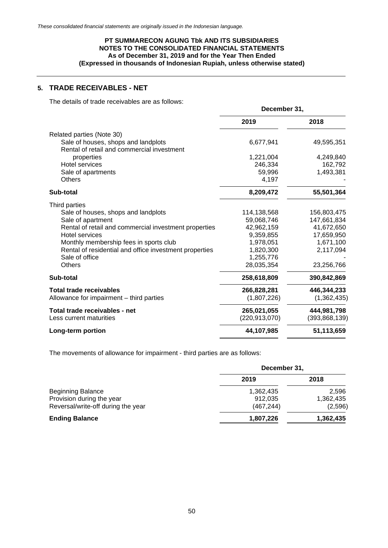# **5. TRADE RECEIVABLES - NET**

The details of trade receivables are as follows:

|                                                                                   | December 31,    |               |
|-----------------------------------------------------------------------------------|-----------------|---------------|
|                                                                                   | 2019            | 2018          |
| Related parties (Note 30)                                                         |                 |               |
| Sale of houses, shops and landplots<br>Rental of retail and commercial investment | 6,677,941       | 49,595,351    |
| properties                                                                        | 1,221,004       | 4,249,840     |
| <b>Hotel services</b>                                                             | 246,334         | 162,792       |
| Sale of apartments                                                                | 59,996          | 1,493,381     |
| Others                                                                            | 4,197           |               |
| Sub-total                                                                         | 8,209,472       | 55,501,364    |
| Third parties                                                                     |                 |               |
| Sale of houses, shops and landplots                                               | 114,138,568     | 156,803,475   |
| Sale of apartment                                                                 | 59,068,746      | 147,661,834   |
| Rental of retail and commercial investment properties                             | 42,962,159      | 41,672,650    |
| Hotel services                                                                    | 9,359,855       | 17,659,950    |
| Monthly membership fees in sports club                                            | 1,978,051       | 1,671,100     |
| Rental of residential and office investment properties                            | 1,820,300       | 2,117,094     |
| Sale of office                                                                    | 1,255,776       |               |
| Others                                                                            | 28,035,354      | 23,256,766    |
| Sub-total                                                                         | 258,618,809     | 390,842,869   |
| <b>Total trade receivables</b>                                                    | 266,828,281     | 446,344,233   |
| Allowance for impairment - third parties                                          | (1,807,226)     | (1,362,435)   |
| Total trade receivables - net                                                     | 265,021,055     | 444,981,798   |
| Less current maturities                                                           | (220, 913, 070) | (393,868,139) |
| Long-term portion                                                                 | 44,107,985      | 51,113,659    |
|                                                                                   |                 |               |

The movements of allowance for impairment - third parties are as follows:

|                                    | December 31, |           |
|------------------------------------|--------------|-----------|
|                                    | 2019         | 2018      |
| <b>Beginning Balance</b>           | 1,362,435    | 2,596     |
| Provision during the year          | 912,035      | 1,362,435 |
| Reversal/write-off during the year | (467, 244)   | (2,596)   |
| <b>Ending Balance</b>              | 1,807,226    | 1,362,435 |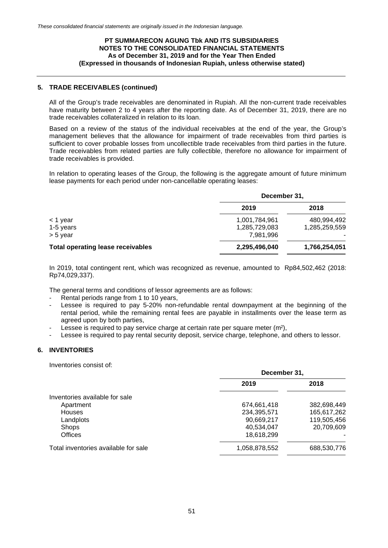### **5. TRADE RECEIVABLES (continued)**

All of the Group's trade receivables are denominated in Rupiah. All the non-current trade receivables have maturity between 2 to 4 years after the reporting date. As of December 31, 2019, there are no trade receivables collateralized in relation to its loan.

Based on a review of the status of the individual receivables at the end of the year, the Group's management believes that the allowance for impairment of trade receivables from third parties is sufficient to cover probable losses from uncollectible trade receivables from third parties in the future. Trade receivables from related parties are fully collectible, therefore no allowance for impairment of trade receivables is provided.

In relation to operating leases of the Group, the following is the aggregate amount of future minimum lease payments for each period under non-cancellable operating leases:

| December 31,  |  |
|---------------|--|
| 2018          |  |
| 480,994,492   |  |
| 1,285,259,559 |  |
|               |  |
| 1,766,254,051 |  |
|               |  |

In 2019, total contingent rent, which was recognized as revenue, amounted to Rp84,502,462 (2018: Rp74,029,337).

The general terms and conditions of lessor agreements are as follows:

- Rental periods range from 1 to 10 years.
- Lessee is required to pay 5-20% non-refundable rental downpayment at the beginning of the rental period, while the remaining rental fees are payable in installments over the lease term as agreed upon by both parties,
- Lessee is required to pay service charge at certain rate per square meter  $(m^2)$ ,
- Lessee is required to pay rental security deposit, service charge, telephone, and others to lessor.

## **6. INVENTORIES**

Inventories consist of:

|                                      | December 31,  |             |
|--------------------------------------|---------------|-------------|
|                                      | 2019          | 2018        |
| Inventories available for sale       |               |             |
| Apartment                            | 674,661,418   | 382,698,449 |
| <b>Houses</b>                        | 234,395,571   | 165,617,262 |
| Landplots                            | 90,669,217    | 119,505,456 |
| <b>Shops</b>                         | 40,534,047    | 20,709,609  |
| Offices                              | 18,618,299    |             |
| Total inventories available for sale | 1,058,878,552 | 688,530,776 |
|                                      |               |             |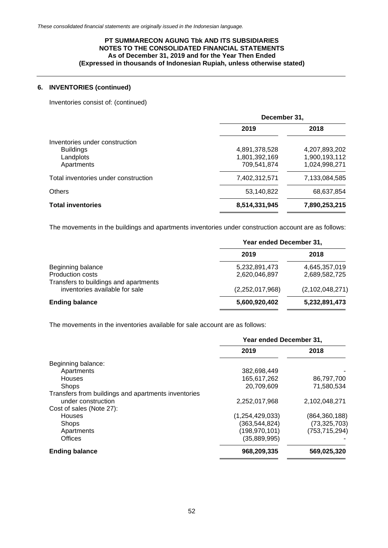## **6. INVENTORIES (continued)**

Inventories consist of: (continued)

|                                      | December 31,  |               |
|--------------------------------------|---------------|---------------|
|                                      | 2019          | 2018          |
| Inventories under construction       |               |               |
| <b>Buildings</b>                     | 4,891,378,528 | 4,207,893,202 |
| Landplots                            | 1,801,392,169 | 1,900,193,112 |
| Apartments                           | 709,541,874   | 1,024,998,271 |
| Total inventories under construction | 7,402,312,571 | 7,133,084,585 |
| Others                               | 53,140,822    | 68,637,854    |
| <b>Total inventories</b>             | 8,514,331,945 | 7,890,253,215 |

The movements in the buildings and apartments inventories under construction account are as follows:

|                                                                         | Year ended December 31, |                 |
|-------------------------------------------------------------------------|-------------------------|-----------------|
|                                                                         | 2019                    | 2018            |
| Beginning balance                                                       | 5,232,891,473           | 4,645,357,019   |
| <b>Production costs</b>                                                 | 2,620,046,897           | 2,689,582,725   |
| Transfers to buildings and apartments<br>inventories available for sale | (2,252,017,968)         | (2,102,048,271) |
| <b>Ending balance</b>                                                   | 5,600,920,402           | 5,232,891,473   |

The movements in the inventories available for sale account are as follows:

|                                                     | Year ended December 31, |                 |
|-----------------------------------------------------|-------------------------|-----------------|
|                                                     | 2019                    | 2018            |
| Beginning balance:                                  |                         |                 |
| Apartments                                          | 382,698,449             |                 |
| <b>Houses</b>                                       | 165,617,262             | 86,797,700      |
| Shops                                               | 20,709,609              | 71,580,534      |
| Transfers from buildings and apartments inventories |                         |                 |
| under construction                                  | 2,252,017,968           | 2,102,048,271   |
| Cost of sales (Note 27):                            |                         |                 |
| <b>Houses</b>                                       | (1,254,429,033)         | (864,360,188)   |
| Shops                                               | (363, 544, 824)         | (73, 325, 703)  |
| Apartments                                          | (198,970,101)           | (753, 715, 294) |
| Offices                                             | (35,889,995)            |                 |
| <b>Ending balance</b>                               | 968,209,335             | 569,025,320     |
|                                                     |                         |                 |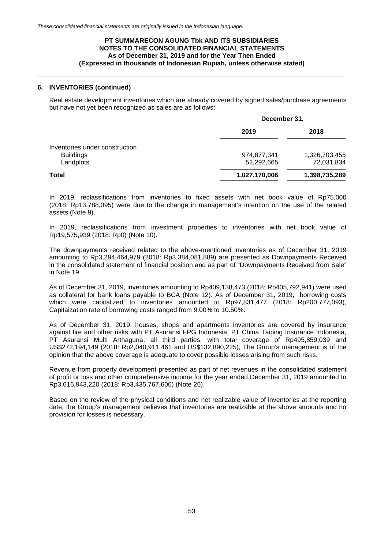### **6. INVENTORIES (continued)**

Real estate development inventories which are already covered by signed sales/purchase agreements but have not yet been recognized as sales are as follows:

|                                | December 31,  |               |
|--------------------------------|---------------|---------------|
|                                | 2019          | 2018          |
| Inventories under construction |               |               |
| <b>Buildings</b>               | 974,877,341   | 1,326,703,455 |
| Landplots                      | 52,292,665    | 72,031,834    |
| Total                          | 1,027,170,006 | 1,398,735,289 |

In 2019, reclassifications from inventories to fixed assets with net book value of Rp75,000 (2018: Rp13,788,095) were due to the change in management's intention on the use of the related assets (Note 9).

In 2019, reclassifications from investment properties to inventories with net book value of Rp19,575,939 (2018: Rp0) (Note 10).

The downpayments received related to the above-mentioned inventories as of December 31, 2019 amounting to Rp3,294,464,979 (2018: Rp3,384,081,889) are presented as Downpayments Received in the consolidated statement of financial position and as part of "Downpayments Received from Sale" in Note 19.

As of December 31, 2019, inventories amounting to Rp409,138,473 (2018: Rp405,792,941) were used as collateral for bank loans payable to BCA (Note 12). As of December 31, 2019, borrowing costs which were capitalized to inventories amounted to Rp97,831,477 (2018: Rp200,777,093), Capitaization rate of borrowing costs ranged from 9.00% to 10.50%.

As of December 31, 2019, houses, shops and apartments inventories are covered by insurance against fire and other risks with PT Asuransi FPG Indonesia, PT China Taiping Insurance Indonesia, PT Asuransi Multi Arthaguna, all third parties, with total coverage of Rp495,859,039 and US\$272,194,149 (2018: Rp2,040,911,461 and US\$132,890,225), The Group's management is of the opinion that the above coverage is adequate to cover possible losses arising from such risks.

Revenue from property development presented as part of net revenues in the consolidated statement of profit or loss and other comprehensive income for the year ended December 31, 2019 amounted to Rp3,616,943,220 (2018: Rp3,435,767,606) (Note 26).

Based on the review of the physical conditions and net realizable value of inventories at the reporting date, the Group's management believes that inventories are realizable at the above amounts and no provision for losses is necessary.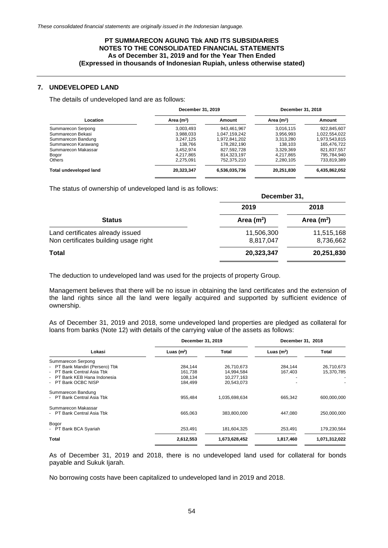## **7. UNDEVELOPED LAND**

The details of undeveloped land are as follows:

|                        | December 31, 2019 |               | December 31, 2018 |               |
|------------------------|-------------------|---------------|-------------------|---------------|
| Location               | Area $(m2)$       | Amount        | Area $(m2)$       | Amount        |
| Summarecon Serpong     | 3.003.493         | 943,461,967   | 3.016.115         | 922,845,607   |
| Summarecon Bekasi      | 3.988.033         | 1.047.159.242 | 3.956.993         | 1.022.554.022 |
| Summarecon Bandung     | 3.247.125         | 1,972,841,202 | 3,313,280         | 1,973,543,815 |
| Summarecon Karawang    | 138.766           | 178.282.190   | 138.103           | 165.476.722   |
| Summarecon Makassar    | 3.452.974         | 827,592,728   | 3,329,369         | 821,837,557   |
| Bogor                  | 4.217.865         | 814.323.197   | 4.217.865         | 795.784.940   |
| Others                 | 2.275.091         | 752.375.210   | 2.280.105         | 733.819.389   |
| Total undeveloped land | 20,323,347        | 6,536,035,736 | 20,251,830        | 6,435,862,052 |
|                        |                   |               |                   |               |

The status of ownership of undeveloped land is as follows:

|                                       | December 31, |             |  |  |
|---------------------------------------|--------------|-------------|--|--|
|                                       | 2019         | 2018        |  |  |
| <b>Status</b>                         | Area $(m2)$  | Area $(m2)$ |  |  |
| Land certificates already issued      | 11,506,300   | 11,515,168  |  |  |
| Non certificates building usage right | 8,817,047    | 8,736,662   |  |  |
| Total                                 | 20,323,347   | 20,251,830  |  |  |

The deduction to undeveloped land was used for the projects of property Group.

Management believes that there will be no issue in obtaining the land certificates and the extension of the land rights since all the land were legally acquired and supported by sufficient evidence of ownership.

As of December 31, 2019 and 2018, some undeveloped land properties are pledged as collateral for loans from banks (Note 12) with details of the carrying value of the assets as follows:

|                                              | December 31, 2019 |               | December 31, 2018 |               |
|----------------------------------------------|-------------------|---------------|-------------------|---------------|
| Lokasi                                       | Luas $(m2)$       | Total         | Luas $(m^2)$      | Total         |
| Summarecon Serpong                           |                   |               |                   |               |
| - PT Bank Mandiri (Persero) Tbk              | 284,144           | 26,710,673    | 284,144           | 26,710,673    |
| PT Bank Central Asia Tbk<br>$\sim$           | 161.738           | 14.994.584    | 167,403           | 15,370,785    |
| PT Bank KEB Hana Indonesia<br>$\blacksquare$ | 108.134           | 10,277,163    |                   |               |
| - PT Bank OCBC NISP                          | 184,499           | 20,543,073    |                   |               |
| Summarecon Bandung                           |                   |               |                   |               |
| - PT Bank Central Asia Tbk                   | 955.484           | 1,035,698,634 | 665,342           | 600,000,000   |
| Summarecon Makassar                          |                   |               |                   |               |
| - PT Bank Central Asia Tbk                   | 665,063           | 383,800,000   | 447,080           | 250,000,000   |
| Bogor                                        |                   |               |                   |               |
| - PT Bank BCA Syariah                        | 253,491           | 181,604,325   | 253,491           | 179,230,564   |
| <b>Total</b>                                 | 2,612,553         | 1,673,628,452 | 1,817,460         | 1,071,312,022 |

As of December 31, 2019 and 2018, there is no undeveloped land used for collateral for bonds payable and Sukuk Ijarah.

No borrowing costs have been capitalized to undeveloped land in 2019 and 2018.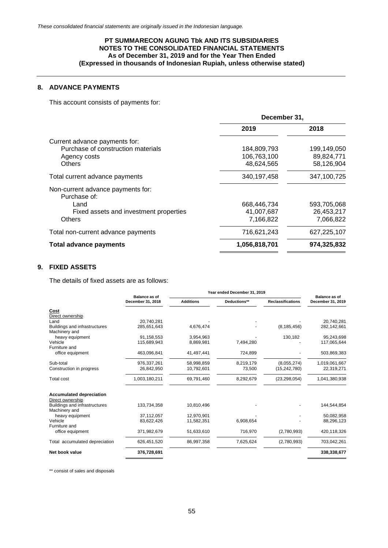# **8. ADVANCE PAYMENTS**

This account consists of payments for:

| December 31,  |             |  |
|---------------|-------------|--|
| 2019          | 2018        |  |
|               |             |  |
| 184,809,793   | 199,149,050 |  |
| 106,763,100   | 89,824,771  |  |
| 48,624,565    | 58,126,904  |  |
| 340, 197, 458 | 347,100,725 |  |
|               |             |  |
| 668,446,734   | 593,705,068 |  |
| 41,007,687    | 26,453,217  |  |
| 7,166,822     | 7,066,822   |  |
| 716,621,243   | 627,225,107 |  |
| 1,056,818,701 | 974,325,832 |  |
|               |             |  |

## **9. FIXED ASSETS**

The details of fixed assets are as follows:

|                                                |                                           |                  | Year ended December 31, 2019 |                          |                                           |
|------------------------------------------------|-------------------------------------------|------------------|------------------------------|--------------------------|-------------------------------------------|
|                                                | <b>Balance as of</b><br>December 31, 2018 | <b>Additions</b> | Deductions**                 | <b>Reclassifications</b> | <b>Balance as of</b><br>December 31, 2019 |
| Cost                                           |                                           |                  |                              |                          |                                           |
| Direct ownership                               |                                           |                  |                              |                          |                                           |
| Land                                           | 20.740.281                                |                  |                              |                          | 20.740.281                                |
| Buildings and infrastructures                  | 285,651,643                               | 4,676,474        |                              | (8, 185, 456)            | 282,142,661                               |
| Machinery and                                  |                                           |                  |                              |                          |                                           |
| heavy equipment                                | 91,158,553                                | 3,954,963        |                              | 130,182                  | 95,243,698                                |
| Vehicle                                        | 115,689,943                               | 8,869,981        | 7,494,280                    |                          | 117,065,644                               |
| Furniture and                                  |                                           |                  |                              |                          |                                           |
| office equipment                               | 463,096,841                               | 41,497,441       | 724,899                      |                          | 503,869,383                               |
| Sub-total                                      | 976,337,261                               | 58.998.859       | 8,219,179                    | (8,055,274)              | 1,019,061,667                             |
| Construction in progress                       | 26,842,950                                | 10,792,601       | 73,500                       | (15, 242, 780)           | 22,319,271                                |
| <b>Total cost</b>                              | 1,003,180,211                             | 69,791,460       | 8,292,679                    | (23, 298, 054)           | 1,041,380,938                             |
| <b>Accumulated depreciation</b>                |                                           |                  |                              |                          |                                           |
| Direct ownership                               |                                           |                  |                              |                          |                                           |
| Buildings and infrastructures<br>Machinery and | 133,734,358                               | 10,810,496       |                              |                          | 144,544,854                               |
| heavy equipment                                | 37,112,057                                | 12.970.901       |                              |                          | 50,082,958                                |
| Vehicle                                        | 83,622,426                                | 11,582,351       | 6,908,654                    |                          | 88,296,123                                |
| Furniture and                                  |                                           |                  |                              |                          |                                           |
| office equipment                               | 371,982,679                               | 51,633,610       | 716,970                      | (2,780,993)              | 420,118,326                               |
| Total accumulated depreciation                 | 626,451,520                               | 86,997,358       | 7,625,624                    | (2,780,993)              | 703,042,261                               |
|                                                |                                           |                  |                              |                          |                                           |
| Net book value                                 | 376,728,691                               |                  |                              |                          | 338,338,677                               |
|                                                |                                           |                  |                              |                          |                                           |

\*\* consist of sales and disposals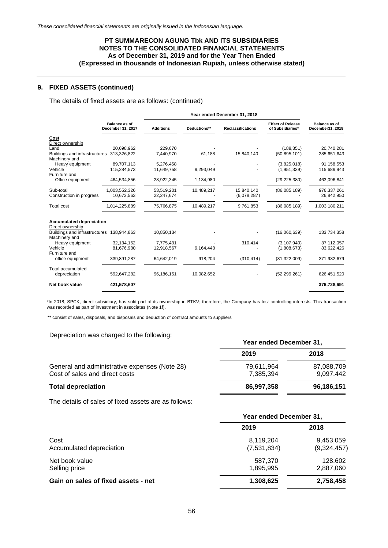## **9. FIXED ASSETS (continued)**

The details of fixed assets are as follows: (continued)

|                                                |                                           |                  |              | Year ended December 31, 2018 |                                              |                                          |
|------------------------------------------------|-------------------------------------------|------------------|--------------|------------------------------|----------------------------------------------|------------------------------------------|
|                                                | <b>Balance as of</b><br>December 31, 2017 | <b>Additions</b> | Deductions** | <b>Reclassifications</b>     | <b>Effect of Release</b><br>of Subsidiaries* | <b>Balance as of</b><br>December31, 2018 |
| Cost                                           |                                           |                  |              |                              |                                              |                                          |
| Direct ownership                               |                                           |                  |              |                              |                                              |                                          |
| Land                                           | 20.698.962                                | 229.670          |              |                              | (188, 351)                                   | 20.740.281                               |
| Buildings and infrastructures<br>Machinery and | 313,326,822                               | 7,440,970        | 61,188       | 15,840,140                   | (50, 895, 101)                               | 285,651,643                              |
| Heavy equipment                                | 89.707.113                                | 5.276.458        |              |                              | (3.825.018)                                  | 91.158.553                               |
| Vehicle                                        | 115,284,573                               | 11,649,758       | 9,293,049    |                              | (1,951,339)                                  | 115,689,943                              |
| Furniture and                                  |                                           |                  |              |                              |                                              |                                          |
| Office equipment                               | 464,534,856                               | 28,922,345       | 1,134,980    |                              | (29, 225, 380)                               | 463,096,841                              |
| Sub-total                                      | 1,003,552,326                             | 53,519,201       | 10,489,217   | 15,840,140                   | (86,085,189)                                 | 976,337,261                              |
| Construction in progress                       | 10,673,563                                | 22,247,674       |              | (6,078,287)                  |                                              | 26,842,950                               |
| Total cost                                     | 1,014,225,889                             | 75,766,875       | 10,489,217   | 9,761,853                    | (86,085,189)                                 | 1,003,180,211                            |
| <b>Accumulated depreciation</b>                |                                           |                  |              |                              |                                              |                                          |
| Direct ownership                               |                                           |                  |              |                              |                                              |                                          |
| Buildings and infrastructures<br>Machinery and | 138,944,863                               | 10,850,134       |              |                              | (16,060,639)                                 | 133,734,358                              |
| Heavy equipment                                | 32, 134, 152                              | 7,775,431        |              | 310,414                      | (3, 107, 940)                                | 37,112,057                               |
| Vehicle                                        | 81,676,980                                | 12,918,567       | 9,164,448    |                              | (1,808,673)                                  | 83,622,426                               |
| Furniture and                                  |                                           |                  |              |                              |                                              |                                          |
| office equipment                               | 339,891,287                               | 64,642,019       | 918,204      | (310, 414)                   | (31, 322, 009)                               | 371,982,679                              |
| Total accumulated                              |                                           |                  |              |                              |                                              |                                          |
| depreciation                                   | 592,647,282                               | 96,186,151       | 10,082,652   |                              | (52, 299, 261)                               | 626,451,520                              |
| Net book value                                 | 421,578,607                               |                  |              |                              |                                              | 376,728,691                              |

\*In 2018, SPCK, direct subsidiary, has sold part of its ownership in BTKV; therefore, the Company has lost controlling interests. This transaction was recorded as part of investment in associates (Note 1f).

\*\* consist of sales, disposals, and disposals and deduction of contract amounts to suppliers

## Depreciation was charged to the following:

|                                                                                 | Year ended December 31, |                         |  |
|---------------------------------------------------------------------------------|-------------------------|-------------------------|--|
|                                                                                 | 2019                    | 2018                    |  |
| General and administrative expenses (Note 28)<br>Cost of sales and direct costs | 79,611,964<br>7.385.394 | 87,088,709<br>9,097,442 |  |
| <b>Total depreciation</b>                                                       | 86,997,358              | 96,186,151              |  |
|                                                                                 |                         |                         |  |

The details of sales of fixed assets are as follows:

|                                     | Year ended December 31,  |                          |  |
|-------------------------------------|--------------------------|--------------------------|--|
|                                     | 2019                     | 2018                     |  |
| Cost<br>Accumulated depreciation    | 8,119,204<br>(7,531,834) | 9,453,059<br>(9,324,457) |  |
|                                     |                          |                          |  |
| Net book value<br>Selling price     | 587,370<br>1,895,995     | 128,602<br>2,887,060     |  |
|                                     |                          |                          |  |
| Gain on sales of fixed assets - net | 1,308,625                | 2,758,458                |  |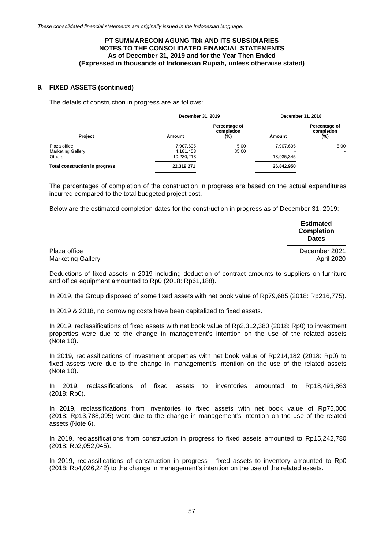### **9. FIXED ASSETS (continued)**

The details of construction in progress are as follows:

|                                | December 31, 2019 |                                       | December 31, 2018 |                                    |  |
|--------------------------------|-------------------|---------------------------------------|-------------------|------------------------------------|--|
| Project                        | Amount            | Percentage of<br>completion<br>$(\%)$ | Amount            | Percentage of<br>completion<br>(%) |  |
| Plaza office                   | 7,907,605         | 5.00                                  | 7,907,605         | 5.00                               |  |
| <b>Marketing Gallery</b>       | 4,181,453         | 85.00                                 |                   |                                    |  |
| Others                         | 10,230,213        |                                       | 18,935,345        |                                    |  |
| Total construction in progress | 22,319,271        |                                       | 26,842,950        |                                    |  |

The percentages of completion of the construction in progress are based on the actual expenditures incurred compared to the total budgeted project cost.

Below are the estimated completion dates for the construction in progress as of December 31, 2019:

|                          | <b>Estimated</b><br><b>Completion</b><br><b>Dates</b> |
|--------------------------|-------------------------------------------------------|
| Plaza office             | December 2021                                         |
| <b>Marketing Gallery</b> | <b>April 2020</b>                                     |

Deductions of fixed assets in 2019 including deduction of contract amounts to suppliers on furniture and office equipment amounted to Rp0 (2018: Rp61,188).

In 2019, the Group disposed of some fixed assets with net book value of Rp79,685 (2018: Rp216,775).

In 2019 & 2018, no borrowing costs have been capitalized to fixed assets.

In 2019, reclassifications of fixed assets with net book value of Rp2,312,380 (2018: Rp0) to investment properties were due to the change in management's intention on the use of the related assets (Note 10).

In 2019, reclassifications of investment properties with net book value of Rp214,182 (2018: Rp0) to fixed assets were due to the change in management's intention on the use of the related assets (Note 10).

In 2019, reclassifications of fixed assets to inventories amounted to Rp18,493,863 (2018: Rp0).

In 2019, reclassifications from inventories to fixed assets with net book value of Rp75,000 (2018: Rp13,788,095) were due to the change in management's intention on the use of the related assets (Note 6).

In 2019, reclassifications from construction in progress to fixed assets amounted to Rp15,242,780 (2018: Rp2,052,045).

In 2019, reclassifications of construction in progress - fixed assets to inventory amounted to Rp0 (2018: Rp4,026,242) to the change in management's intention on the use of the related assets.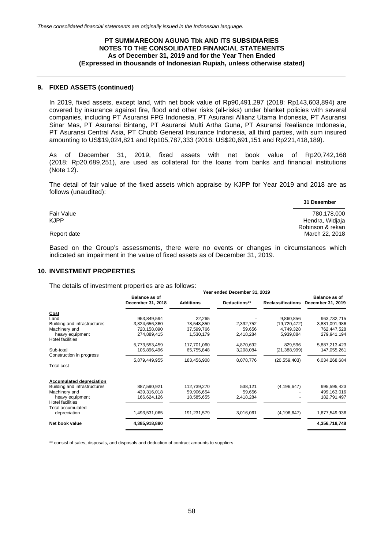### **9. FIXED ASSETS (continued)**

In 2019, fixed assets, except land, with net book value of Rp90,491,297 (2018: Rp143,603,894) are covered by insurance against fire, flood and other risks (all-risks) under blanket policies with several companies, including PT Asuransi FPG Indonesia, PT Asuransi Allianz Utama Indonesia, PT Asuransi Sinar Mas, PT Asuransi Bintang, PT Asuransi Multi Artha Guna, PT Asuransi Realiance Indonesia, PT Asuransi Central Asia, PT Chubb General Insurance Indonesia, all third parties, with sum insured amounting to US\$19,024,821 and Rp105,787,333 (2018: US\$20,691,151 and Rp221,418,189).

As of December 31, 2019, fixed assets with net book value of Rp20,742,168 (2018: Rp20,689,251), are used as collateral for the loans from banks and financial institutions (Note 12).

The detail of fair value of the fixed assets which appraise by KJPP for Year 2019 and 2018 are as follows (unaudited):

 **December 31, 2019 31 Desember** 

Robinson & rekan

Fair Value 780,178,000 KJPP Hendra, Widjaja, Hendra, Widjaja, Hendra, Widjaja, Hendra, Widjaja, Hendra, Widjaja, Hendra, Widjaja, Hendra, Widjaja, Hendra, Widjaja, Hendra, Widjaja, Hendra, Widjaja, Hendra, Widjaja, Hendra, Widjaja, Hendra, Widja

Report date March 22, 2018 March 22, 2018 March 22, 2018

Based on the Group's assessments, there were no events or changes in circumstances which indicated an impairment in the value of fixed assets as of December 31, 2019.

### **10. INVESTMENT PROPERTIES**

The details of investment properties are as follows:

|                                       |                                           |                  | Year ended December 31, 2019 |                          |                                           |
|---------------------------------------|-------------------------------------------|------------------|------------------------------|--------------------------|-------------------------------------------|
|                                       | <b>Balance as of</b><br>December 31, 2018 | <b>Additions</b> | Deductions**                 | <b>Reclassifications</b> | <b>Balance as of</b><br>December 31, 2019 |
| <u>Cost</u>                           |                                           |                  |                              |                          |                                           |
| Land                                  | 953,849,594                               | 22,265           |                              | 9,860,856                | 963,732,715                               |
| Building and infrastructures          | 3,824,656,360                             | 78,548,850       | 2,392,752                    | (19, 720, 472)           | 3,881,091,986                             |
| Machinery and                         | 720,158,090                               | 37,599,766       | 59,656                       | 4,749,328                | 762,447,528                               |
| heavy equipment<br>Hotel facilities   | 274,889,415                               | 1,530,179        | 2,418,284                    | 5,939,884                | 279,941,194                               |
|                                       | 5,773,553,459                             | 117,701,060      | 4,870,692                    | 829,596                  | 5,887,213,423                             |
| Sub-total<br>Construction in progress | 105,896,496                               | 65,755,848       | 3,208,084                    | (21, 388, 999)           | 147,055,261                               |
|                                       | 5,879,449,955                             | 183,456,908      | 8,078,776                    | (20, 559, 403)           | 6,034,268,684                             |
| Total cost                            |                                           |                  |                              |                          |                                           |
| <b>Accumulated depreciation</b>       |                                           |                  |                              |                          |                                           |
| Building and infrastructures          | 887,590,921                               | 112,739,270      | 538,121                      | (4, 196, 647)            | 995,595,423                               |
| Machinery and                         | 439,316,018                               | 59,906,654       | 59,656                       |                          | 499,163,016                               |
| heavy equipment                       | 166,624,126                               | 18,585,655       | 2,418,284                    |                          | 182,791,497                               |
| <b>Hotel facilities</b>               |                                           |                  |                              |                          |                                           |
| <b>Total accumulated</b>              |                                           |                  |                              |                          |                                           |
| depreciation                          | 1,493,531,065                             | 191,231,579      | 3,016,061                    | (4, 196, 647)            | 1,677,549,936                             |
| Net book value                        | 4,385,918,890                             |                  |                              |                          | 4,356,718,748                             |
|                                       |                                           |                  |                              |                          |                                           |

\*\* consist of sales, disposals, and disposals and deduction of contract amounts to suppliers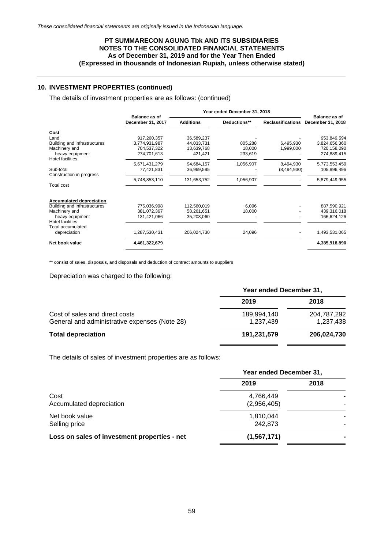# **10. INVESTMENT PROPERTIES (continued)**

The details of investment properties are as follows: (continued)

|                                       |                                           |                  | Year ended December 31, 2018 |                          |                                           |
|---------------------------------------|-------------------------------------------|------------------|------------------------------|--------------------------|-------------------------------------------|
|                                       | <b>Balance as of</b><br>December 31, 2017 | <b>Additions</b> | Deductions**                 | <b>Reclassifications</b> | <b>Balance as of</b><br>December 31, 2018 |
| <b>Cost</b>                           |                                           |                  |                              |                          |                                           |
| Land                                  | 917,260,357                               | 36,589,237       |                              |                          | 953,849,594                               |
| Building and infrastructures          | 3,774,931,987                             | 44,033,731       | 805,288                      | 6,495,930                | 3,824,656,360                             |
| Machinery and                         | 704,537,322                               | 13,639,768       | 18,000                       | 1,999,000                | 720,158,090                               |
| heavy equipment<br>Hotel facilities   | 274,701,613                               | 421,421          | 233,619                      |                          | 274,889,415                               |
|                                       | 5,671,431,279                             | 94,684,157       | 1,056,907                    | 8,494,930                | 5,773,553,459                             |
| Sub-total<br>Construction in progress | 77,421,831                                | 36,969,595       |                              | (8,494,930)              | 105,896,496                               |
|                                       | 5,748,853,110                             | 131,653,752      | 1,056,907                    |                          | 5,879,449,955                             |
| Total cost                            |                                           |                  |                              |                          |                                           |
| <b>Accumulated depreciation</b>       |                                           |                  |                              |                          |                                           |
| Building and infrastructures          | 775,036,998                               | 112,560,019      | 6,096                        |                          | 887,590,921                               |
| Machinery and                         | 381,072,367                               | 58,261,651       | 18,000                       |                          | 439,316,018                               |
| heavy equipment                       | 131,421,066                               | 35,203,060       |                              |                          | 166,624,126                               |
| Hotel facilities                      |                                           |                  |                              |                          |                                           |
| Total accumulated                     |                                           |                  |                              |                          |                                           |
| depreciation                          | 1,287,530,431                             | 206,024,730      | 24,096                       |                          | 1,493,531,065                             |
| Net book value                        | 4,461,322,679                             |                  |                              |                          | 4,385,918,890                             |

\*\* consist of sales, disposals, and disposals and deduction of contract amounts to suppliers

Depreciation was charged to the following:

|                                               | Year ended December 31, |             |  |
|-----------------------------------------------|-------------------------|-------------|--|
|                                               | 2019                    | 2018        |  |
| Cost of sales and direct costs                | 189,994,140             | 204,787,292 |  |
| General and administrative expenses (Note 28) | 1,237,439               | 1,237,438   |  |
| <b>Total depreciation</b>                     | 191,231,579             | 206,024,730 |  |
|                                               |                         |             |  |

The details of sales of investment properties are as follows:

|                                              | Year ended December 31, |      |  |  |
|----------------------------------------------|-------------------------|------|--|--|
|                                              | 2019                    | 2018 |  |  |
| Cost                                         | 4,766,449               |      |  |  |
| Accumulated depreciation                     | (2,956,405)             |      |  |  |
| Net book value                               | 1,810,044               |      |  |  |
| Selling price                                | 242,873                 |      |  |  |
| Loss on sales of investment properties - net | (1, 567, 171)           |      |  |  |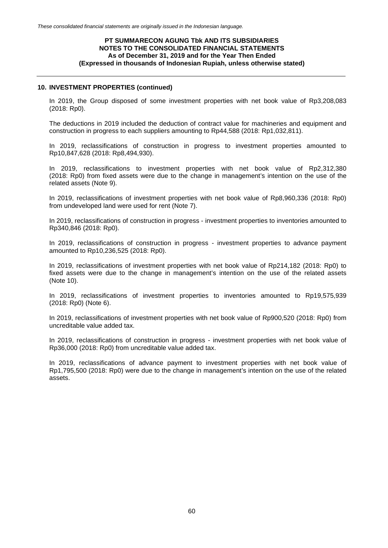### **10. INVESTMENT PROPERTIES (continued)**

In 2019, the Group disposed of some investment properties with net book value of Rp3,208,083 (2018: Rp0).

The deductions in 2019 included the deduction of contract value for machineries and equipment and construction in progress to each suppliers amounting to Rp44,588 (2018: Rp1,032,811).

In 2019, reclassifications of construction in progress to investment properties amounted to Rp10,847,628 (2018: Rp8,494,930).

In 2019, reclassifications to investment properties with net book value of Rp2,312,380 (2018: Rp0) from fixed assets were due to the change in management's intention on the use of the related assets (Note 9).

In 2019, reclassifications of investment properties with net book value of Rp8,960,336 (2018: Rp0) from undeveloped land were used for rent (Note 7).

In 2019, reclassifications of construction in progress - investment properties to inventories amounted to Rp340,846 (2018: Rp0).

In 2019, reclassifications of construction in progress - investment properties to advance payment amounted to Rp10,236,525 (2018: Rp0).

In 2019, reclassifications of investment properties with net book value of Rp214,182 (2018: Rp0) to fixed assets were due to the change in management's intention on the use of the related assets (Note 10).

In 2019, reclassifications of investment properties to inventories amounted to Rp19,575,939 (2018: Rp0) (Note 6).

In 2019, reclassifications of investment properties with net book value of Rp900,520 (2018: Rp0) from uncreditable value added tax.

In 2019, reclassifications of construction in progress - investment properties with net book value of Rp36,000 (2018: Rp0) from uncreditable value added tax.

In 2019, reclassifications of advance payment to investment properties with net book value of Rp1,795,500 (2018: Rp0) were due to the change in management's intention on the use of the related assets.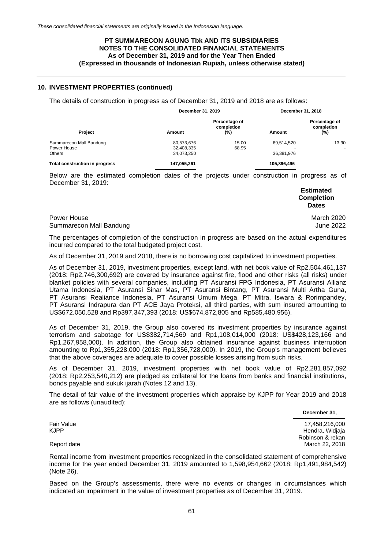## **10. INVESTMENT PROPERTIES (continued)**

The details of construction in progress as of December 31, 2019 and 2018 are as follows:

|                                       | December 31, 2019 |                                    | December 31, 2018 |                                    |  |
|---------------------------------------|-------------------|------------------------------------|-------------------|------------------------------------|--|
| Project                               | Amount            | Percentage of<br>completion<br>(%) | Amount            | Percentage of<br>completion<br>(%) |  |
| Summarecon Mall Bandung               | 80,573,676        | 15.00                              | 69,514,520        | 13.90                              |  |
| Power House                           | 32,408,335        | 68.95                              |                   | $\overline{a}$                     |  |
| <b>Others</b>                         | 34,073,250        |                                    | 36,381,976        |                                    |  |
| <b>Total construction in progress</b> | 147,055,261       |                                    | 105,896,496       |                                    |  |

Below are the estimated completion dates of the projects under construction in progress as of December 31, 2019:

*Estimated* **Estimated Completion Dates and the contract of the contract of the contract of the contract of the contract of the contract of the contract of the contract of the contract of the contract of the contract of the contract of the contract of the** 

Power House March 2020 Summarecon Mall Bandung and Summarecon Mall Bandung June 2022

The percentages of completion of the construction in progress are based on the actual expenditures incurred compared to the total budgeted project cost.

As of December 31, 2019 and 2018, there is no borrowing cost capitalized to investment properties.

As of December 31, 2019, investment properties, except land, with net book value of Rp2,504,461,137 (2018: Rp2,746,300,692) are covered by insurance against fire, flood and other risks (all risks) under blanket policies with several companies, including PT Asuransi FPG Indonesia, PT Asuransi Allianz Utama Indonesia, PT Asuransi Sinar Mas, PT Asuransi Bintang, PT Asuransi Multi Artha Guna, PT Asuransi Realiance Indonesia, PT Asuransi Umum Mega, PT Mitra, Iswara & Rorimpandey, PT Asuransi Indrapura dan PT ACE Jaya Proteksi, all third parties, with sum insured amounting to US\$672.050.528 and Rp397,347,393 (2018: US\$674,872,805 and Rp585,480,956).

As of December 31, 2019, the Group also covered its investment properties by insurance against terrorism and sabotage for US\$382,714,569 and Rp1,108,014,000 (2018: US\$428,123,166 and Rp1,267,958,000). In addition, the Group also obtained insurance against business interruption amounting to Rp1,355,228,000 (2018: Rp1,356,728,000). In 2019, the Group's management believes that the above coverages are adequate to cover possible losses arising from such risks.

As of December 31, 2019, investment properties with net book value of Rp2,281,857,092 (2018: Rp2,253,540,212) are pledged as collateral for the loans from banks and financial institutions, bonds payable and sukuk ijarah (Notes 12 and 13).

The detail of fair value of the investment properties which appraise by KJPP for Year 2019 and 2018 are as follows (unaudited):

**December 31,** 

Hendra, Widjaja Robinson & rekan

Fair Value 17,458,216,000

Report date March 22, 2018 March 22, 2018 March 22, 2018

Rental income from investment properties recognized in the consolidated statement of comprehensive income for the year ended December 31, 2019 amounted to 1,598,954,662 (2018: Rp1,491,984,542) (Note 26).

Based on the Group's assessments, there were no events or changes in circumstances which indicated an impairment in the value of investment properties as of December 31, 2019.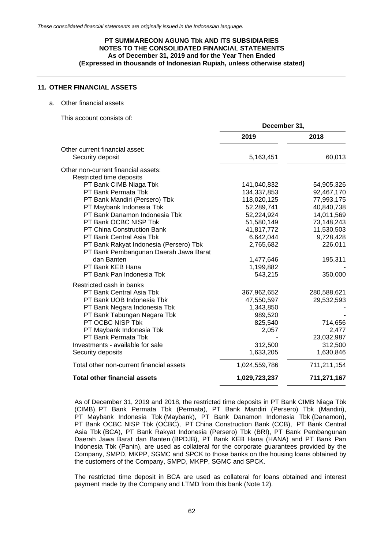## **11. OTHER FINANCIAL ASSETS**

a. Other financial assets

This account consists of:

|                                          | December 31,  |             |  |
|------------------------------------------|---------------|-------------|--|
|                                          | 2019          | 2018        |  |
| Other current financial asset:           |               |             |  |
| Security deposit                         | 5,163,451     | 60,013      |  |
| Other non-current financial assets:      |               |             |  |
| Restricted time deposits                 |               |             |  |
| PT Bank CIMB Niaga Tbk                   | 141,040,832   | 54,905,326  |  |
| PT Bank Permata Tbk                      | 134,337,853   | 92,467,170  |  |
| PT Bank Mandiri (Persero) Tbk            | 118,020,125   | 77,993,175  |  |
| PT Maybank Indonesia Tbk                 | 52,289,741    | 40,840,738  |  |
| PT Bank Danamon Indonesia Tbk            | 52,224,924    | 14,011,569  |  |
| PT Bank OCBC NISP Tbk                    | 51,580,149    | 73,148,243  |  |
| PT China Construction Bank               | 41,817,772    | 11,530,503  |  |
| PT Bank Central Asia Tbk                 | 6,642,044     | 9,728,428   |  |
| PT Bank Rakyat Indonesia (Persero) Tbk   | 2,765,682     | 226,011     |  |
| PT Bank Pembangunan Daerah Jawa Barat    |               |             |  |
| dan Banten                               | 1,477,646     | 195,311     |  |
| PT Bank KEB Hana                         | 1,199,882     |             |  |
| PT Bank Pan Indonesia Tbk                | 543,215       | 350,000     |  |
| Restricted cash in banks                 |               |             |  |
| PT Bank Central Asia Tbk                 | 367,962,652   | 280,588,621 |  |
| PT Bank UOB Indonesia Tbk                | 47,550,597    | 29,532,593  |  |
| PT Bank Negara Indonesia Tbk             | 1,343,850     |             |  |
| PT Bank Tabungan Negara Tbk              | 989,520       |             |  |
| PT OCBC NISP Tbk                         | 825,540       | 714,656     |  |
| PT Maybank Indonesia Tbk                 | 2,057         | 2,477       |  |
| PT Bank Permata Tbk                      |               | 23,032,987  |  |
| Investments - available for sale         | 312,500       | 312,500     |  |
| Security deposits                        | 1,633,205     | 1,630,846   |  |
| Total other non-current financial assets | 1,024,559,786 | 711,211,154 |  |
| <b>Total other financial assets</b>      | 1,029,723,237 | 711,271,167 |  |

As of December 31, 2019 and 2018, the restricted time deposits in PT Bank CIMB Niaga Tbk (CIMB), PT Bank Permata Tbk (Permata), PT Bank Mandiri (Persero) Tbk (Mandiri), PT Maybank Indonesia Tbk (Maybank), PT Bank Danamon Indonesia Tbk (Danamon), PT Bank OCBC NISP Tbk (OCBC), PT China Construction Bank (CCB), PT Bank Central Asia Tbk (BCA), PT Bank Rakyat Indonesia (Persero) Tbk (BRI), PT Bank Pembangunan Daerah Jawa Barat dan Banten (BPDJB), PT Bank KEB Hana (HANA) and PT Bank Pan Indonesia Tbk (Panin), are used as collateral for the corporate guarantees provided by the Company, SMPD, MKPP, SGMC and SPCK to those banks on the housing loans obtained by the customers of the Company, SMPD, MKPP, SGMC and SPCK.

The restricted time deposit in BCA are used as collateral for loans obtained and interest payment made by the Company and LTMD from this bank (Note 12).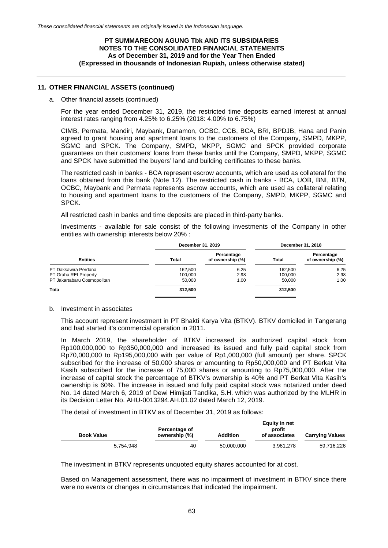### **11. OTHER FINANCIAL ASSETS (continued)**

#### a. Other financial assets (continued)

For the year ended December 31, 2019, the restricted time deposits earned interest at annual interest rates ranging from 4.25% to 6.25% (2018: 4.00% to 6.75%)

CIMB, Permata, Mandiri, Maybank, Danamon, OCBC, CCB, BCA, BRI, BPDJB, Hana and Panin agreed to grant housing and apartment loans to the customers of the Company, SMPD, MKPP, SGMC and SPCK. The Company, SMPD, MKPP, SGMC and SPCK provided corporate guarantees on their customers' loans from these banks until the Company, SMPD, MKPP, SGMC and SPCK have submitted the buyers' land and building certificates to these banks.

The restricted cash in banks - BCA represent escrow accounts, which are used as collateral for the loans obtained from this bank (Note 12). The restricted cash in banks - BCA, UOB, BNI, BTN, OCBC, Maybank and Permata represents escrow accounts, which are used as collateral relating to housing and apartment loans to the customers of the Company, SMPD, MKPP, SGMC and SPCK.

All restricted cash in banks and time deposits are placed in third-party banks.

Investments - available for sale consist of the following investments of the Company in other entities with ownership interests below 20% :

|         |                                | December 31, 2018 |                                |  |
|---------|--------------------------------|-------------------|--------------------------------|--|
| Total   | Percentage<br>of ownership (%) | <b>Total</b>      | Percentage<br>of ownership (%) |  |
| 162.500 | 6.25                           | 162,500           | 6.25                           |  |
| 100.000 | 2.98                           | 100,000           | 2.98                           |  |
| 50.000  | 1.00                           | 50.000            | 1.00                           |  |
| 312,500 |                                | 312,500           |                                |  |
|         |                                | December 31, 2019 |                                |  |

### b. Investment in associates

This account represent investment in PT Bhakti Karya Vita (BTKV). BTKV domiciled in Tangerang and had started it's commercial operation in 2011.

In March 2019, the shareholder of BTKV increased its authorized capital stock from Rp100,000,000 to Rp350,000,000 and increased its issued and fully paid capital stock from Rp70,000,000 to Rp195,000,000 with par value of Rp1,000,000 (full amount) per share. SPCK subscribed for the increase of 50,000 shares or amounting to Rp50,000,000 and PT Berkat Vita Kasih subscribed for the increase of 75,000 shares or amounting to Rp75,000,000. After the increase of capital stock the percentage of BTKV's ownership is 40% and PT Berkat Vita Kasih's ownership is 60%. The increase in issued and fully paid capital stock was notarized under deed No. 14 dated March 6, 2019 of Dewi Himijati Tandika, S.H. which was authorized by the MLHR in its Decision Letter No. AHU-0013294.AH.01.02 dated March 12, 2019.

The detail of investment in BTKV as of December 31, 2019 as follows:

| <b>Book Value</b> | Percentage of<br>ownership (%) | <b>Addition</b> | <b>Equity in net</b><br>profit<br>of associates | <b>Carrying Values</b> |
|-------------------|--------------------------------|-----------------|-------------------------------------------------|------------------------|
| 5.754.948         | 40                             | 50.000.000      | 3.961.278                                       | 59,716,226             |

The investment in BTKV represents unquoted equity shares accounted for at cost.

Based on Management assessment, there was no impairment of investment in BTKV since there were no events or changes in circumstances that indicated the impairment.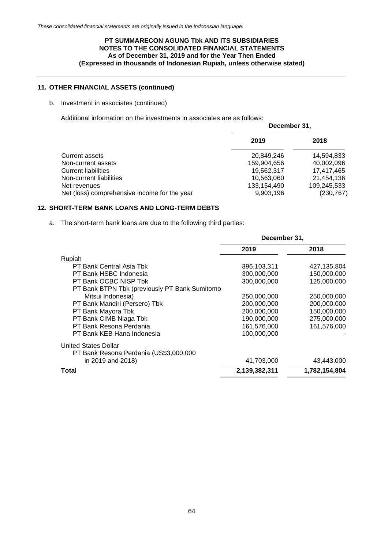## **11. OTHER FINANCIAL ASSETS (continued)**

## b. Investment in associates (continued)

Additional information on the investments in associates are as follows:

| י שאושרושו שט טטאפטטאיון שוויטוויטטאוויין ווי און די מעומיון ווייטוויין ווייטוויין ווייטוויין | December 31, |             |  |  |
|-----------------------------------------------------------------------------------------------|--------------|-------------|--|--|
|                                                                                               | 2019         | 2018        |  |  |
| Current assets                                                                                | 20,849,246   | 14,594,833  |  |  |
| Non-current assets                                                                            | 159,904,656  | 40,002,096  |  |  |
| <b>Current liabilities</b>                                                                    | 19.562.317   | 17,417,465  |  |  |
| Non-current liabilities                                                                       | 10,563,060   | 21,454,136  |  |  |
| Net revenues                                                                                  | 133.154.490  | 109,245,533 |  |  |
| Net (loss) comprehensive income for the year                                                  | 9,903,196    | (230, 767)  |  |  |

## **12. SHORT-TERM BANK LOANS AND LONG-TERM DEBTS**

a. The short-term bank loans are due to the following third parties:

|                                               | December 31,  |               |  |
|-----------------------------------------------|---------------|---------------|--|
|                                               | 2019          | 2018          |  |
| Rupiah                                        |               |               |  |
| PT Bank Central Asia Tbk                      | 396,103,311   | 427,135,804   |  |
| PT Bank HSBC Indonesia                        | 300,000,000   | 150,000,000   |  |
| PT Bank OCBC NISP Tbk                         | 300,000,000   | 125,000,000   |  |
| PT Bank BTPN Tbk (previously PT Bank Sumitomo |               |               |  |
| Mitsui Indonesia)                             | 250,000,000   | 250,000,000   |  |
| PT Bank Mandiri (Persero) Tbk                 | 200,000,000   | 200,000,000   |  |
| PT Bank Mayora Tbk                            | 200,000,000   | 150,000,000   |  |
| PT Bank CIMB Niaga Tbk                        | 190,000,000   | 275,000,000   |  |
| PT Bank Resona Perdania                       | 161,576,000   | 161,576,000   |  |
| PT Bank KEB Hana Indonesia                    | 100,000,000   |               |  |
| <b>United States Dollar</b>                   |               |               |  |
| PT Bank Resona Perdania (US\$3,000,000        |               |               |  |
| in 2019 and 2018)                             | 41,703,000    | 43,443,000    |  |
| Total                                         | 2,139,382,311 | 1,782,154,804 |  |
|                                               |               |               |  |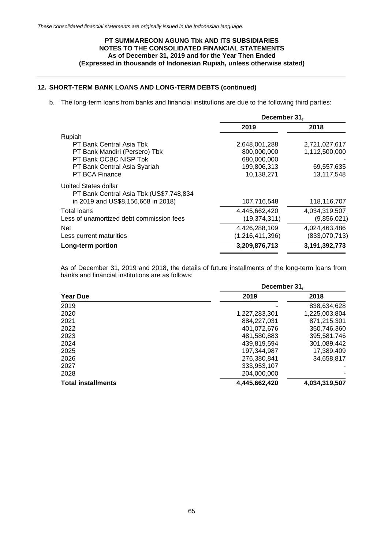## **12. SHORT-TERM BANK LOANS AND LONG-TERM DEBTS (continued)**

b. The long-term loans from banks and financial institutions are due to the following third parties:

|                                          | December 31,    |               |  |
|------------------------------------------|-----------------|---------------|--|
|                                          | 2019            | 2018          |  |
| Rupiah                                   |                 |               |  |
| PT Bank Central Asia Tbk                 | 2,648,001,288   | 2,721,027,617 |  |
| PT Bank Mandiri (Persero) Tbk            | 800,000,000     | 1,112,500,000 |  |
| PT Bank OCBC NISP Tbk                    | 680,000,000     |               |  |
| PT Bank Central Asia Syariah             | 199,806,313     | 69,557,635    |  |
| PT BCA Finance                           | 10,138,271      | 13,117,548    |  |
| United States dollar                     |                 |               |  |
| PT Bank Central Asia Tbk (US\$7,748,834  |                 |               |  |
| in 2019 and US\$8,156,668 in 2018)       | 107,716,548     | 118,116,707   |  |
| Total loans                              | 4,445,662,420   | 4,034,319,507 |  |
| Less of unamortized debt commission fees | (19, 374, 311)  | (9,856,021)   |  |
| <b>Net</b>                               | 4,426,288,109   | 4,024,463,486 |  |
| Less current maturities                  | (1,216,411,396) | (833,070,713) |  |
| Long-term portion                        | 3,209,876,713   | 3,191,392,773 |  |
|                                          |                 |               |  |

As of December 31, 2019 and 2018, the details of future installments of the long-term loans from banks and financial institutions are as follows:

|                           | December 31,  |               |  |  |  |
|---------------------------|---------------|---------------|--|--|--|
| <b>Year Due</b>           | 2019          | 2018          |  |  |  |
| 2019                      |               | 838,634,628   |  |  |  |
| 2020                      | 1,227,283,301 | 1,225,003,804 |  |  |  |
| 2021                      | 884.227.031   | 871,215,301   |  |  |  |
| 2022                      | 401,072,676   | 350,746,360   |  |  |  |
| 2023                      | 481,580,883   | 395,581,746   |  |  |  |
| 2024                      | 439.819.594   | 301,089,442   |  |  |  |
| 2025                      | 197,344,987   | 17,389,409    |  |  |  |
| 2026                      | 276,380,841   | 34,658,817    |  |  |  |
| 2027                      | 333,953,107   |               |  |  |  |
| 2028                      | 204,000,000   |               |  |  |  |
| <b>Total installments</b> | 4,445,662,420 | 4,034,319,507 |  |  |  |
|                           |               |               |  |  |  |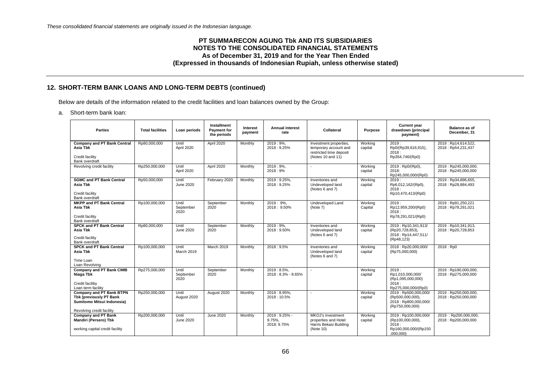## **12. SHORT-TERM BANK LOANS AND LONG-TERM DEBTS (continued)**

Below are details of the information related to the credit facilities and loan balances owned by the Group:

a. Short-term bank loan:

| <b>Parties</b>                                                                                                               | <b>Total facilities</b> | Loan periods               | <b>Installment</b><br><b>Payment for</b><br>the periods | Interest<br>payment | <b>Annual interest</b><br>rate         | Collateral                                                                                      | <b>Purpose</b>     | <b>Current vear</b><br>drawdown (principal<br>payment)                                       | <b>Balance as of</b><br>December, 31        |
|------------------------------------------------------------------------------------------------------------------------------|-------------------------|----------------------------|---------------------------------------------------------|---------------------|----------------------------------------|-------------------------------------------------------------------------------------------------|--------------------|----------------------------------------------------------------------------------------------|---------------------------------------------|
| <b>Company and PT Bank Central</b><br>Asia Tbk<br>Credit facility<br><b>Bank overdraft</b>                                   | Rp80,000,000            | Until<br>April 2020        | April 2020                                              | Monthly             | 2019:9%,<br>2018: 9.25%                | Investment properties,<br>temporary account and<br>restricted time deposit<br>(Notes 10 and 11) | Working<br>capital | 2019:<br>Rp0/(Rp39,616,915),<br>2018:<br>Rp354,746/(Rp0)                                     | 2019: Rp14,614,522,<br>2018: Rp54,231,437   |
| Revolving credit facility                                                                                                    | Rp250,000,000           | Until<br>April 2020        | April 2020                                              | Monthly             | 2019:9%<br>2018:9%                     |                                                                                                 | Working<br>capital | 2019: Rp0/(Rp0),<br>2018:<br>Rp245,000,000/(Rp0)                                             | 2019: Rp245,000,000,<br>2018: Rp245,000,000 |
| <b>SGMC and PT Bank Central</b><br>Asia Tbk<br>Credit facility<br>Bank overdraft                                             | Rp50,000,000            | Until<br>June 2020         | February 2020                                           | Monthly             | 2019: 9.25%,<br>2018: 9.25%            | Inventories and<br>Undeveloped land<br>(Notes 6 and 7)                                          | Working<br>capital | 2019:<br>Rp6,012,162/(Rp0),<br>2018:<br>Rp10,470,413/(Rp0)                                   | 2019: Rp34,896,655,<br>2018: Rp28,884,493   |
| <b>MKPP and PT Bank Central</b><br>Asia Tbk<br>Credit facility<br>Bank overdraft                                             | Rp100,000,000           | Until<br>September<br>2020 | September<br>2020                                       | Monthly             | 2019: 9%,<br>2018: 9.50%               | Undeveloped Land<br>(Note 7)                                                                    | Working<br>Capital | 2019:<br>Rp12,959,200/(Rp0)<br>2018:<br>Rp78,291,021/(Rp0)                                   | 2019: Rp91,250,221<br>2018: Rp78,291,021    |
| <b>SPCK and PT Bank Central</b><br>Asia Tbk<br>Credit facility<br>Bank overdraft                                             | Rp80,000,000            | Until<br>June 2020         | September<br>2020                                       | Monthly             | 2019:9%<br>2018: 9.50%                 | Inventories and<br>Undeveloped land<br>(Notes 6 and 7)                                          | Working<br>capital | 2019: Rp10,341,913/<br>(Rp20,728,853),<br>2018: Rp14,447,511/<br>(Rp48,123)                  | 2019: Rp10,341,913,<br>2018: Rp20,728,853   |
| <b>SPCK and PT Bank Central</b><br>Asia Tbk<br>Time Loan<br>Loan Revolving                                                   | Rp100,000,000           | Until<br>March 2019        | March 2019                                              | Monthly             | 2018: 9.5%                             | Inventories and<br>Undeveloped land<br>(Notes 6 and 7)                                          | Working<br>capital | 2018: Rp20,000,000/<br>(Rp75,000,000)                                                        | 2018 : Rp0                                  |
| <b>Company and PT Bank CIMB</b><br>Niaga Tbk<br>Credit facilitiv<br>Loan term facility                                       | Rp275,000,000           | Until<br>September<br>2020 | September<br>2020                                       | Monthly             | 2019: 8.5%.<br>$2018:8.3\% - 8.65\%$   | $\sim$                                                                                          | Working<br>capital | 2019:<br>Rp1,010,000,000/<br>(Rp1,095,000,000)<br>2018:<br>Rp275,000,000/(Rp0)               | 2019: Rp190,000,000,<br>2018: Rp275,000,000 |
| <b>Company and PT Bank BTPN</b><br><b>Tbk (previously PT Bank</b><br>Sumitomo Mitsui Indonesia)<br>Revolving credit facility | Rp250,000,000           | Until<br>August 2020       | August 2020                                             | Monthly             | 2019: 8.95%.<br>2018:10.5%             |                                                                                                 | Working<br>capital | 2019: Rp500,000,000/<br>(Rp500,000,000),<br>2018: Rp800,000,000/<br>(Rp750,000,000)          | 2019: Rp250,000,000,<br>2018: Rp250,000,000 |
| <b>Company and PT Bank</b><br>Mandiri (Persero) Tbk<br>working capital credit facility                                       | Rp200,000,000           | Until<br>June 2020         | <b>June 2020</b>                                        | Monthly             | 2019: 9.25% -<br>9.75%.<br>2018: 9.75% | MKOJ's investment<br>properties and Hotel<br>Harris Bekasi Building<br>(Note 10)                | Working<br>capital | 2019: Rp100,000,000/<br>(Rp100,000,000),<br>2018:<br>Rp160,000,000/(Rp150<br>(000, 000, 000) | 2019: Rp200,000,000,<br>2018: Rp200,000,000 |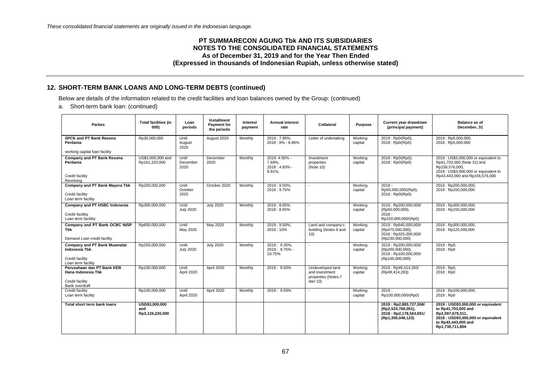## **12. SHORT-TERM BANK LOANS AND LONG-TERM DEBTS (continued)**

Below are details of the information related to the credit facilities and loan balances owned by the Group: (continued)

a. Short-term bank loan: (continued)

| <b>Parties</b>                                                                                | <b>Total facilities (in</b><br>000)      | Loan<br>periods           | <b>Installment</b><br><b>Payment for</b><br>the periods | Interest<br>payment | <b>Annual interest</b><br>rate                       | Collateral                                                           | Purpose            | Current year drawdown<br>(principal payment)                                                | <b>Balance as of</b><br>December, 31                                                                                                                             |
|-----------------------------------------------------------------------------------------------|------------------------------------------|---------------------------|---------------------------------------------------------|---------------------|------------------------------------------------------|----------------------------------------------------------------------|--------------------|---------------------------------------------------------------------------------------------|------------------------------------------------------------------------------------------------------------------------------------------------------------------|
| <b>SPCK and PT Bank Resona</b><br>Perdania<br>working capital loan facility                   | Rp30,000,000                             | Until<br>August<br>2020   | August 2020                                             | Monthly             | 2019: 7.95%,<br>2018:8% - 8.86%                      | Letter of undertaking                                                | Working<br>capital | 2019: Rp0/(Rp0),<br>2018 : Rp0/(Rp0)                                                        | 2019: Rp5,000,000,<br>2018: Rp5,000,000                                                                                                                          |
| <b>Company and PT Bank Resona</b><br>Perdania<br>Credit facility<br>Revolving                 | US\$3,000,000 and<br>Rp161,220,000       | Until<br>December<br>2020 | December<br>2020                                        | Monthly             | 2019: 4.56% -<br>7.69%.<br>$2018:4.93\%$ -<br>8.91%. | Investment<br>properties<br>(Note 10)                                | Working<br>capital | 2019: Rp0/(Rp0),<br>2018: Rp0/(Rp0)                                                         | 2019 : US\$3,000,000 or equivalent to<br>Rp41,703,000 (Note 31) and<br>Rp156.576.000.<br>2018 : US\$3,000,000 or equivalent to<br>Rp43,443,000 and Rp156,576,000 |
| Company and PT Bank Mayora Tbk<br>Credit facility<br>Loan term facility                       | Rp200,000,000                            | Until<br>October<br>2020  | October 2020                                            | Monthly             | 2019: 9.50%.<br>2018: 9.75%                          | $\overline{\phantom{a}}$                                             | Working<br>capital | 2019:<br>Rp50,000,000/(Rp0),<br>2018: Rp0/(Rp0)                                             | 2019: Rp200,000,000,<br>2018: Rp150,000,000                                                                                                                      |
| Company and PT HSBC Indonesia<br>Credit facilitiy<br>Loan term facilitiy                      | Rp300,000,000                            | Until<br><b>July 2020</b> | <b>July 2020</b>                                        | Monthly             | 2019: 8.65%<br>2018: 8.65%                           |                                                                      | Working<br>capital | 2019: Rp200,000,000/<br>(Rp50,000,000),<br>2018:<br>Rp150,000,000/(Rp0)                     | 2019: Rp300,000,000,<br>2018: Rp150,000,000                                                                                                                      |
| Company and PT Bank OCBC NISP<br>Tbk<br>Demand Loan credit facility                           | Rp600,000,000                            | Until<br>May 2020         | May 2020                                                | Monthly             | 2019: 9.50%.<br>2018:10%                             | Land and company's<br>building (Notes 9 and<br>10)                   | Working<br>capital | 2019: Rp645,000,000/<br>(Rp470,000,000),<br>2018: Rp325,000,000/<br>(Rp230,000,000)         | 2019: Rp300,000,000,<br>2018: Rp125,000,000                                                                                                                      |
| <b>Company and PT Bank Muamalat</b><br>Indonesia Tbk<br>Credit facility<br>Loan term facility | Rp250,000,000                            | Until<br><b>July 2020</b> | <b>July 2020</b>                                        | Monthly             | 2019: 9.35%,<br>2018: 9.75% -<br>10.75%              | $\blacksquare$                                                       | Working<br>capital | 2019: Rp200,000,000/<br>(Rp200.000.000).<br>2018: Rp100,000,000/<br>(Rp100,000,000)         | 2019: Rp0,<br>2018 : Rp0                                                                                                                                         |
| Perusahaan dan PT Bank KEB<br>Hana Indonesia Tbk<br>Credit facility<br><b>Bank overdraft</b>  | Rp100,000,000                            | Until<br>April 2020       | April 2020                                              | Monthly             | 2019: 9.50%                                          | Undeveloped land<br>and investment<br>properties (Notes 7<br>dan 10) | Working<br>capital | 2019: Rp49,414,283/<br>(Rp49,414,283)                                                       | 2019 : Rp0,<br>2018 : Rp0                                                                                                                                        |
| <b>Credit facility</b><br>Loan term facility                                                  | Rp100,000,000                            | Until<br>April 2020       | April 2020                                              | Monthly             | 2019: 9.50%                                          | $\overline{\phantom{a}}$                                             | Working<br>capital | 2019:<br>Rp100,000,000/(Rp0)                                                                | 2019: Rp100,000,000,<br>2018: Rp0                                                                                                                                |
| <b>Total short term bank loans</b>                                                            | USD\$3,000,000<br>and<br>Rp3,126,220,000 |                           |                                                         |                     |                                                      |                                                                      |                    | 2019: Rp2,883,727,558/<br>(Rp2,524,760,051),<br>2018: Rp2,178,563,691/<br>(Rp1,305,048,123) | 2019 : USD\$3,000,000 or equivalent<br>to Rp41,703,000 and<br>Rp2,097,679,311,<br>2018 : USD\$3,000,000 or equivalent<br>to Rp43,443,000 and<br>Rp1,738,711,804  |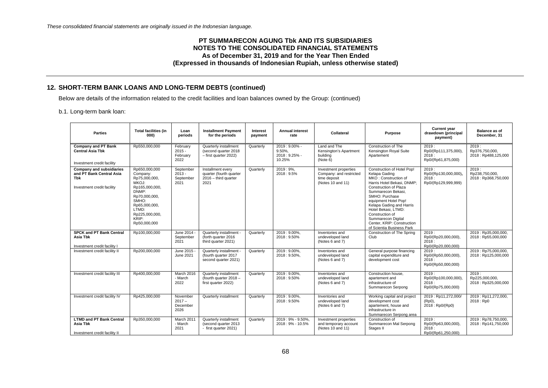## **12. SHORT-TERM BANK LOANS AND LONG-TERM DEBTS (continued)**

Below are details of the information related to the credit facilities and loan balances owned by the Group: (continued)

#### b.1. Long-term bank loan:

| <b>Parties</b>                                                                                   | <b>Total facilities (in</b><br>000)                                                                                                                                           | Loan<br>periods                            | <b>Installment Payment</b><br>for the periods                                  | Interest<br>payment | <b>Annual interest</b><br>rate                     | Collateral                                                                            | <b>Purpose</b>                                                                                                                                                                                                                                                                                                                                           | <b>Current year</b><br>drawdown (principal<br>payment)        | <b>Balance as of</b><br>December, 31           |
|--------------------------------------------------------------------------------------------------|-------------------------------------------------------------------------------------------------------------------------------------------------------------------------------|--------------------------------------------|--------------------------------------------------------------------------------|---------------------|----------------------------------------------------|---------------------------------------------------------------------------------------|----------------------------------------------------------------------------------------------------------------------------------------------------------------------------------------------------------------------------------------------------------------------------------------------------------------------------------------------------------|---------------------------------------------------------------|------------------------------------------------|
| <b>Company and PT Bank</b><br><b>Central Asia Tbk</b><br>Investment credit facility              | Rp550,000,000                                                                                                                                                                 | February<br>$2015 -$<br>February<br>2022   | Quarterly installment<br>(second quarter 2018<br>- first quarter 2022)         | Quarterly           | 2019: 9.00% -<br>9.50%.<br>2018: 9.25% -<br>10.25% | Land and The<br>Kensington's Apartment<br>building<br>(Note 6)                        | Construction of The<br>Kensington Royal Suite<br>Apartement                                                                                                                                                                                                                                                                                              | 2019:<br>Rp0/(Rp111,375,000),<br>2018:<br>Rp0/(Rp61,875,000)  | 2019:<br>Rp376.750.000.<br>2018: Rp488,125,000 |
| <b>Company and subsidiaries</b><br>and PT Bank Central Asia<br>Tbk<br>Investment credit facility | Rp650,000,000<br>Company:<br>Rp75,000,000,<br>MKOJ:<br>Rp165,000,000,<br>DNMP:<br>Rp70,000,000,<br>SMHO:<br>Rp65,000,000,<br>LTMD:<br>Rp225,000,000,<br>KRIP:<br>Rp50,000,000 | September<br>$2013 -$<br>September<br>2021 | Installment every<br>quarter (fourth quarter<br>$2016 -$ third quarter<br>2021 | Quarterly           | 2019:9%.<br>2018: 9.5%                             | Investment properties<br>Company: and restricted<br>time deposit<br>(Notes 10 and 11) | Construction of Hotel Pop!<br>Kelapa Gading<br>MKO: Construction of<br>Harris Hotel Bekasi, DNMP:<br><b>Construction of Plaza</b><br>Summarecon Bekasi.<br>SMHO: Purchase<br>equipment Hotel Pop!<br>Kelapa Gading and Harris<br>Hotel Bekasi, LTMD:<br>Construction of<br>Summarecon Digital<br>Center, KRIP: Construction<br>of Scientia Business Park | 2019:<br>Rp0/(Rp130,000,000),<br>2018:<br>Rp0/(Rp129,999,999) | 2019:<br>Rp238,750,000,<br>2018: Rp368,750,000 |
| <b>SPCK and PT Bank Central</b><br>Asia Tbk<br>Investment credit facility I                      | Rp100,000,000                                                                                                                                                                 | June 2014 -<br>September<br>2021           | Quarterly installment -<br>(forth quarter 2016)<br>third quarter 2021)         | Quarterly           | 2019: 9.00%.<br>2018: 9.50%                        | Inventories and<br>undeveloped land<br>(Notes 6 and 7)                                | Construction of The Spring<br>Club                                                                                                                                                                                                                                                                                                                       | 2019:<br>Rp0/(Rp20,000,000),<br>2018:<br>Rp0/(Rp20,000,000)   | 2019: Rp35,000,000,<br>2018: Rp55,000,000      |
| Investment credit facility II                                                                    | Rp200,000,000                                                                                                                                                                 | June 2015<br>June 2021                     | Quarterly installment<br>(fourth quarter 2017<br>second quarter 2021)          | Quarterly           | 2019: 9.00%.<br>2018: 9.50%,                       | Inventories and<br>undeveloped land<br>(Notes 6 and 7)                                | General purpose financing<br>capital expenditure and<br>development cost                                                                                                                                                                                                                                                                                 | 2019:<br>Rp0/(Rp50,000,000),<br>2018:<br>Rp0/(Rp50,000,000)   | 2019: Rp75,000,000,<br>2018: Rp125,000,000     |
| Investment credit facility III                                                                   | Rp400,000,000                                                                                                                                                                 | March 2016<br>- March<br>2022              | <b>Quarterly installment</b><br>(fourth quarter 2018 -<br>first quarter 2022)  | Quarterly           | 2019: 9.00%.<br>2018: 9.50%                        | Inventories and<br>undeveloped land<br>(Notes 6 and 7)                                | Construction house,<br>apartement and<br>infrastructure of<br>Summarecon Serpong                                                                                                                                                                                                                                                                         | 2019:<br>Rp0/(Rp100,000,000),<br>2018:<br>Rp0/(Rp75,000,000)  | 2019:<br>Rp225,000,000,<br>2018: Rp325,000,000 |
| Investment credit facility IV                                                                    | Rp425,000,000                                                                                                                                                                 | November<br>$2017 -$<br>December<br>2026   | Quarterly installment                                                          | Quarterly           | 2019: 9.00%.<br>2018: 9.50%                        | Inventories and<br>undeveloped land<br>(Notes 6 and 7)                                | Working capital and project<br>development cost<br>apartement, house and<br>infrastructure in<br>Summarecon Serpong area                                                                                                                                                                                                                                 | 2019: Rp11,272,000/<br>(Rp0),<br>2018 : Rp0/(Rp0)             | 2019: Rp11,272,000,<br>2018 : Rp0              |
| <b>LTMD and PT Bank Central</b><br>Asia Tbk<br>Investment credit facility II                     | Rp350,000,000                                                                                                                                                                 | March 2011<br>- March<br>2021              | Quarterly installment<br>(second quarter 2013<br>- first quarter 2021)         | Quarterly           | 2019: 9% - 9.50%.<br>2018: 9% - 10.5%              | Investment properties<br>and temporary account<br>(Notes 10 and 11)                   | Construction of<br>Summarecon Mal Serpong<br>Stages II                                                                                                                                                                                                                                                                                                   | 2019:<br>Rp0/(Rp63,000,000),<br>2018:<br>Rp0/(Rp61,250,000)   | 2019: Rp78,750,000,<br>2018: Rp141,750,000     |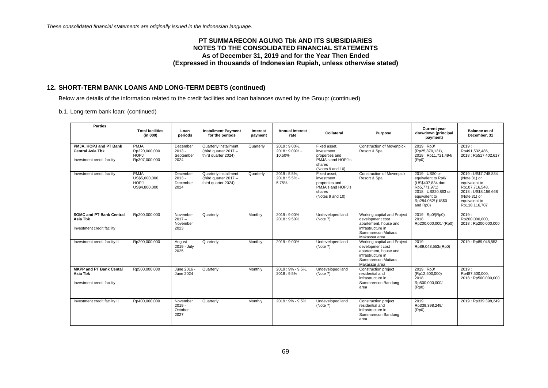## **12. SHORT-TERM BANK LOANS AND LONG-TERM DEBTS (continued)**

Below are details of the information related to the credit facilities and loan balances owned by the Group: (continued)

#### b.1. Long-term bank loan: (continued)

| <b>Parties</b>                                                                  | <b>Total facilities</b><br>(in 000)              | Loan<br>periods                           | <b>Installment Payment</b><br>for the periods                           | Interest<br>payment | <b>Annual interest</b><br>rate          | Collateral                                                                                      | <b>Purpose</b>                                                                                                                       | <b>Current vear</b><br>drawdown (principal<br>payment)                                                                                             | <b>Balance as of</b><br>December, 31                                                                                                            |
|---------------------------------------------------------------------------------|--------------------------------------------------|-------------------------------------------|-------------------------------------------------------------------------|---------------------|-----------------------------------------|-------------------------------------------------------------------------------------------------|--------------------------------------------------------------------------------------------------------------------------------------|----------------------------------------------------------------------------------------------------------------------------------------------------|-------------------------------------------------------------------------------------------------------------------------------------------------|
| PMJA, HOPJ and PT Bank<br><b>Central Asia Tbk</b><br>Investment credit facility | PMJA:<br>Rp220.000.000<br>HOPJ:<br>Rp307,000,000 | December<br>$2013 -$<br>September<br>2024 | Quarterly installment<br>(third quarter $2017 -$<br>third quarter 2024) | Quarterly           | 2019: 9.00%.<br>2018: 9.00% -<br>10.50% | Fixed asset.<br>investment<br>properties and<br>PMJA's and HOPJ's<br>shares<br>(Notes 9 and 10) | <b>Construction of Movenpick</b><br>Resort & Spa                                                                                     | 2019 : Rp0/<br>(Rp25,870,131),<br>2018: Rp11,721,494/<br>(Rp0)                                                                                     | 2019:<br>Rp491.532.486.<br>2018: Rp517,402,617                                                                                                  |
| Investment credit facility                                                      | PMJA:<br>US\$5,000,000<br>HOPJ:<br>US\$4,800,000 | December<br>$2013 -$<br>December<br>2024  | Quarterly installment<br>(third quarter $2017 -$<br>third quarter 2024) | Quarterly           | 2019: 5.5%.<br>$2018:5.5\%$ -<br>5.75%  | Fixed asset.<br>investment<br>properties and<br>PMJA's and HOPJ's<br>shares<br>(Notes 9 and 10) | <b>Construction of Movenpick</b><br>Resort & Spa                                                                                     | 2019 : US\$0 or<br>equivalent to Rp0/<br>(US\$407,834 dan<br>Rp5,771,971),<br>2018: US\$20,863 or<br>equivalent to<br>Rp284,052/(US\$0<br>and Rp0) | 2019: US\$7.748.834<br>(Note 31) or<br>equivalent to<br>Rp107.716.548.<br>2018: US\$8,156,668<br>(Note 31) or<br>equivalent to<br>Rp118,116,707 |
| <b>SGMC and PT Bank Central</b><br>Asia Tbk<br>Investment credit facility       | Rp200,000,000                                    | November<br>$2017 -$<br>November<br>2023  | Quarterly                                                               | Monthly             | 2019: 9.00%<br>2018: 9.50%              | Undeveloped land<br>(Note 7)                                                                    | Working capital and Project<br>development cost<br>apartement, house and<br>infrastructure in<br>Summarecon Mutiara<br>Makassar area | 2019 : Rp0/(Rp0),<br>2018:<br>Rp200,000,000/ (Rp0)                                                                                                 | 2019:<br>Rp200,000,000,<br>2018: Rp200,000,000                                                                                                  |
| Investment credit facility II                                                   | Rp200,000,000                                    | August<br>2019 - July<br>2025             | Quarterly                                                               | Monthly             | 2019: 9.00%                             | Undeveloped land<br>(Note 7)                                                                    | Working capital and Project<br>development cost<br>apartement, house and<br>infrastructure in<br>Summarecon Mutiara<br>Makassar area | 2019:<br>Rp89,048,553/(Rp0)                                                                                                                        | 2019: Rp89,048,553                                                                                                                              |
| <b>MKPP and PT Bank Cental</b><br>Asia Tbk<br>Investment credit facility        | Rp500,000,000                                    | June 2016 -<br>June 2024                  | Quarterly                                                               | Monthly             | 2019: 9% - 9.5%.<br>2018: 9.5%          | Undeveloped land<br>(Note 7)                                                                    | Construction project<br>residential and<br>infrastructure in<br>Summarecon Bandung<br>area                                           | 2019 : Rp0/<br>(Rp12,500,000)<br>2018:<br>Rp500,000,000/<br>(Rp0)                                                                                  | 2019:<br>Rp487,500,000,<br>2018: Rp500,000,000                                                                                                  |
| Investment credit facility II                                                   | Rp400,000,000                                    | November<br>$2019 -$<br>October<br>2027   | Quarterly                                                               | Monthly             | 2019: 9% - 9.5%                         | Undeveloped land<br>(Note 7)                                                                    | Construction project<br>residential and<br>infrastructure in<br>Summarecon Bandung<br>area                                           | 2019:<br>Rp339,398,249/<br>(Rp0)                                                                                                                   | 2019: Rp339,398,249                                                                                                                             |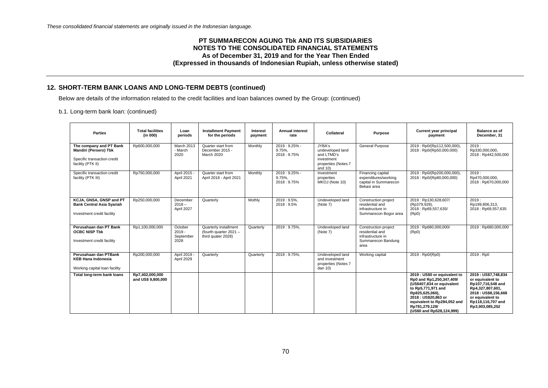## **12. SHORT-TERM BANK LOANS AND LONG-TERM DEBTS (continued)**

Below are details of the information related to the credit facilities and loan balances owned by the Group: (continued)

#### b.1. Long-term bank loan: (continued)

| <b>Parties</b>                                                                                       | <b>Total facilities</b><br>(in 000)   | Loan<br>periods                          | <b>Installment Payment</b><br>for the periods                         | Interest<br>payment | <b>Annual interest</b><br>rate         | Collateral                                                                               | Purpose                                                                                    | Current year principal<br>payment                                                                                                                                                                                                     | Balance as of<br>December, 31                                                                                                                                       |
|------------------------------------------------------------------------------------------------------|---------------------------------------|------------------------------------------|-----------------------------------------------------------------------|---------------------|----------------------------------------|------------------------------------------------------------------------------------------|--------------------------------------------------------------------------------------------|---------------------------------------------------------------------------------------------------------------------------------------------------------------------------------------------------------------------------------------|---------------------------------------------------------------------------------------------------------------------------------------------------------------------|
| The company and PT Bank<br>Mandiri (Persero) Tbk<br>Specific transaction credit<br>facility (PTK II) | Rp600,000,000                         | March 2013<br>- March<br>2020            | Quarter start from<br>December 2015 -<br>March 2020                   | Monthly             | 2019: 9.25% -<br>9.75%,<br>2018: 9.75% | JYBA's<br>undeveloped land<br>and LTMD's<br>investment<br>properties (Notes 7<br>and 10) | General Purpose                                                                            | 2019: Rp0/(Rp112,500,000),<br>2018: Rp0/(Rp50,000,000)                                                                                                                                                                                | 2019:<br>Rp330,000,000,<br>2018: Rp442,500,000                                                                                                                      |
| Specific transaction credit<br>facility (PTK III)                                                    | Rp750,000,000                         | April 2015 -<br>April 2021               | Quarter start from<br>April 2018 - April 2021                         | Monthly             | 2019: 9.25% -<br>9.75%.<br>2018: 9.75% | Investment<br>properties<br>MKOJ (Note 10)                                               | Financing capital<br>expenditures/working<br>capital in Summarecon<br>Bekasi area          | 2019: Rp0/(Rp200,000,000),<br>2018: Rp0/(Rp80,000,000)                                                                                                                                                                                | 2019:<br>Rp470,000,000,<br>2018: Rp670,000,000                                                                                                                      |
| KCJA, GNSA, GNSP and PT<br><b>Bank Central Asia Syariah</b><br>Investment credit facility            | Rp250,000,000                         | December<br>$2018 -$<br>April 2027       | Quarterly                                                             | Mothly              | 2019: 9.5%.<br>2018: 9.5%              | Undeveloped land<br>(Note 7)                                                             | Construction project<br>residential and<br>infrastructure in<br>Summarecon Bogor area      | 2019: Rp130,628,607/<br>(Rp379,929),<br>2018: Rp69,557,635/<br>(Rp0)                                                                                                                                                                  | 2019:<br>Rp199,806,313,<br>2018: Rp69,557,635                                                                                                                       |
| Perusahaan dan PT Bank<br><b>OCBC NISP Tbk</b><br>Investment credit facility                         | Rp1,100,000,000                       | October<br>$2019 -$<br>September<br>2028 | Quarterly installment<br>(fourth quarter 2021 -<br>third quater 2028) | Quarterly           | 2019: 9.75%,                           | Undeveloped land<br>(Note 7)                                                             | Construction project<br>residential and<br>infrastructure in<br>Summarecon Bandung<br>area | 2019: Rp680,000,000/<br>(Rp0)                                                                                                                                                                                                         | 2019: Rp680,000,000                                                                                                                                                 |
| Perusahaan dan PTBank<br><b>KEB Hana Indonesia</b><br>Working capital loan facility                  | Rp200,000,000                         | April 2019 -<br>April 2029               | Quarterly                                                             | Quarterly           | 2019: 9.75%.                           | Undeveloped land<br>and investment<br>properties (Notes 7<br>$dan$ 10)                   | Working capital                                                                            | 2019: Rp0/(Rp0)                                                                                                                                                                                                                       | 2019 : Rp0                                                                                                                                                          |
| Total long-term bank loans                                                                           | Rp7,402,000,000<br>and US\$ 9,800,000 |                                          |                                                                       |                     |                                        |                                                                                          |                                                                                            | 2019 : US\$0 or equivalent to<br>Rp0 and Rp1,250,347,409/<br>(US\$407,834 or equivalent<br>to Rp5,771,971 and<br>Rp825,625,060),<br>2018: US\$20.863 or<br>equivalent to Rp284,052 and<br>Rp781,279,129/<br>(US\$0 and Rp528,124,999) | 2019: US\$7,748,834<br>or equivalent to<br>Rp107,716,548 and<br>Rp4,327,807,601,<br>2018: US\$8,156,668<br>or equivalent to<br>Rp118,116,707 and<br>Rp3,903,085,252 |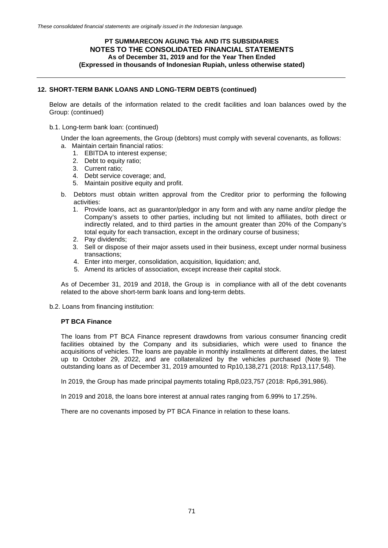#### **12. SHORT-TERM BANK LOANS AND LONG-TERM DEBTS (continued)**

Below are details of the information related to the credit facilities and loan balances owed by the Group: (continued)

b.1. Long-term bank loan: (continued)

Under the loan agreements, the Group (debtors) must comply with several covenants, as follows: a. Maintain certain financial ratios:

- 1. EBITDA to interest expense;
- 2. Debt to equity ratio;
- 3. Current ratio;
- 4. Debt service coverage; and,
- 5. Maintain positive equity and profit.
- b. Debtors must obtain written approval from the Creditor prior to performing the following activities:
	- 1. Provide loans, act as guarantor/pledgor in any form and with any name and/or pledge the Company's assets to other parties, including but not limited to affiliates, both direct or indirectly related, and to third parties in the amount greater than 20% of the Company's total equity for each transaction, except in the ordinary course of business;
	- 2. Pay dividends;
	- 3. Sell or dispose of their major assets used in their business, except under normal business transactions;
	- 4. Enter into merger, consolidation, acquisition, liquidation; and,
	- 5. Amend its articles of association, except increase their capital stock.

As of December 31, 2019 and 2018, the Group is in compliance with all of the debt covenants related to the above short-term bank loans and long-term debts.

b.2. Loans from financing institution:

## **PT BCA Finance**

The loans from PT BCA Finance represent drawdowns from various consumer financing credit facilities obtained by the Company and its subsidiaries, which were used to finance the acquisitions of vehicles. The loans are payable in monthly installments at different dates, the latest up to October 29, 2022, and are collateralized by the vehicles purchased (Note 9). The outstanding loans as of December 31, 2019 amounted to Rp10,138,271 (2018: Rp13,117,548).

In 2019, the Group has made principal payments totaling Rp8,023,757 (2018: Rp6,391,986).

In 2019 and 2018, the loans bore interest at annual rates ranging from 6.99% to 17.25%.

There are no covenants imposed by PT BCA Finance in relation to these loans.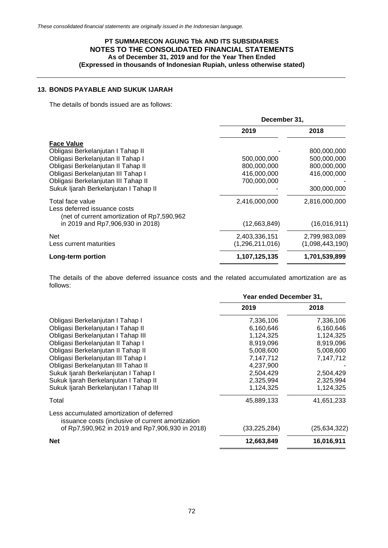# **13. BONDS PAYABLE AND SUKUK IJARAH**

The details of bonds issued are as follows:

|                                                                                                  | December 31,    |                 |  |  |
|--------------------------------------------------------------------------------------------------|-----------------|-----------------|--|--|
|                                                                                                  | 2019            | 2018            |  |  |
| <b>Face Value</b>                                                                                |                 |                 |  |  |
| Obligasi Berkelanjutan I Tahap II                                                                |                 | 800,000,000     |  |  |
| Obligasi Berkelanjutan II Tahap I                                                                | 500,000,000     | 500,000,000     |  |  |
| Obligasi Berkelanjutan II Tahap II                                                               | 800,000,000     | 800,000,000     |  |  |
| Obligasi Berkelanjutan III Tahap I                                                               | 416,000,000     | 416,000,000     |  |  |
| Obligasi Berkelanjutan III Tahap II                                                              | 700,000,000     |                 |  |  |
| Sukuk Ijarah Berkelanjutan I Tahap II                                                            |                 | 300,000,000     |  |  |
| Total face value<br>Less deferred issuance costs<br>(net of current amortization of Rp7,590,962) | 2,416,000,000   | 2,816,000,000   |  |  |
| in 2019 and Rp7,906,930 in 2018)                                                                 | (12,663,849)    | (16,016,911)    |  |  |
| <b>Net</b>                                                                                       | 2,403,336,151   | 2,799,983,089   |  |  |
| Less current maturities                                                                          | (1,296,211,016) | (1,098,443,190) |  |  |
| Long-term portion                                                                                | 1,107,125,135   | 1,701,539,899   |  |  |
|                                                                                                  |                 |                 |  |  |

The details of the above deferred issuance costs and the related accumulated amortization are as follows:

|                                                                                                | Year ended December 31, |                |  |  |
|------------------------------------------------------------------------------------------------|-------------------------|----------------|--|--|
|                                                                                                | 2019                    | 2018           |  |  |
| Obligasi Berkelanjutan I Tahap I                                                               | 7,336,106               | 7,336,106      |  |  |
| Obligasi Berkelanjutan I Tahap II                                                              | 6,160,646               | 6,160,646      |  |  |
| Obligasi Berkelanjutan I Tahap III                                                             | 1,124,325               | 1,124,325      |  |  |
| Obligasi Berkelanjutan II Tahap I                                                              | 8,919,096               | 8,919,096      |  |  |
| Obligasi Berkelanjutan II Tahap II                                                             | 5,008,600               | 5,008,600      |  |  |
| Obligasi Berkelanjutan III Tahap I                                                             | 7,147,712               | 7,147,712      |  |  |
| Obligasi Berkelanjutan III Tahao II                                                            | 4,237,900               |                |  |  |
| Sukuk Ijarah Berkelanjutan I Tahap I                                                           | 2,504,429               | 2,504,429      |  |  |
| Sukuk Ijarah Berkelanjutan I Tahap II                                                          | 2,325,994               | 2,325,994      |  |  |
| Sukuk Ijarah Berkelanjutan I Tahap III                                                         | 1,124,325               | 1,124,325      |  |  |
| Total                                                                                          | 45,889,133              | 41,651,233     |  |  |
| Less accumulated amortization of deferred<br>issuance costs (inclusive of current amortization |                         |                |  |  |
| of Rp7,590,962 in 2019 and Rp7,906,930 in 2018)                                                | (33, 225, 284)          | (25, 634, 322) |  |  |
| <b>Net</b>                                                                                     | 12,663,849              | 16,016,911     |  |  |
|                                                                                                |                         |                |  |  |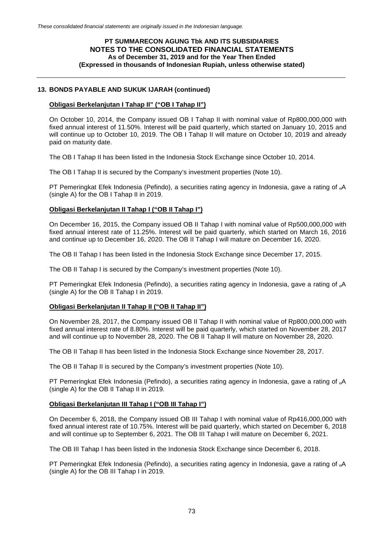#### **13. BONDS PAYABLE AND SUKUK IJARAH (continued)**

#### **Obligasi Berkelanjutan I Tahap II" ("OB I Tahap II")**

On October 10, 2014, the Company issued OB I Tahap II with nominal value of Rp800,000,000 with fixed annual interest of 11.50%. Interest will be paid quarterly, which started on January 10, 2015 and will continue up to October 10, 2019. The OB I Tahap II will mature on October 10, 2019 and already paid on maturity date.

The OB I Tahap II has been listed in the Indonesia Stock Exchange since October 10, 2014.

The OB I Tahap II is secured by the Company's investment properties (Note 10).

PT Pemeringkat Efek Indonesia (Pefindo), a securities rating agency in Indonesia, gave a rating of <sub>id</sub>A (single A) for the OB I Tahap II in 2019.

## **Obligasi Berkelanjutan II Tahap I ("OB II Tahap I")**

On December 16, 2015, the Company issued OB II Tahap I with nominal value of Rp500,000,000 with fixed annual interest rate of 11.25%. Interest will be paid quarterly, which started on March 16, 2016 and continue up to December 16, 2020. The OB II Tahap I will mature on December 16, 2020.

The OB II Tahap I has been listed in the Indonesia Stock Exchange since December 17, 2015.

The OB II Tahap I is secured by the Company's investment properties (Note 10).

PT Pemeringkat Efek Indonesia (Pefindo), a securities rating agency in Indonesia, gave a rating of <sub>id</sub>A (single A) for the OB II Tahap I in 2019.

#### **Obligasi Berkelanjutan II Tahap II ("OB II Tahap II")**

On November 28, 2017, the Company issued OB II Tahap II with nominal value of Rp800,000,000 with fixed annual interest rate of 8.80%. Interest will be paid quarterly, which started on November 28, 2017 and will continue up to November 28, 2020. The OB II Tahap II will mature on November 28, 2020.

The OB II Tahap II has been listed in the Indonesia Stock Exchange since November 28, 2017.

The OB II Tahap II is secured by the Company's investment properties (Note 10).

PT Pemeringkat Efek Indonesia (Pefindo), a securities rating agency in Indonesia, gave a rating of  $_{\text{id}}A$ (single A) for the OB II Tahap II in 2019.

#### **Obligasi Berkelanjutan III Tahap I ("OB III Tahap I")**

On December 6, 2018, the Company issued OB III Tahap I with nominal value of Rp416,000,000 with fixed annual interest rate of 10.75%. Interest will be paid quarterly, which started on December 6, 2018 and will continue up to September 6, 2021. The OB III Tahap I will mature on December 6, 2021.

The OB III Tahap I has been listed in the Indonesia Stock Exchange since December 6, 2018.

PT Pemeringkat Efek Indonesia (Pefindo), a securities rating agency in Indonesia, gave a rating of <sub>id</sub>A (single A) for the OB III Tahap I in 2019.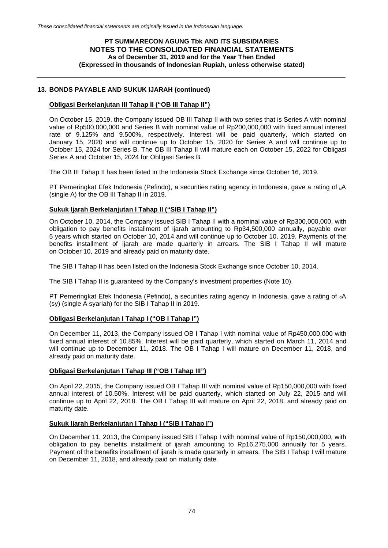#### **13. BONDS PAYABLE AND SUKUK IJARAH (continued)**

### **Obligasi Berkelanjutan III Tahap II ("OB III Tahap II")**

On October 15, 2019, the Company issued OB III Tahap II with two series that is Series A with nominal value of Rp500,000,000 and Series B with nominal value of Rp200,000,000 with fixed annual interest rate of 9.125% and 9.500%, respectively. Interest will be paid quarterly, which started on January 15, 2020 and will continue up to October 15, 2020 for Series A and will continue up to October 15, 2024 for Series B. The OB III Tahap II will mature each on October 15, 2022 for Obligasi Series A and October 15, 2024 for Obligasi Series B.

The OB III Tahap II has been listed in the Indonesia Stock Exchange since October 16, 2019.

PT Pemeringkat Efek Indonesia (Pefindo), a securities rating agency in Indonesia, gave a rating of <sub>id</sub>A (single A) for the OB III Tahap II in 2019.

## **Sukuk Ijarah Berkelanjutan I Tahap II ("SIB I Tahap II")**

On October 10, 2014, the Company issued SIB I Tahap II with a nominal value of Rp300,000,000, with obligation to pay benefits installment of ijarah amounting to Rp34,500,000 annually, payable over 5 years which started on October 10, 2014 and will continue up to October 10, 2019. Payments of the benefits installment of ijarah are made quarterly in arrears. The SIB I Tahap II will mature on October 10, 2019 and already paid on maturity date.

The SIB I Tahap II has been listed on the Indonesia Stock Exchange since October 10, 2014.

The SIB I Tahap II is guaranteed by the Company's investment properties (Note 10).

PT Pemeringkat Efek Indonesia (Pefindo), a securities rating agency in Indonesia, gave a rating of <sub>id</sub>A (sy) (single A syariah) for the SIB I Tahap II in 2019.

#### **Obligasi Berkelanjutan I Tahap I ("OB I Tahap I")**

On December 11, 2013, the Company issued OB I Tahap I with nominal value of Rp450,000,000 with fixed annual interest of 10.85%. Interest will be paid quarterly, which started on March 11, 2014 and will continue up to December 11, 2018. The OB I Tahap I will mature on December 11, 2018, and already paid on maturity date.

#### **Obligasi Berkelanjutan I Tahap III ("OB I Tahap III")**

On April 22, 2015, the Company issued OB I Tahap III with nominal value of Rp150,000,000 with fixed annual interest of 10.50%. Interest will be paid quarterly, which started on July 22, 2015 and will continue up to April 22, 2018. The OB I Tahap III will mature on April 22, 2018, and already paid on maturity date.

#### **Sukuk Ijarah Berkelanjutan I Tahap I ("SIB I Tahap I")**

On December 11, 2013, the Company issued SIB I Tahap I with nominal value of Rp150,000,000, with obligation to pay benefits installment of ijarah amounting to Rp16,275,000 annually for 5 years. Payment of the benefits installment of ijarah is made quarterly in arrears. The SIB I Tahap I will mature on December 11, 2018, and already paid on maturity date.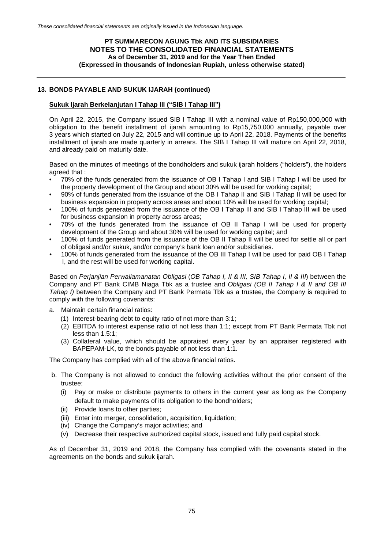### **13. BONDS PAYABLE AND SUKUK IJARAH (continued)**

## **Sukuk Ijarah Berkelanjutan I Tahap III ("SIB I Tahap III")**

On April 22, 2015, the Company issued SIB I Tahap III with a nominal value of Rp150,000,000 with obligation to the benefit installment of ijarah amounting to Rp15,750,000 annually, payable over 3 years which started on July 22, 2015 and will continue up to April 22, 2018. Payments of the benefits installment of ijarah are made quarterly in arrears. The SIB I Tahap III will mature on April 22, 2018, and already paid on maturity date.

Based on the minutes of meetings of the bondholders and sukuk ijarah holders ("holders"), the holders agreed that :

- 70% of the funds generated from the issuance of OB I Tahap I and SIB I Tahap I will be used for the property development of the Group and about 30% will be used for working capital;
- 90% of funds generated from the issuance of the OB I Tahap II and SIB I Tahap II will be used for business expansion in property across areas and about 10% will be used for working capital;
- 100% of funds generated from the issuance of the OB I Tahap III and SIB I Tahap III will be used for business expansion in property across areas;
- 70% of the funds generated from the issuance of OB II Tahap I will be used for property development of the Group and about 30% will be used for working capital; and
- 100% of funds generated from the issuance of the OB II Tahap II will be used for settle all or part of obligasi and/or sukuk, and/or company's bank loan and/or subsidiaries.
- 100% of funds generated from the issuance of the OB III Tahap I will be used for paid OB I Tahap I, and the rest will be used for working capital.

Based on *Perjanjian Perwaliamanatan Obligasi* (*OB Tahap I, II & III, SIB Tahap I, II & III*) between the Company and PT Bank CIMB Niaga Tbk as a trustee and *Obligasi (OB II Tahap I & II and OB III Tahap I)* between the Company and PT Bank Permata Tbk as a trustee, the Company is required to comply with the following covenants:

- a. Maintain certain financial ratios:
	- (1) Interest-bearing debt to equity ratio of not more than 3:1;
	- (2) EBITDA to interest expense ratio of not less than 1:1; except from PT Bank Permata Tbk not less than 1.5:1;
	- (3) Collateral value, which should be appraised every year by an appraiser registered with BAPEPAM-LK, to the bonds payable of not less than 1:1.

The Company has complied with all of the above financial ratios.

- b. The Company is not allowed to conduct the following activities without the prior consent of the trustee:
	- (i) Pay or make or distribute payments to others in the current year as long as the Company default to make payments of its obligation to the bondholders;
	- (ii) Provide loans to other parties;
	- (iii) Enter into merger, consolidation, acquisition, liquidation;
	- (iv) Change the Company's major activities; and
	- (v) Decrease their respective authorized capital stock, issued and fully paid capital stock.

As of December 31, 2019 and 2018, the Company has complied with the covenants stated in the agreements on the bonds and sukuk ijarah.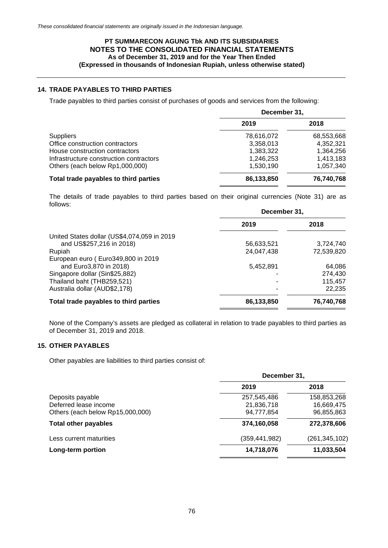# **14. TRADE PAYABLES TO THIRD PARTIES**

Trade payables to third parties consist of purchases of goods and services from the following:

| December 31, |            |  |  |
|--------------|------------|--|--|
| 2019         | 2018       |  |  |
| 78,616,072   | 68,553,668 |  |  |
| 3,358,013    | 4,352,321  |  |  |
| 1,383,322    | 1,364,256  |  |  |
| 1,246,253    | 1,413,183  |  |  |
| 1,530,190    | 1.057.340  |  |  |
| 86,133,850   | 76,740,768 |  |  |
|              |            |  |  |

The details of trade payables to third parties based on their original currencies (Note 31) are as follows:

| December 31, |            |  |  |
|--------------|------------|--|--|
| 2019         | 2018       |  |  |
|              |            |  |  |
| 56,633,521   | 3,724,740  |  |  |
| 24,047,438   | 72,539,820 |  |  |
|              |            |  |  |
| 5,452,891    | 64,086     |  |  |
|              | 274,430    |  |  |
|              | 115,457    |  |  |
|              | 22,235     |  |  |
| 86,133,850   | 76,740,768 |  |  |
|              |            |  |  |

None of the Company's assets are pledged as collateral in relation to trade payables to third parties as of December 31, 2019 and 2018.

# **15. OTHER PAYABLES**

Other payables are liabilities to third parties consist of:

|                                  | December 31,  |                 |  |  |
|----------------------------------|---------------|-----------------|--|--|
|                                  | 2019          | 2018            |  |  |
| Deposits payable                 | 257,545,486   | 158,853,268     |  |  |
| Deferred lease income            | 21,836,718    | 16,669,475      |  |  |
| Others (each below Rp15,000,000) | 94.777.854    | 96,855,863      |  |  |
| <b>Total other payables</b>      | 374,160,058   | 272,378,606     |  |  |
| Less current maturities          | (359,441,982) | (261, 345, 102) |  |  |
| Long-term portion                | 14,718,076    | 11,033,504      |  |  |
|                                  |               |                 |  |  |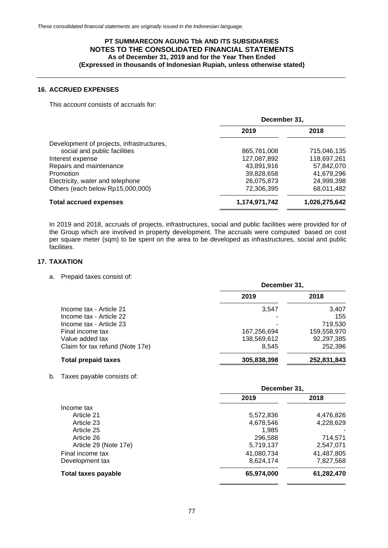# **16. ACCRUED EXPENSES**

This account consists of accruals for:

|                                           | December 31,  |               |  |
|-------------------------------------------|---------------|---------------|--|
|                                           | 2019          | 2018          |  |
| Development of projects, infrastructures, |               |               |  |
| social and public facilities              | 865,781,008   | 715,046,135   |  |
| Interest expense                          | 127,087,892   | 118,697,261   |  |
| Repairs and maintenance                   | 43,891,916    | 57,842,070    |  |
| Promotion                                 | 39,828,658    | 41,679,296    |  |
| Electricity, water and telephone          | 26,075,873    | 24,999,398    |  |
| Others (each below Rp15,000,000)          | 72,306,395    | 68,011,482    |  |
| <b>Total accrued expenses</b>             | 1,174,971,742 | 1,026,275,642 |  |

In 2019 and 2018, accruals of projects, infrastructures, social and public facilities were provided for of the Group which are involved in property development. The accruals were computed based on cost per square meter (sqm) to be spent on the area to be developed as infrastructures, social and public facilities.

## **17. TAXATION**

a. Prepaid taxes consist of:

|                                 | December 31, |             |  |  |
|---------------------------------|--------------|-------------|--|--|
|                                 | 2019         | 2018        |  |  |
| Income tax - Article 21         | 3.547        | 3,407       |  |  |
| Income tax - Article 22         |              | 155         |  |  |
| Income tax - Article 23         |              | 719,530     |  |  |
| Final income tax                | 167,256,694  | 159,558,970 |  |  |
| Value added tax                 | 138,569,612  | 92,297,385  |  |  |
| Claim for tax refund (Note 17e) | 8.545        | 252.396     |  |  |
| <b>Total prepaid taxes</b>      | 305,838,398  | 252,831,843 |  |  |

## b. Taxes payable consists of:

|                            | December 31, |            |  |  |
|----------------------------|--------------|------------|--|--|
|                            | 2019         | 2018       |  |  |
| Income tax                 |              |            |  |  |
| Article 21                 | 5,572,836    | 4,476,826  |  |  |
| Article 23                 | 4,678,546    | 4,228,629  |  |  |
| Article 25                 | 1,985        |            |  |  |
| Article 26                 | 296,588      | 714,571    |  |  |
| Article 29 (Note 17e)      | 5,719,137    | 2,547,071  |  |  |
| Final income tax           | 41,080,734   | 41,487,805 |  |  |
| Development tax            | 8,624,174    | 7,827,568  |  |  |
| <b>Total taxes payable</b> | 65,974,000   | 61,282,470 |  |  |
|                            |              |            |  |  |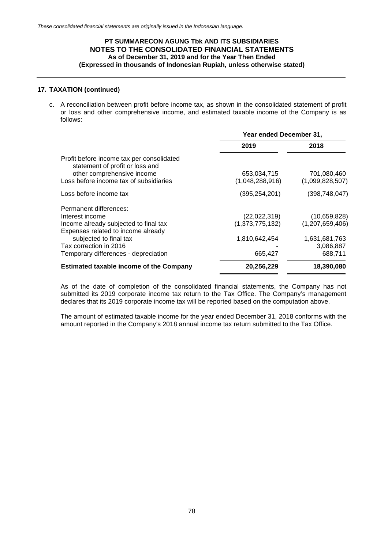## **17. TAXATION (continued)**

c. A reconciliation between profit before income tax, as shown in the consolidated statement of profit or loss and other comprehensive income, and estimated taxable income of the Company is as follows:

| Year ended December 31,        |                                |  |  |
|--------------------------------|--------------------------------|--|--|
| 2019                           | 2018                           |  |  |
| 653,034,715<br>(1,048,288,916) | 701,080,460<br>(1,099,828,507) |  |  |
| (395, 254, 201)                | (398, 748, 047)                |  |  |
|                                |                                |  |  |
|                                | (10,659,828)                   |  |  |
| (1,373,775,132)                | (1,207,659,406)                |  |  |
|                                |                                |  |  |
| 1,810,642,454                  | 1,631,681,763                  |  |  |
|                                | 3,086,887                      |  |  |
| 665,427                        | 688,711                        |  |  |
| 20,256,229                     | 18,390,080                     |  |  |
|                                | (22,022,319)                   |  |  |

As of the date of completion of the consolidated financial statements, the Company has not submitted its 2019 corporate income tax return to the Tax Office. The Company's management declares that its 2019 corporate income tax will be reported based on the computation above.

The amount of estimated taxable income for the year ended December 31, 2018 conforms with the amount reported in the Company's 2018 annual income tax return submitted to the Tax Office.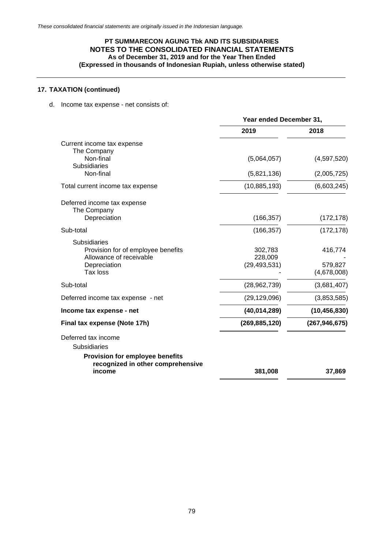# **17. TAXATION (continued)**

d. Income tax expense - net consists of:

|                                    | Year ended December 31, |                 |
|------------------------------------|-------------------------|-----------------|
|                                    | 2019                    | 2018            |
| Current income tax expense         |                         |                 |
| The Company                        |                         |                 |
| Non-final                          | (5,064,057)             | (4,597,520)     |
| <b>Subsidiaries</b>                |                         |                 |
| Non-final                          | (5,821,136)             | (2,005,725)     |
| Total current income tax expense   | (10, 885, 193)          | (6,603,245)     |
| Deferred income tax expense        |                         |                 |
| The Company<br>Depreciation        | (166, 357)              | (172, 178)      |
| Sub-total                          | (166, 357)              | (172, 178)      |
| Subsidiaries                       |                         |                 |
| Provision for of employee benefits | 302,783                 | 416,774         |
| Allowance of receivable            | 228,009                 |                 |
| Depreciation                       | (29, 493, 531)          | 579,827         |
| Tax loss                           |                         | (4,678,008)     |
| Sub-total                          | (28, 962, 739)          | (3,681,407)     |
| Deferred income tax expense - net  | (29, 129, 096)          | (3,853,585)     |
| Income tax expense - net           | (40,014,289)            | (10, 456, 830)  |
| Final tax expense (Note 17h)       | (269, 885, 120)         | (267, 946, 675) |
| Deferred tax income                |                         |                 |
| Subsidiaries                       |                         |                 |
| Provision for employee benefits    |                         |                 |
| recognized in other comprehensive  |                         |                 |
| income                             | 381,008                 | 37,869          |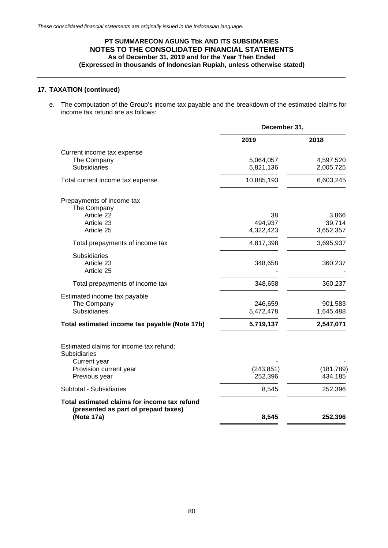# **17. TAXATION (continued)**

e. The computation of the Group's income tax payable and the breakdown of the estimated claims for income tax refund are as follows:

|                                               | December 31,  |                 |
|-----------------------------------------------|---------------|-----------------|
|                                               | 2019          | 2018            |
| Current income tax expense                    |               |                 |
| The Company                                   | 5,064,057     | 4,597,520       |
| <b>Subsidiaries</b>                           | 5,821,136     | 2,005,725       |
| Total current income tax expense              | 10,885,193    | 6,603,245       |
| Prepayments of income tax                     |               |                 |
| The Company                                   |               |                 |
| Article 22<br>Article 23                      | 38<br>494,937 | 3,866<br>39,714 |
| Article 25                                    | 4,322,423     | 3,652,357       |
|                                               |               |                 |
| Total prepayments of income tax               | 4,817,398     | 3,695,937       |
| Subsidiaries                                  |               |                 |
| Article 23<br>Article 25                      | 348,658       | 360,237         |
| Total prepayments of income tax               | 348,658       | 360,237         |
| Estimated income tax payable                  |               |                 |
| The Company                                   | 246,659       | 901,583         |
| <b>Subsidiaries</b>                           | 5,472,478     | 1,645,488       |
| Total estimated income tax payable (Note 17b) | 5,719,137     | 2,547,071       |
| Estimated claims for income tax refund:       |               |                 |
| <b>Subsidiaries</b>                           |               |                 |
| Current year                                  |               |                 |
| Provision current year                        | (243, 851)    | (181, 789)      |
| Previous year                                 | 252,396       | 434,185         |
| Subtotal - Subsidiaries                       | 8,545         | 252,396         |
| Total estimated claims for income tax refund  |               |                 |
| (presented as part of prepaid taxes)          |               |                 |
| (Note 17a)                                    | 8,545         | 252,396         |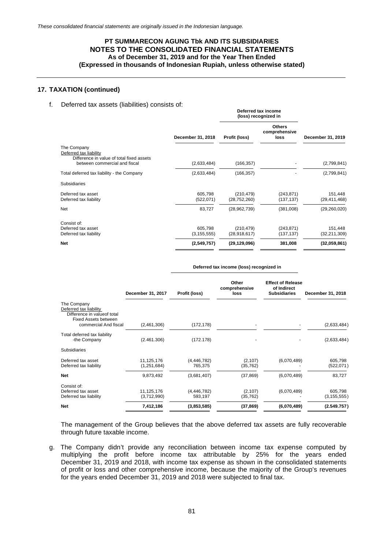## **17. TAXATION (continued)**

#### f. Deferred tax assets (liabilities) consists of:

|                                                                            |                   |                | Deferred tax income<br>(loss) recognized in |                   |
|----------------------------------------------------------------------------|-------------------|----------------|---------------------------------------------|-------------------|
|                                                                            | December 31, 2018 | Profit (loss)  | <b>Others</b><br>comprehensive<br>loss      | December 31, 2019 |
| The Company                                                                |                   |                |                                             |                   |
| Deferred tax liability                                                     |                   |                |                                             |                   |
| Difference in value of total fixed assets<br>between commercial and fiscal | (2,633,484)       | (166, 357)     |                                             | (2,799,841)       |
| Total deferred tax liability - the Company                                 | (2,633,484)       | (166, 357)     |                                             | (2,799,841)       |
| <b>Subsidiaries</b>                                                        |                   |                |                                             |                   |
| Deferred tax asset                                                         | 605,798           | (210, 479)     | (243, 871)                                  | 151,448           |
| Deferred tax liability                                                     | (522, 071)        | (28, 752, 260) | (137, 137)                                  | (29, 411, 468)    |
| Net                                                                        | 83,727            | (28, 962, 739) | (381,008)                                   | (29, 260, 020)    |
| Consist of:                                                                |                   |                |                                             |                   |
| Deferred tax asset                                                         | 605,798           | (210, 479)     | (243, 871)                                  | 151,448           |
| Deferred tax liability                                                     | (3, 155, 555)     | (28,918,617)   | (137, 137)                                  | (32, 211, 309)    |
| <b>Net</b>                                                                 | (2,549,757)       | (29, 129, 096) | 381,008                                     | (32,059,861)      |

#### **Deferred tax income (loss) recognized in**

|                                                        | December 31, 2017 | Profit (loss) | Other<br>comprehensive<br>loss | <b>Effect of Release</b><br>of Indirect<br><b>Subsidiaries</b> | December 31, 2018 |
|--------------------------------------------------------|-------------------|---------------|--------------------------------|----------------------------------------------------------------|-------------------|
| The Company                                            |                   |               |                                |                                                                |                   |
| Deferred tax liability<br>Difference in value of total |                   |               |                                |                                                                |                   |
| Fixed Assets between                                   |                   |               |                                |                                                                |                   |
| commercial And fiscal                                  | (2,461,306)       | (172, 178)    |                                |                                                                | (2,633,484)       |
| Total deferred tax liability                           |                   |               |                                |                                                                |                   |
| -the Company                                           | (2.461.306)       | (172.178)     |                                |                                                                | (2,633,484)       |
| <b>Subsidiaries</b>                                    |                   |               |                                |                                                                |                   |
| Deferred tax asset                                     | 11,125,176        | (4, 446, 782) | (2, 107)                       | (6,070,489)                                                    | 605,798           |
| Deferred tax liability                                 | (1, 251, 684)     | 765,375       | (35, 762)                      |                                                                | (522, 071)        |
| <b>Net</b>                                             | 9,873,492         | (3,681,407)   | (37, 869)                      | (6,070,489)                                                    | 83,727            |
| Consist of:                                            |                   |               |                                |                                                                |                   |
| Deferred tax asset                                     | 11,125,176        | (4, 446, 782) | (2, 107)                       | (6,070,489)                                                    | 605,798           |
| Deferred tax liability                                 | (3,712,990)       | 593,197       | (35, 762)                      |                                                                | (3, 155, 555)     |
| <b>Net</b>                                             | 7,412,186         | (3,853,585)   | (37, 869)                      | (6,070,489)                                                    | (2.549.757)       |

The management of the Group believes that the above deferred tax assets are fully recoverable through future taxable income.

g. The Company didn't provide any reconciliation between income tax expense computed by multiplying the profit before income tax attributable by 25% for the years ended December 31, 2019 and 2018, with income tax expense as shown in the consolidated statements of profit or loss and other comprehensive income, because the majority of the Group's revenues for the years ended December 31, 2019 and 2018 were subjected to final tax.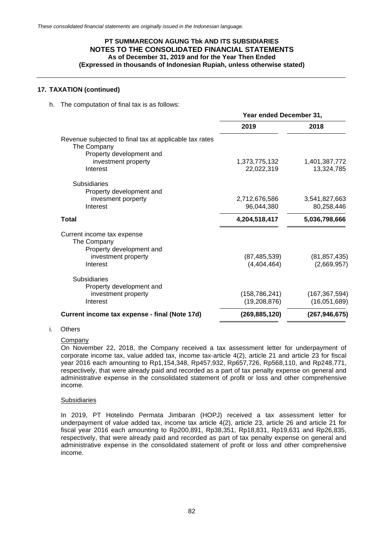#### **17. TAXATION (continued)**

h. The computation of final tax is as follows:

|                                                                       | Year ended December 31, |                 |
|-----------------------------------------------------------------------|-------------------------|-----------------|
|                                                                       | 2019                    | 2018            |
| Revenue subjected to final tax at applicable tax rates<br>The Company |                         |                 |
| Property development and                                              |                         |                 |
| investment property                                                   | 1,373,775,132           | 1,401,387,772   |
| Interest                                                              | 22,022,319              | 13,324,785      |
| <b>Subsidiaries</b>                                                   |                         |                 |
| Property development and                                              |                         |                 |
| invesment porperty                                                    | 2,712,676,586           | 3,541,827,663   |
| Interest                                                              | 96,044,380              | 80,258,446      |
| Total                                                                 | 4,204,518,417           | 5,036,798,666   |
| Current income tax expense                                            |                         |                 |
| The Company                                                           |                         |                 |
| Property development and                                              |                         |                 |
| investment property                                                   | (87, 485, 539)          | (81, 857, 435)  |
| Interest                                                              | (4,404,464)             | (2,669,957)     |
| <b>Subsidiaries</b>                                                   |                         |                 |
| Property development and                                              |                         |                 |
| investment property                                                   | (158, 786, 241)         | (167, 367, 594) |
| Interest                                                              | (19, 208, 876)          | (16,051,689)    |
| Current income tax expense - final (Note 17d)                         | (269, 885, 120)         | (267, 946, 675) |

i. Others

#### Company

On November 22, 2018, the Company received a tax assessment letter for underpayment of corporate income tax, value added tax, income tax-article 4(2), article 21 and article 23 for fiscal year 2016 each amounting to Rp1,154,348, Rp457,932, Rp657,726, Rp568,110, and Rp248,771, respectively, that were already paid and recorded as a part of tax penalty expense on general and administrative expense in the consolidated statement of profit or loss and other comprehensive income.

#### Subsidiaries

In 2019, PT Hotelindo Permata Jimbaran (HOPJ) received a tax assessment letter for underpayment of value added tax, income tax article 4(2), article 23, article 26 and article 21 for fiscal year 2016 each amounting to Rp200,891, Rp38,351, Rp18,831, Rp19,631 and Rp26,835, respectively, that were already paid and recorded as part of tax penalty expense on general and administrative expense in the consolidated statement of profit or loss and other comprehensive income.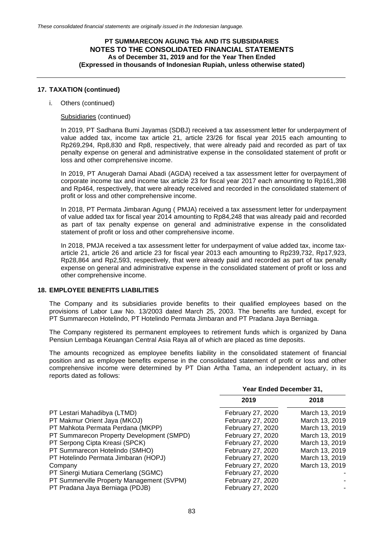### **17. TAXATION (continued)**

#### i. Others (continued)

#### Subsidiaries (continued)

In 2019, PT Sadhana Bumi Jayamas (SDBJ) received a tax assessment letter for underpayment of value added tax, income tax article 21, article 23/26 for fiscal year 2015 each amounting to Rp269,294, Rp8,830 and Rp8, respectively, that were already paid and recorded as part of tax penalty expense on general and administrative expense in the consolidated statement of profit or loss and other comprehensive income.

In 2019, PT Anugerah Damai Abadi (AGDA) received a tax assessment letter for overpayment of corporate income tax and income tax article 23 for fiscal year 2017 each amounting to Rp161,398 and Rp464, respectively, that were already received and recorded in the consolidated statement of profit or loss and other comprehensive income.

In 2018, PT Permata Jimbaran Agung ( PMJA) received a tax assessment letter for underpayment of value added tax for fiscal year 2014 amounting to Rp84,248 that was already paid and recorded as part of tax penalty expense on general and administrative expense in the consolidated statement of profit or loss and other comprehensive income.

In 2018, PMJA received a tax assessment letter for underpayment of value added tax, income taxarticle 21, article 26 and article 23 for fiscal year 2013 each amounting to Rp239,732, Rp17,923, Rp28,864 and Rp2,593, respectively, that were already paid and recorded as part of tax penalty expense on general and administrative expense in the consolidated statement of profit or loss and other comprehensive income.

#### **18. EMPLOYEE BENEFITS LIABILITIES**

The Company and its subsidiaries provide benefits to their qualified employees based on the provisions of Labor Law No. 13/2003 dated March 25, 2003. The benefits are funded, except for PT Summarecon Hotelindo, PT Hotelindo Permata Jimbaran and PT Pradana Jaya Berniaga.

The Company registered its permanent employees to retirement funds which is organized by Dana Pensiun Lembaga Keuangan Central Asia Raya all of which are placed as time deposits.

The amounts recognized as employee benefits liability in the consolidated statement of financial position and as employee benefits expense in the consolidated statement of profit or loss and other comprehensive income were determined by PT Dian Artha Tama, an independent actuary, in its reports dated as follows:

|                                           | Year Ended December 31, |                |
|-------------------------------------------|-------------------------|----------------|
|                                           | 2019                    | 2018           |
| PT Lestari Mahadibya (LTMD)               | February 27, 2020       | March 13, 2019 |
| PT Makmur Orient Jaya (MKOJ)              | February 27, 2020       | March 13, 2019 |
| PT Mahkota Permata Perdana (MKPP)         | February 27, 2020       | March 13, 2019 |
| PT Summarecon Property Development (SMPD) | February 27, 2020       | March 13, 2019 |
| PT Serpong Cipta Kreasi (SPCK)            | February 27, 2020       | March 13, 2019 |
| PT Summarecon Hotelindo (SMHO)            | February 27, 2020       | March 13, 2019 |
| PT Hotelindo Permata Jimbaran (HOPJ)      | February 27, 2020       | March 13, 2019 |
| Company                                   | February 27, 2020       | March 13, 2019 |
| PT Sinergi Mutiara Cemerlang (SGMC)       | February 27, 2020       |                |
| PT Summerville Property Management (SVPM) | February 27, 2020       |                |
| PT Pradana Jaya Berniaga (PDJB)           | February 27, 2020       |                |
|                                           |                         |                |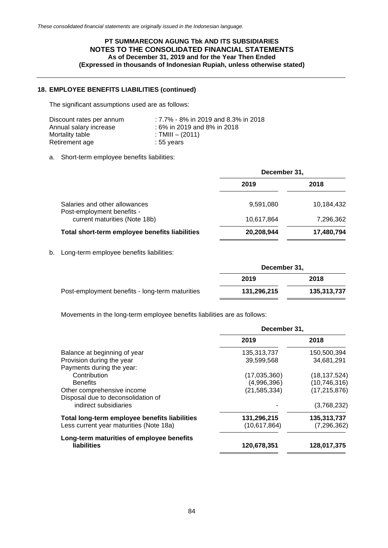## **18. EMPLOYEE BENEFITS LIABILITIES (continued)**

The significant assumptions used are as follows:

| Discount rates per annum | $: 7.7\%$ - 8% in 2019 and 8.3% in 2018 |
|--------------------------|-----------------------------------------|
| Annual salary increase   | : 6% in 2019 and 8% in 2018             |
| Mortality table          | : TMIII – (2011)                        |
| Retirement age           | $:55$ years                             |

a. Short-term employee benefits liabilities:

| December 31, |            |
|--------------|------------|
| 2019         | 2018       |
| 9,591,080    | 10,184,432 |
| 10,617,864   | 7,296,362  |
| 20,208,944   | 17,480,794 |
|              |            |

b. Long-term employee benefits liabilities:

| December 31, |             |
|--------------|-------------|
| 2019         | 2018        |
| 131,296,215  | 135,313,737 |
|              |             |

Movements in the long-term employee benefits liabilities are as follows:

|                                                                 | December 31,   |                |
|-----------------------------------------------------------------|----------------|----------------|
|                                                                 | 2019           | 2018           |
| Balance at beginning of year                                    | 135,313,737    | 150,500,394    |
| Provision during the year                                       | 39.599.568     | 34,681,291     |
| Payments during the year:                                       |                |                |
| Contribution                                                    | (17,035,360)   | (18, 137, 524) |
| <b>Benefits</b>                                                 | (4,996,396)    | (10, 746, 316) |
| Other comprehensive income                                      | (21, 585, 334) | (17, 215, 876) |
| Disposal due to deconsolidation of                              |                |                |
| indirect subsidiaries                                           |                | (3,768,232)    |
| Total long-term employee benefits liabilities                   | 131,296,215    | 135,313,737    |
| Less current year maturities (Note 18a)                         | (10,617,864)   | (7, 296, 362)  |
| Long-term maturities of employee benefits<br><b>liabilities</b> | 120,678,351    | 128,017,375    |
|                                                                 |                |                |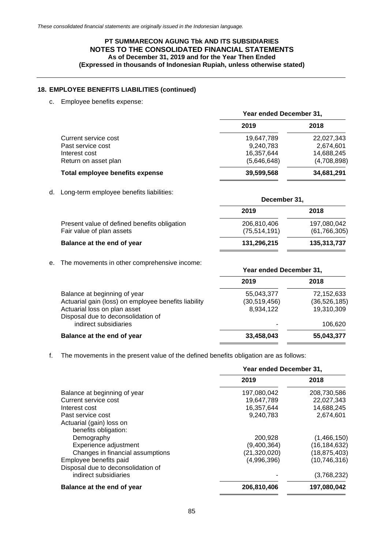# **18. EMPLOYEE BENEFITS LIABILITIES (continued)**

c. Employee benefits expense:

| Year ended December 31, |             |
|-------------------------|-------------|
| 2019                    | 2018        |
| 19,647,789              | 22,027,343  |
| 9,240,783               | 2,674,601   |
| 16,357,644              | 14,688,245  |
| (5,646,648)             | (4,708,898) |
| 39,599,568              | 34,681,291  |
|                         |             |

d. Long-term employee benefits liabilities:

| December 31,   |                |
|----------------|----------------|
| 2019           | 2018           |
| 206,810,406    | 197,080,042    |
| (75, 514, 191) | (61, 766, 305) |
| 131,296,215    | 135,313,737    |
|                |                |

e. The movements in other comprehensive income:

|                                                      | Year ended December 31, |                |
|------------------------------------------------------|-------------------------|----------------|
|                                                      | 2019                    | 2018           |
| Balance at beginning of year                         | 55,043,377              | 72,152,633     |
| Actuarial gain (loss) on employee benefits liability | (30,519,456)            | (36, 526, 185) |
| Actuarial loss on plan asset                         | 8,934,122               | 19,310,309     |
| Disposal due to deconsolidation of                   |                         |                |
| indirect subsidiaries                                |                         | 106,620        |
| Balance at the end of year                           | 33,458,043              | 55,043,377     |

f. The movements in the present value of the defined benefits obligation are as follows:

|                                                  | Year ended December 31, |                |
|--------------------------------------------------|-------------------------|----------------|
|                                                  | 2019                    | 2018           |
| Balance at beginning of year                     | 197,080,042             | 208,730,586    |
| Current service cost                             | 19.647.789              | 22,027,343     |
| Interest cost                                    | 16,357,644              | 14,688,245     |
| Past service cost                                | 9,240,783               | 2,674,601      |
| Actuarial (gain) loss on<br>benefits obligation: |                         |                |
| Demography                                       | 200,928                 | (1,466,150)    |
| Experience adjustment                            | (9,400,364)             | (16, 184, 632) |
| Changes in financial assumptions                 | (21, 320, 020)          | (18, 875, 403) |
| Employee benefits paid                           | (4,996,396)             | (10, 746, 316) |
| Disposal due to deconsolidation of               |                         |                |
| indirect subsidiaries                            |                         | (3,768,232)    |
| Balance at the end of year                       | 206,810,406             | 197,080,042    |
|                                                  |                         |                |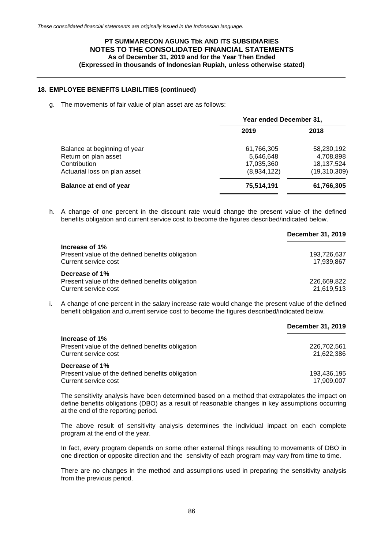## **18. EMPLOYEE BENEFITS LIABILITIES (continued)**

g. The movements of fair value of plan asset are as follows:

|                              | Year ended December 31, |              |
|------------------------------|-------------------------|--------------|
|                              | 2019                    | 2018         |
| Balance at beginning of year | 61,766,305              | 58,230,192   |
| Return on plan asset         | 5,646,648               | 4,708,898    |
| Contribution                 | 17,035,360              | 18, 137, 524 |
| Actuarial loss on plan asset | (8,934,122)             | (19,310,309) |
| Balance at end of year       | 75,514,191              | 61,766,305   |

h. A change of one percent in the discount rate would change the present value of the defined benefits obligation and current service cost to become the figures described/indicated below.

|                                                  | <b>December 31, 2019</b> |
|--------------------------------------------------|--------------------------|
| Increase of 1%                                   |                          |
| Present value of the defined benefits obligation | 193,726,637              |
| Current service cost                             | 17,939,867               |
| Decrease of 1%                                   |                          |
| Present value of the defined benefits obligation | 226,669,822              |
| Current service cost                             | 21,619,513               |

i. A change of one percent in the salary increase rate would change the present value of the defined benefit obligation and current service cost to become the figures described/indicated below.

|                                                  | <b>December 31, 2019</b> |
|--------------------------------------------------|--------------------------|
| Increase of 1%                                   |                          |
| Present value of the defined benefits obligation | 226,702,561              |
| Current service cost                             | 21,622,386               |
| Decrease of 1%                                   |                          |
| Present value of the defined benefits obligation | 193,436,195              |
| Current service cost                             | 17,909,007               |

The sensitivity analysis have been determined based on a method that extrapolates the impact on define benefits obligations (DBO) as a result of reasonable changes in key assumptions occurring at the end of the reporting period.

The above result of sensitivity analysis determines the individual impact on each complete program at the end of the year.

In fact, every program depends on some other external things resulting to movements of DBO in one direction or opposite direction and the sensivity of each program may vary from time to time.

There are no changes in the method and assumptions used in preparing the sensitivity analysis from the previous period.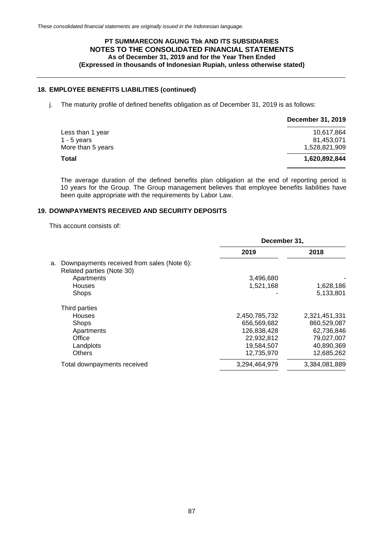## **18. EMPLOYEE BENEFITS LIABILITIES (continued)**

j. The maturity profile of defined benefits obligation as of December 31, 2019 is as follows:

|                   | December 31, 2019 |
|-------------------|-------------------|
| Less than 1 year  | 10,617,864        |
| 1 - 5 years       | 81,453,071        |
| More than 5 years | 1,528,821,909     |
| Total             | 1,620,892,844     |
|                   |                   |

The average duration of the defined benefits plan obligation at the end of reporting period is 10 years for the Group. The Group management believes that employee benefits liabilities have been quite appropriate with the requirements by Labor Law.

## **19. DOWNPAYMENTS RECEIVED AND SECURITY DEPOSITS**

This account consists of:

|                                                  | December 31,  |               |
|--------------------------------------------------|---------------|---------------|
|                                                  | 2019          | 2018          |
| Downpayments received from sales (Note 6):<br>a. |               |               |
| Related parties (Note 30)                        |               |               |
| Apartments                                       | 3,496,680     |               |
| <b>Houses</b>                                    | 1,521,168     | 1,628,186     |
| Shops                                            |               | 5,133,801     |
| Third parties                                    |               |               |
| <b>Houses</b>                                    | 2,450,785,732 | 2,321,451,331 |
| Shops                                            | 656,569,682   | 860,529,087   |
| Apartments                                       | 126,838,428   | 62,736,846    |
| Office                                           | 22,932,812    | 79,027,007    |
| Landplots                                        | 19,584,507    | 40,890,369    |
| <b>Others</b>                                    | 12,735,970    | 12,685,262    |
| Total downpayments received                      | 3,294,464,979 | 3,384,081,889 |
|                                                  |               |               |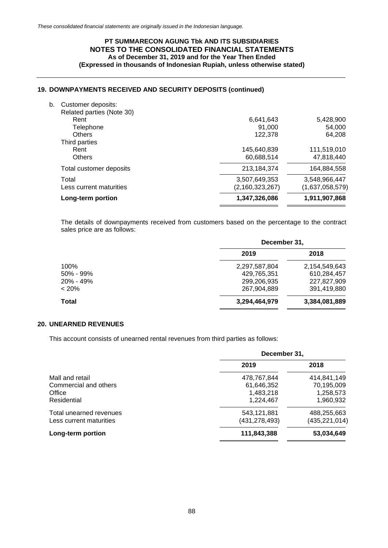## **19. DOWNPAYMENTS RECEIVED AND SECURITY DEPOSITS (continued)**

|                                 | Long-term portion                               | 1,347,326,086                       | 1,911,907,868                    |
|---------------------------------|-------------------------------------------------|-------------------------------------|----------------------------------|
| Total                           | Less current maturities                         | 3,507,649,353<br>(2, 160, 323, 267) | 3,548,966,447<br>(1,637,058,579) |
|                                 | Total customer deposits                         | 213, 184, 374                       | 164,884,558                      |
| Third parties<br>Rent<br>Others |                                                 | 145,640,839<br>60,688,514           | 111,519,010<br>47,818,440        |
| <b>Others</b>                   | Telephone                                       | 91,000<br>122,378                   | 54,000<br>64,208                 |
| b.<br>Rent                      | Customer deposits:<br>Related parties (Note 30) | 6,641,643                           | 5,428,900                        |

The details of downpayments received from customers based on the percentage to the contract sales price are as follows:

|               | December 31,  |               |
|---------------|---------------|---------------|
|               | 2019          | 2018          |
| 100%          | 2,297,587,804 | 2,154,549,643 |
| $50\% - 99\%$ | 429,765,351   | 610,284,457   |
| $20\% - 49\%$ | 299,206,935   | 227,827,909   |
| $< 20\%$      | 267,904,889   | 391,419,880   |
| Total         | 3,294,464,979 | 3,384,081,889 |

## **20. UNEARNED REVENUES**

This account consists of unearned rental revenues from third parties as follows:

|                         | December 31,    |                 |
|-------------------------|-----------------|-----------------|
|                         | 2019            | 2018            |
| Mall and retail         | 478,767,844     | 414,841,149     |
| Commercial and others   | 61,646,352      | 70,195,009      |
| Office                  | 1,483,218       | 1,258,573       |
| Residential             | 1,224,467       | 1,960,932       |
| Total unearned revenues | 543,121,881     | 488,255,663     |
| Less current maturities | (431, 278, 493) | (435, 221, 014) |
| Long-term portion       | 111,843,388     | 53.034,649      |
|                         |                 |                 |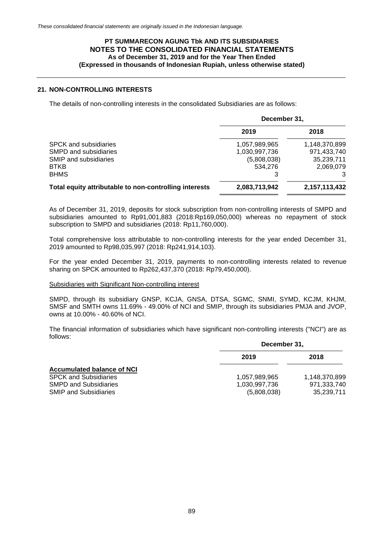## **21. NON-CONTROLLING INTERESTS**

The details of non-controlling interests in the consolidated Subsidiaries are as follows:

|                                                        | December 31,  |               |
|--------------------------------------------------------|---------------|---------------|
|                                                        | 2019          | 2018          |
| <b>SPCK</b> and subsidiaries                           | 1,057,989,965 | 1,148,370,899 |
| SMPD and subsidiaries                                  | 1,030,997,736 | 971,433,740   |
| SMIP and subsidiaries                                  | (5,808,038)   | 35,239,711    |
| <b>BTKB</b>                                            | 534.276       | 2,069,079     |
| <b>BHMS</b>                                            |               |               |
| Total equity attributable to non-controlling interests | 2,083,713,942 | 2,157,113,432 |
|                                                        |               |               |

As of December 31, 2019, deposits for stock subscription from non-controlling interests of SMPD and subsidiaries amounted to Rp91,001,883 (2018:Rp169,050,000) whereas no repayment of stock subscription to SMPD and subsidiaries (2018: Rp11,760,000).

Total comprehensive loss attributable to non-controlling interests for the year ended December 31, 2019 amounted to Rp98,035,997 (2018: Rp241,914,103).

For the year ended December 31, 2019, payments to non-controlling interests related to revenue sharing on SPCK amounted to Rp262,437,370 (2018: Rp79,450,000).

#### Subsidiaries with Significant Non-controlling interest

SMPD, through its subsidiary GNSP, KCJA, GNSA, DTSA, SGMC, SNMI, SYMD, KCJM, KHJM, SMSF and SMTH owns 11.69% - 49.00% of NCI and SMIP, through its subsidiaries PMJA and JVOP, owns at 10.00% - 40.60% of NCI.

The financial information of subsidiaries which have significant non-controlling interests ("NCI") are as follows:

|                                   | December 31,  |               |
|-----------------------------------|---------------|---------------|
|                                   | 2019          | 2018          |
| <b>Accumulated balance of NCI</b> |               |               |
| <b>SPCK and Subsidiaries</b>      | 1,057,989,965 | 1,148,370,899 |
| <b>SMPD and Subsidiaries</b>      | 1,030,997,736 | 971,333,740   |
| <b>SMIP and Subsidiaries</b>      | (5,808,038)   | 35,239,711    |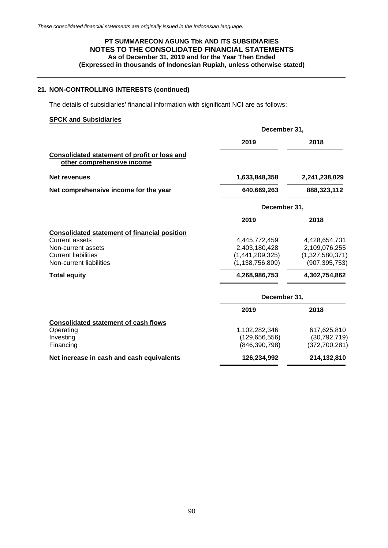# **21. NON-CONTROLLING INTERESTS (continued)**

The details of subsidiaries' financial information with significant NCI are as follows:

#### **SPCK and Subsidiaries**

|                                                                            | December 31,       |                 |
|----------------------------------------------------------------------------|--------------------|-----------------|
|                                                                            | 2019               | 2018            |
| Consolidated statement of profit or loss and<br>other comprehensive income |                    |                 |
| Net revenues                                                               | 1,633,848,358      | 2,241,238,029   |
| Net comprehensive income for the year                                      | 640,669,263        | 888,323,112     |
|                                                                            | December 31,       |                 |
|                                                                            | 2019               | 2018            |
| Consolidated statement of financial position                               |                    |                 |
| Current assets                                                             | 4,445,772,459      | 4,428,654,731   |
| Non-current assets                                                         | 2,403,180,428      | 2,109,076,255   |
| <b>Current liabilities</b>                                                 | (1,441,209,325)    | (1,327,580,371) |
| Non-current liabilities                                                    | (1, 138, 756, 809) | (907, 395, 753) |
| <b>Total equity</b>                                                        | 4,268,986,753      | 4,302,754,862   |

|                                             | December 31,    |                |
|---------------------------------------------|-----------------|----------------|
|                                             | 2019            | 2018           |
| <b>Consolidated statement of cash flows</b> |                 |                |
| Operating                                   | 1,102,282,346   | 617,625,810    |
| Investing                                   | (129, 656, 556) | (30, 792, 719) |
| Financing                                   | (846, 390, 798) | (372,700,281)  |
| Net increase in cash and cash equivalents   | 126,234,992     | 214,132,810    |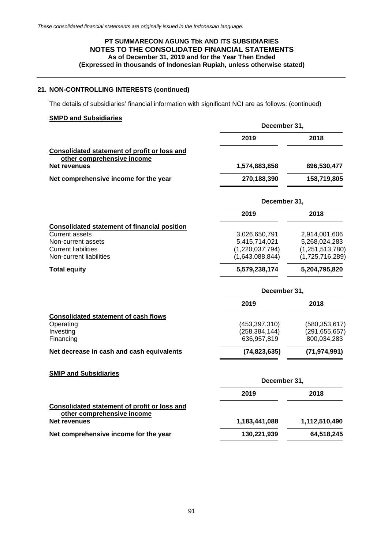# **21. NON-CONTROLLING INTERESTS (continued)**

The details of subsidiaries' financial information with significant NCI are as follows: (continued)

## **SMPD and Subsidiaries**

**SMIP and Subsidiaries** 

| December 31,  |             |
|---------------|-------------|
| 2019          | 2018        |
|               |             |
| 1,574,883,858 | 896,530,477 |
| 270,188,390   | 158,719,805 |
|               |             |

|                                                     | 2019            | 2018            |
|-----------------------------------------------------|-----------------|-----------------|
| <b>Consolidated statement of financial position</b> |                 |                 |
| Current assets                                      | 3,026,650,791   | 2,914,001,606   |
| Non-current assets                                  | 5,415,714,021   | 5,268,024,283   |
| <b>Current liabilities</b>                          | (1,220,037,794) | (1,251,513,780) |
| Non-current liabilities                             | (1,643,088,844) | (1,725,716,289) |
| <b>Total equity</b>                                 | 5,579,238,174   | 5,204,795,820   |

 **December 31,** 

|                                             | December 31,    |                 |
|---------------------------------------------|-----------------|-----------------|
|                                             | 2019            | 2018            |
| <b>Consolidated statement of cash flows</b> |                 |                 |
| Operating                                   | (453, 397, 310) | (580, 353, 617) |
| Investing                                   | (258, 384, 144) | (291, 655, 657) |
| Financing                                   | 636,957,819     | 800,034,283     |
| Net decrease in cash and cash equivalents   | (74, 823, 635)  | (71, 974, 991)  |
|                                             |                 |                 |

|                                                                                   | December 31,  |               |
|-----------------------------------------------------------------------------------|---------------|---------------|
|                                                                                   | 2019          | 2018          |
| <b>Consolidated statement of profit or loss and</b><br>other comprehensive income |               |               |
| Net revenues                                                                      | 1,183,441,088 | 1,112,510,490 |
| Net comprehensive income for the year                                             | 130,221,939   | 64,518,245    |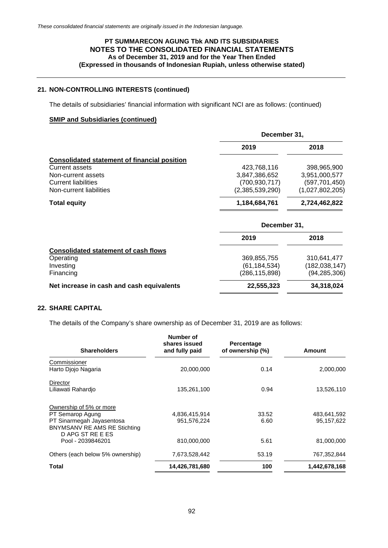## **21. NON-CONTROLLING INTERESTS (continued)**

The details of subsidiaries' financial information with significant NCI are as follows: (continued)

#### **SMIP and Subsidiaries (continued)**

|                                                     | December 31,    |                 |
|-----------------------------------------------------|-----------------|-----------------|
|                                                     | 2019            | 2018            |
| <b>Consolidated statement of financial position</b> |                 |                 |
| Current assets                                      | 423,768,116     | 398,965,900     |
| Non-current assets                                  | 3,847,386,652   | 3,951,000,577   |
| <b>Current liabilities</b>                          | (700, 930, 717) | (597, 701, 450) |
| Non-current liabilities                             | (2,385,539,290) | (1,027,802,205) |
| <b>Total equity</b>                                 | 1,184,684,761   | 2,724,462,822   |
|                                                     |                 |                 |

|                                             | December 31,    |                 |
|---------------------------------------------|-----------------|-----------------|
|                                             | 2019            | 2018            |
| <b>Consolidated statement of cash flows</b> |                 |                 |
| Operating                                   | 369,855,755     | 310,641,477     |
| Investing                                   | (61, 184, 534)  | (182, 038, 147) |
| Financing                                   | (286, 115, 898) | (94, 285, 306)  |
| Net increase in cash and cash equivalents   | 22,555,323      | 34,318,024      |

## **22. SHARE CAPITAL**

The details of the Company's share ownership as of December 31, 2019 are as follows:

| Number of<br>shares issued<br>and fully paid | Percentage<br>of ownership (%) | <b>Amount</b> |
|----------------------------------------------|--------------------------------|---------------|
|                                              |                                |               |
| 20,000,000                                   | 0.14                           | 2,000,000     |
|                                              |                                |               |
| 135,261,100                                  | 0.94                           | 13,526,110    |
|                                              |                                |               |
| 4,836,415,914                                | 33.52                          | 483,641,592   |
| 951,576,224                                  | 6.60                           | 95,157,622    |
| 810.000.000                                  | 5.61                           | 81,000,000    |
| 7,673,528,442                                | 53.19                          | 767,352,844   |
| 14,426,781,680                               | 100                            | 1,442,678,168 |
|                                              |                                |               |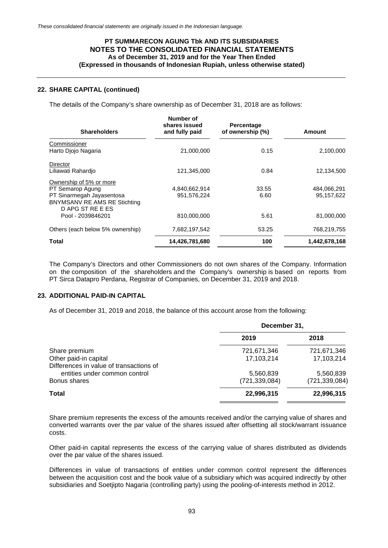### **22. SHARE CAPITAL (continued)**

The details of the Company's share ownership as of December 31, 2018 are as follows:

| <b>Shareholders</b>                                                           | Number of<br>shares issued<br>and fully paid | Percentage<br>of ownership (%) | <b>Amount</b> |
|-------------------------------------------------------------------------------|----------------------------------------------|--------------------------------|---------------|
| Commissioner                                                                  |                                              |                                |               |
| Harto Diojo Nagaria                                                           | 21,000,000                                   | 0.15                           | 2,100,000     |
| Director                                                                      |                                              |                                |               |
| Liliawati Rahardjo                                                            | 121,345,000                                  | 0.84                           | 12,134,500    |
| Ownership of 5% or more                                                       |                                              |                                |               |
| PT Semarop Agung                                                              | 4,840,662,914                                | 33.55                          | 484,066,291   |
| PT Sinarmegah Jayasentosa<br>BNYMSANV RE AMS RE Stichting<br>D APG ST RE E ES | 951,576,224                                  | 6.60                           | 95,157,622    |
| Pool - 2039846201                                                             | 810.000.000                                  | 5.61                           | 81.000.000    |
| Others (each below 5% ownership)                                              | 7,682,197,542                                | 53.25                          | 768,219,755   |
| Total                                                                         | 14,426,781,680                               | 100                            | 1,442,678,168 |
|                                                                               |                                              |                                |               |

The Company's Directors and other Commissioners do not own shares of the Company. Information on the composition of the shareholders and the Company's ownership is based on reports from PT Sirca Datapro Perdana, Registrar of Companies, on December 31, 2019 and 2018.

## **23. ADDITIONAL PAID-IN CAPITAL**

As of December 31, 2019 and 2018, the balance of this account arose from the following:

|                                         | December 31,    |                 |
|-----------------------------------------|-----------------|-----------------|
|                                         | 2019            | 2018            |
| Share premium                           | 721,671,346     | 721,671,346     |
| Other paid-in capital                   | 17,103,214      | 17,103,214      |
| Differences in value of transactions of |                 |                 |
| entities under common control           | 5,560,839       | 5,560,839       |
| Bonus shares                            | (721, 339, 084) | (721, 339, 084) |
| Total                                   | 22,996,315      | 22,996,315      |
|                                         |                 |                 |

Share premium represents the excess of the amounts received and/or the carrying value of shares and converted warrants over the par value of the shares issued after offsetting all stock/warrant issuance costs.

Other paid-in capital represents the excess of the carrying value of shares distributed as dividends over the par value of the shares issued.

Differences in value of transactions of entities under common control represent the differences between the acquisition cost and the book value of a subsidiary which was acquired indirectly by other subsidiaries and Soetjipto Nagaria (controlling party) using the pooling-of-interests method in 2012.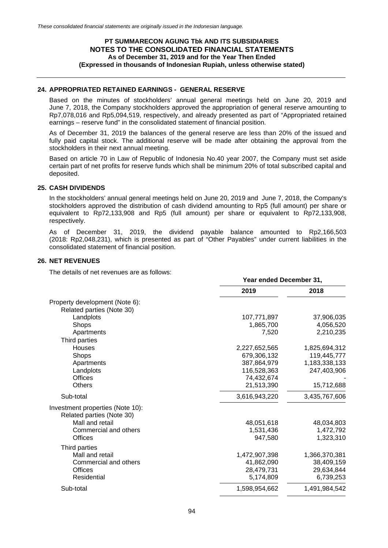## **24. APPROPRIATED RETAINED EARNINGS - GENERAL RESERVE**

Based on the minutes of stockholders' annual general meetings held on June 20, 2019 and June 7, 2018, the Company stockholders approved the appropriation of general reserve amounting to Rp7,078,016 and Rp5,094,519, respectively, and already presented as part of "Appropriated retained earnings – reserve fund" in the consolidated statement of financial position.

As of December 31, 2019 the balances of the general reserve are less than 20% of the issued and fully paid capital stock. The additional reserve will be made after obtaining the approval from the stockholders in their next annual meeting.

Based on article 70 in Law of Republic of Indonesia No.40 year 2007, the Company must set aside certain part of net profits for reserve funds which shall be minimum 20% of total subscribed capital and deposited.

#### **25. CASH DIVIDENDS**

In the stockholders' annual general meetings held on June 20, 2019 and June 7, 2018, the Company's stockholders approved the distribution of cash dividend amounting to Rp5 (full amount) per share or equivalent to Rp72,133,908 and Rp5 (full amount) per share or equivalent to Rp72,133,908, respectively.

As of December 31, 2019, the dividend payable balance amounted to Rp2,166,503 (2018: Rp2,048,231), which is presented as part of "Other Payables" under current liabilities in the consolidated statement of financial position.

 **Year ended December 31,** 

#### **26. NET REVENUES**

The details of net revenues are as follows:

|                                                               | 2019          | 2018          |
|---------------------------------------------------------------|---------------|---------------|
| Property development (Note 6):                                |               |               |
| Related parties (Note 30)                                     |               |               |
| Landplots                                                     | 107,771,897   | 37,906,035    |
| Shops                                                         | 1,865,700     | 4,056,520     |
| Apartments                                                    | 7,520         | 2,210,235     |
| Third parties                                                 |               |               |
| Houses                                                        | 2,227,652,565 | 1,825,694,312 |
| Shops                                                         | 679,306,132   | 119,445,777   |
| Apartments                                                    | 387,864,979   | 1,183,338,133 |
| Landplots                                                     | 116,528,363   | 247,403,906   |
| <b>Offices</b>                                                | 74,432,674    |               |
| <b>Others</b>                                                 | 21,513,390    | 15,712,688    |
| Sub-total                                                     | 3,616,943,220 | 3,435,767,606 |
| Investment properties (Note 10):<br>Related parties (Note 30) |               |               |
| Mall and retail                                               | 48,051,618    | 48,034,803    |
| Commercial and others                                         | 1,531,436     | 1,472,792     |
| <b>Offices</b>                                                | 947,580       | 1,323,310     |
| Third parties                                                 |               |               |
| Mall and retail                                               | 1,472,907,398 | 1,366,370,381 |
| Commercial and others                                         | 41,862,090    | 38,409,159    |
| <b>Offices</b>                                                | 28,479,731    | 29,634,844    |
| Residential                                                   | 5,174,809     | 6,739,253     |
| Sub-total                                                     | 1,598,954,662 | 1,491,984,542 |
|                                                               |               |               |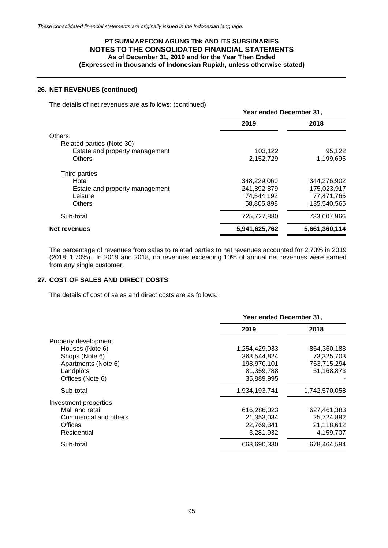## **26. NET REVENUES (continued)**

The details of net revenues are as follows: (continued)

|                                | Year ended December 31, |               |  |
|--------------------------------|-------------------------|---------------|--|
|                                | 2019                    | 2018          |  |
| Others:                        |                         |               |  |
| Related parties (Note 30)      |                         |               |  |
| Estate and property management | 103,122                 | 95,122        |  |
| Others                         | 2,152,729               | 1,199,695     |  |
| Third parties                  |                         |               |  |
| Hotel                          | 348,229,060             | 344,276,902   |  |
| Estate and property management | 241,892,879             | 175,023,917   |  |
| Leisure                        | 74,544,192              | 77,471,765    |  |
| <b>Others</b>                  | 58,805,898              | 135,540,565   |  |
| Sub-total                      | 725,727,880             | 733,607,966   |  |
| <b>Net revenues</b>            | 5,941,625,762           | 5,661,360,114 |  |
|                                |                         |               |  |

The percentage of revenues from sales to related parties to net revenues accounted for 2.73% in 2019 (2018: 1.70%). In 2019 and 2018, no revenues exceeding 10% of annual net revenues were earned from any single customer.

#### **27. COST OF SALES AND DIRECT COSTS**

The details of cost of sales and direct costs are as follows:

|                       | Year ended December 31, |               |  |
|-----------------------|-------------------------|---------------|--|
|                       | 2019                    | 2018          |  |
| Property development  |                         |               |  |
| Houses (Note 6)       | 1,254,429,033           | 864,360,188   |  |
| Shops (Note 6)        | 363,544,824             | 73,325,703    |  |
| Apartments (Note 6)   | 198,970,101             | 753,715,294   |  |
| Landplots             | 81,359,788              | 51,168,873    |  |
| Offices (Note 6)      | 35,889,995              |               |  |
| Sub-total             | 1,934,193,741           | 1,742,570,058 |  |
| Investment properties |                         |               |  |
| Mall and retail       | 616,286,023             | 627,461,383   |  |
| Commercial and others | 21,353,034              | 25,724,892    |  |
| Offices               | 22,769,341              | 21,118,612    |  |
| Residential           | 3,281,932               | 4,159,707     |  |
| Sub-total             | 663,690,330             | 678,464,594   |  |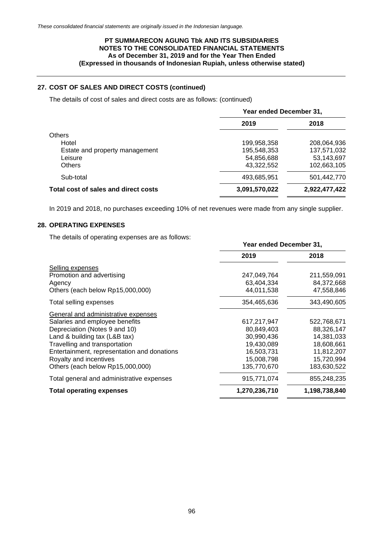# **27. COST OF SALES AND DIRECT COSTS (continued)**

The details of cost of sales and direct costs are as follows: (continued)

|                                      | Year ended December 31, |               |  |
|--------------------------------------|-------------------------|---------------|--|
|                                      | 2019                    | 2018          |  |
| <b>Others</b>                        |                         |               |  |
| Hotel                                | 199,958,358             | 208,064,936   |  |
| Estate and property management       | 195,548,353             | 137,571,032   |  |
| Leisure                              | 54,856,688              | 53,143,697    |  |
| Others                               | 43,322,552              | 102,663,105   |  |
| Sub-total                            | 493,685,951             | 501,442,770   |  |
| Total cost of sales and direct costs | 3,091,570,022           | 2,922,477,422 |  |
|                                      |                         |               |  |

In 2019 and 2018, no purchases exceeding 10% of net revenues were made from any single supplier.

# **28. OPERATING EXPENSES**

The details of operating expenses are as follows:

|                                             | Year ended December 31, |               |
|---------------------------------------------|-------------------------|---------------|
|                                             | 2019                    | 2018          |
| Selling expenses                            |                         |               |
| Promotion and advertising                   | 247,049,764             | 211,559,091   |
| Agency                                      | 63,404,334              | 84,372,668    |
| Others (each below Rp15,000,000)            | 44,011,538              | 47,558,846    |
| Total selling expenses                      | 354,465,636             | 343,490,605   |
| General and administrative expenses         |                         |               |
| Salaries and employee benefits              | 617,217,947             | 522,768,671   |
| Depreciation (Notes 9 and 10)               | 80,849,403              | 88,326,147    |
| Land & building tax (L&B tax)               | 30,990,436              | 14,381,033    |
| Travelling and transportation               | 19,430,089              | 18,608,661    |
| Entertainment, representation and donations | 16,503,731              | 11,812,207    |
| Royalty and incentives                      | 15,008,798              | 15,720,994    |
| Others (each below Rp15,000,000)            | 135,770,670             | 183,630,522   |
| Total general and administrative expenses   | 915,771,074             | 855,248,235   |
| <b>Total operating expenses</b>             | 1,270,236,710           | 1,198,738,840 |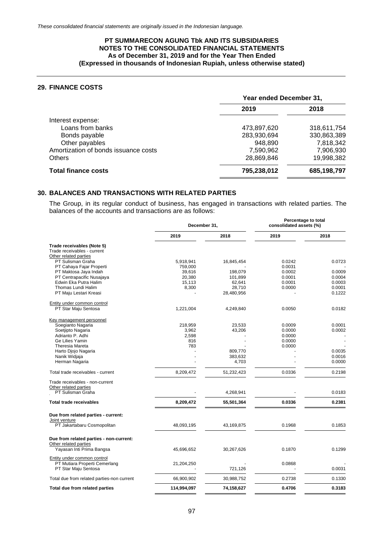## **29. FINANCE COSTS**

|                                      | Year ended December 31, |             |  |
|--------------------------------------|-------------------------|-------------|--|
|                                      | 2019                    | 2018        |  |
| Interest expense:                    |                         |             |  |
| Loans from banks                     | 473,897,620             | 318,611,754 |  |
| Bonds payable                        | 283,930,694             | 330,863,389 |  |
| Other payables                       | 948.890                 | 7,818,342   |  |
| Amortization of bonds issuance costs | 7,590,962               | 7,906,930   |  |
| <b>Others</b>                        | 28,869,846              | 19,998,382  |  |
| <b>Total finance costs</b>           | 795,238,012             | 685,198,797 |  |

# **30. BALANCES AND TRANSACTIONS WITH RELATED PARTIES**

The Group, in its regular conduct of business, has engaged in transactions with related parties. The balances of the accounts and transactions are as follows:

|                                             | December 31, |                  | Percentage to total<br>consolidated assets (%) |                  |
|---------------------------------------------|--------------|------------------|------------------------------------------------|------------------|
|                                             | 2019         | 2018             | 2019                                           | 2018             |
| Trade receivables (Note 5)                  |              |                  |                                                |                  |
| Trade receivables - current                 |              |                  |                                                |                  |
| Other related parties                       |              |                  |                                                |                  |
| PT Sulisman Graha                           | 5,918,941    | 16,845,454       | 0.0242                                         | 0.0723           |
| PT Cahaya Fajar Properti                    | 759,000      |                  | 0.0031                                         |                  |
| PT Maktosa Jaya Indah                       | 39,616       | 198,079          | 0.0002                                         | 0.0009           |
| PT Centrapacific Nusajaya                   | 20,380       | 101,899          | 0.0001                                         | 0.0004           |
| Edwin Eka Putra Halim<br>Thomas Lundi Halim | 15,113       | 62,641<br>28.710 | 0.0001<br>0.0000                               | 0.0003           |
| PT Maju Lestari Kreasi                      | 8,300        | 28,480,956       |                                                | 0.0001<br>0.1222 |
| Entity under common control                 |              |                  |                                                |                  |
| PT Star Maju Sentosa                        | 1,221,004    | 4,249,840        | 0.0050                                         | 0.0182           |
| Key management personnel                    |              |                  |                                                |                  |
| Soegianto Nagaria                           | 218,959      | 23,533           | 0.0009                                         | 0.0001           |
| Soetjipto Nagaria                           | 3,962        | 43,206           | 0.0000                                         | 0.0002           |
| Adrianto P. Adhi                            | 2,598        |                  | 0.0000                                         |                  |
| Ge Lilies Yamin                             | 816          |                  | 0.0000                                         |                  |
| <b>Theresia Mareta</b>                      | 783          |                  | 0.0000                                         |                  |
| Harto Djojo Nagaria                         |              | 809,770          |                                                | 0.0035           |
| Nanik Widjaja                               |              | 383.632          |                                                | 0.0016           |
| Herman Nagaria                              |              | 4,703            |                                                | 0.0000           |
| Total trade receivables - current           | 8,209,472    | 51,232,423       | 0.0336                                         | 0.2198           |
| Trade receivables - non-current             |              |                  |                                                |                  |
| Other related parties                       |              |                  |                                                |                  |
| PT Sulisman Graha                           |              | 4,268,941        |                                                | 0.0183           |
| <b>Total trade receivables</b>              | 8,209,472    | 55,501,364       | 0.0336                                         | 0.2381           |
| Due from related parties - current:         |              |                  |                                                |                  |
| Joint venture                               |              |                  |                                                |                  |
| PT Jakartabaru Cosmopolitan                 | 48,093,195   | 43,169,875       | 0.1968                                         | 0.1853           |
| Due from related parties - non-current:     |              |                  |                                                |                  |
| Other related parties                       |              |                  |                                                |                  |
| Yayasan Inti Prima Bangsa                   | 45,696,652   | 30,267,626       | 0.1870                                         | 0.1299           |
| Entity under common control                 |              |                  |                                                |                  |
| PT Mutiara Properti Cemerlang               | 21,204,250   |                  | 0.0868                                         |                  |
| PT Star Maju Sentosa                        |              | 721,126          |                                                | 0.0031           |
| Total due from related parties-non current  | 66,900,902   | 30,988,752       | 0.2738                                         | 0.1330           |
| Total due from related parties              | 114,994,097  | 74,158,627       | 0.4706                                         | 0.3183           |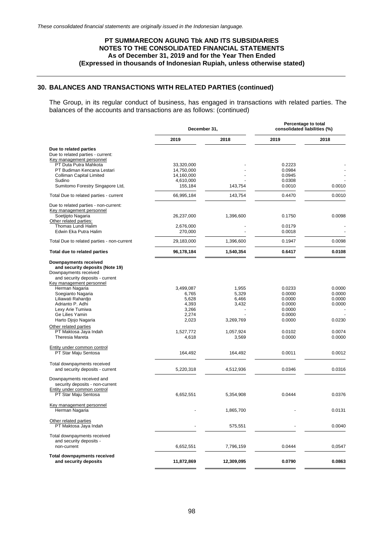## **30. BALANCES AND TRANSACTIONS WITH RELATED PARTIES (continued)**

The Group, in its regular conduct of business, has engaged in transactions with related parties. The balances of the accounts and transactions are as follows: (continued)

|                                              | December 31, |            | Percentage to total<br>consolidated liabilities (%) |        |
|----------------------------------------------|--------------|------------|-----------------------------------------------------|--------|
|                                              | 2019         | 2018       | 2019                                                | 2018   |
| Due to related parties                       |              |            |                                                     |        |
| Due to related parties - current:            |              |            |                                                     |        |
| Key management personnel                     |              |            |                                                     |        |
| PT Duta Putra Mahkota                        | 33,320,000   |            | 0.2223                                              |        |
| PT Budiman Kencana Lestari                   | 14,750,000   |            | 0.0984                                              |        |
| Colliman Capital Limited                     | 14,160,000   |            | 0.0945                                              |        |
| Sudino                                       | 4,610,000    |            | 0.0308                                              |        |
| Sumitomo Forestry Singapore Ltd,             | 155,184      | 143,754    | 0.0010                                              | 0.0010 |
| Total Due to related parties - current       | 66,995,184   | 143,754    | 0.4470                                              | 0.0010 |
| Due to related parties - non-current:        |              |            |                                                     |        |
| Key management personnel                     |              |            |                                                     |        |
| Soetjipto Nagaria                            | 26,237,000   | 1,396,600  | 0.1750                                              | 0.0098 |
| Other related parties:<br>Thomas Lundi Halim |              |            | 0.0179                                              |        |
| Edwin Eka Putra Halim                        | 2,676,000    |            | 0.0018                                              |        |
|                                              | 270,000      |            |                                                     |        |
| Total Due to related parties - non-current   | 29,183,000   | 1,396,600  | 0.1947                                              | 0.0098 |
| Total due to related parties                 | 96,178,184   | 1,540,354  | 0.6417                                              | 0.0108 |
| Downpayments received                        |              |            |                                                     |        |
| and security deposits (Note 19)              |              |            |                                                     |        |
| Downpayments received                        |              |            |                                                     |        |
| and security deposits - current              |              |            |                                                     |        |
| Key management personnel                     |              |            |                                                     |        |
| Herman Nagaria                               | 3,499,087    | 1,955      | 0.0233                                              | 0.0000 |
| Soegianto Nagaria                            | 6,765        | 5,329      | 0.0000                                              | 0.0000 |
| Liliawati Rahardio                           | 5,628        | 6,466      | 0.0000                                              | 0.0000 |
| Adrianto P. Adhi                             | 4,393        | 3,432      | 0.0000                                              | 0.0000 |
| Lexy Arie Tumiwa                             | 3,266        |            | 0.0000                                              |        |
| Ge Lilies Yamin                              | 2,274        |            | 0.0000                                              |        |
| Harto Djojo Nagaria                          | 2,023        | 3,269,769  | 0.0000                                              | 0.0230 |
| Other related parties                        |              |            |                                                     |        |
| PT Maktosa Jaya Indah                        | 1,527,772    | 1,057,924  | 0.0102                                              | 0.0074 |
| Theresia Mareta                              | 4,618        | 3,569      | 0.0000                                              | 0.0000 |
|                                              |              |            |                                                     |        |
| Entity under common control                  |              |            |                                                     |        |
| PT Star Maju Sentosa                         | 164,492      | 164,492    | 0.0011                                              | 0.0012 |
|                                              |              |            |                                                     |        |
| Total downpayments received                  |              |            |                                                     |        |
| and security deposits - current              | 5,220,318    | 4,512,936  | 0.0346                                              | 0.0316 |
| Downpayments received and                    |              |            |                                                     |        |
| security deposits - non-current              |              |            |                                                     |        |
| Entity under common control                  |              |            |                                                     |        |
| PT Star Maju Sentosa                         | 6,652,551    | 5,354,908  | 0.0444                                              | 0.0376 |
|                                              |              |            |                                                     |        |
| Key management personnel                     |              |            |                                                     |        |
| Herman Nagaria                               |              | 1,865,700  |                                                     | 0.0131 |
|                                              |              |            |                                                     |        |
| Other related parties                        |              |            |                                                     |        |
| PT Maktosa Jaya Indah                        |              | 575,551    |                                                     | 0.0040 |
|                                              |              |            |                                                     |        |
| Total downpayments received                  |              |            |                                                     |        |
| and security deposits -                      |              |            |                                                     |        |
| non-current                                  | 6,652,551    | 7,796,159  | 0.0444                                              | 0,0547 |
| <b>Total downpayments received</b>           |              |            |                                                     |        |
| and security deposits                        | 11,872,869   | 12,309,095 | 0.0790                                              | 0.0863 |
|                                              |              |            |                                                     |        |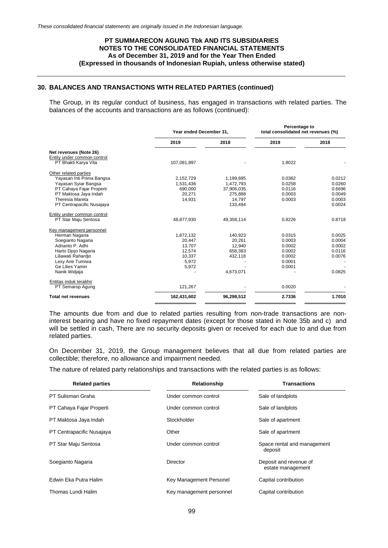#### **30. BALANCES AND TRANSACTIONS WITH RELATED PARTIES (continued)**

The Group, in its regular conduct of business, has engaged in transactions with related parties. The balances of the accounts and transactions are as follows (continued):

|                                                     | Year ended December 31, |            | Percentage to<br>total consolidated net revenues (%) |        |
|-----------------------------------------------------|-------------------------|------------|------------------------------------------------------|--------|
|                                                     | 2019                    | 2018       | 2019                                                 | 2018   |
| Net revenues (Note 26)                              |                         |            |                                                      |        |
| Entity under common control<br>PT Bhakti Karya Vita | 107,081,897             |            | 1.8022                                               |        |
| Other related parties                               |                         |            |                                                      |        |
| Yayasan Inti Prima Bangsa                           | 2,152,729               | 1,199,695  | 0.0362                                               | 0.0212 |
| Yayasan Syiar Bangsa                                | 1,531,436               | 1,472,793  | 0.0258                                               | 0.0260 |
| PT Cahaya Fajar Properti                            | 690,000                 | 37,906,035 | 0.0116                                               | 0.6696 |
| PT Maktosa Jaya Indah                               | 20,271                  | 275,888    | 0.0003                                               | 0.0049 |
| Theresia Mareta                                     | 14,931                  | 14,797     | 0.0003                                               | 0.0003 |
| PT Centrapacific Nusajaya                           |                         | 133,494    |                                                      | 0.0024 |
| Entity under common control                         |                         |            |                                                      |        |
| PT Star Maju Sentosa                                | 48,877,930              | 49,358,114 | 0.8226                                               | 0.8718 |
| Key management personnel                            |                         |            |                                                      |        |
| Herman Nagaria                                      | 1,872,132               | 140,923    | 0.0315                                               | 0.0025 |
| Soegianto Nagaria                                   | 20,447                  | 20,261     | 0.0003                                               | 0.0004 |
| Adrianto P. Adhi                                    | 13.707                  | 12.940     | 0.0002                                               | 0.0002 |
| Harto Djojo Nagaria                                 | 12,574                  | 658,383    | 0.0002                                               | 0.0116 |
| Liliawati Rahardio                                  | 10,337                  | 432,118    | 0.0002                                               | 0.0076 |
| Lexy Arie Tumiwa                                    | 5,972                   |            | 0.0001                                               |        |
| Ge Lilies Yamin                                     | 5,972                   |            | 0.0001                                               |        |
| Nanik Widjaja                                       |                         | 4,673,071  |                                                      | 0.0825 |
| Entitas induk terakhir                              |                         |            |                                                      |        |
| PT Semarop Agung                                    | 121,267                 |            | 0.0020                                               |        |
| <b>Total net revenues</b>                           | 162,431,602             | 96,298,512 | 2.7336                                               | 1.7010 |

The amounts due from and due to related parties resulting from non-trade transactions are noninterest bearing and have no fixed repayment dates (except for those stated in Note 35b and c) and will be settled in cash, There are no security deposits given or received for each due to and due from related parties.

On December 31, 2019, the Group management believes that all due from related parties are collectible; therefore, no allowance and impairment needed.

The nature of related party relationships and transactions with the related parties is as follows:

| <b>Related parties</b>    | <b>Relationship</b>      | <b>Transactions</b>                         |
|---------------------------|--------------------------|---------------------------------------------|
| PT Sulisman Graha         | Under common control     | Sale of landplots                           |
| PT Cahaya Fajar Properti  | Under common control     | Sale of landplots                           |
| PT Maktosa Jaya Indah     | Stockholder              | Sale of apartment                           |
| PT Centrapacific Nusajaya | Other                    | Sale of apartment                           |
| PT Star Maju Sentosa      | Under common control     | Space rental and management<br>deposit      |
| Soegianto Nagaria         | Director                 | Deposit and revenue of<br>estate management |
| Edwin Eka Putra Halim     | Key Management Personel  | Capital contribution                        |
| Thomas Lundi Halim        | Key management personnel | Capital contribution                        |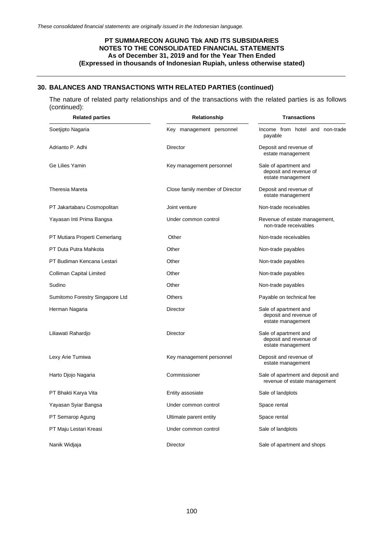# **30. BALANCES AND TRANSACTIONS WITH RELATED PARTIES (continued)**

The nature of related party relationships and of the transactions with the related parties is as follows (continued):

| <b>Related parties</b>          | Relationship                    | <b>Transactions</b>                                                  |  |  |
|---------------------------------|---------------------------------|----------------------------------------------------------------------|--|--|
| Soetjipto Nagaria               | Key management personnel        | Income from hotel and non-trade<br>payable                           |  |  |
| Adrianto P. Adhi                | Director                        | Deposit and revenue of<br>estate management                          |  |  |
| Ge Lilies Yamin                 | Key management personnel        | Sale of apartment and<br>deposit and revenue of<br>estate management |  |  |
| Theresia Mareta                 | Close family member of Director | Deposit and revenue of<br>estate management                          |  |  |
| PT Jakartabaru Cosmopolitan     | Joint venture                   | Non-trade receivables                                                |  |  |
| Yayasan Inti Prima Bangsa       | Under common control            | Revenue of estate management,<br>non-trade receivables               |  |  |
| PT Mutiara Properti Cemerlang   | Other                           | Non-trade receivables                                                |  |  |
| PT Duta Putra Mahkota           | Other                           | Non-trade payables                                                   |  |  |
| PT Budiman Kencana Lestari      | Other                           | Non-trade payables                                                   |  |  |
| Colliman Capital Limited        | Other                           | Non-trade payables                                                   |  |  |
| Sudino                          | Other                           | Non-trade payables                                                   |  |  |
| Sumitomo Forestry Singapore Ltd | Others                          | Payable on technical fee                                             |  |  |
| Herman Nagaria                  | Director                        | Sale of apartment and<br>deposit and revenue of<br>estate management |  |  |
| Liliawati Rahardjo              | Director                        | Sale of apartment and<br>deposit and revenue of<br>estate management |  |  |
| Lexy Arie Tumiwa                | Key management personnel        | Deposit and revenue of<br>estate management                          |  |  |
| Harto Djojo Nagaria             | Commissioner                    | Sale of apartment and deposit and<br>revenue of estate management    |  |  |
| PT Bhakti Karya Vita            | Entity assosiate                | Sale of landplots                                                    |  |  |
| Yayasan Syiar Bangsa            | Under common control            | Space rental                                                         |  |  |
| PT Semarop Agung                | Ultimate parent entity          | Space rental                                                         |  |  |
| PT Maju Lestari Kreasi          | Under common control            | Sale of landplots                                                    |  |  |
| Nanik Widjaja                   | Director                        | Sale of apartment and shops                                          |  |  |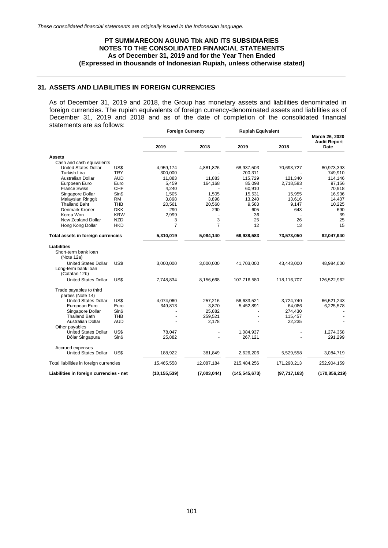## **31. ASSETS AND LIABILITIES IN FOREIGN CURRENCIES**

As of December 31, 2019 and 2018, the Group has monetary assets and liabilities denominated in foreign currencies. The rupiah equivalents of foreign currency-denominated assets and liabilities as of December 31, 2019 and 2018 and as of the date of completion of the consolidated financial statements are as follows:

|                                         |            | <b>Foreign Currency</b> |                | <b>Rupiah Equivalent</b> |                | March 26, 2020              |  |
|-----------------------------------------|------------|-------------------------|----------------|--------------------------|----------------|-----------------------------|--|
|                                         |            | 2019                    | 2018           | 2019                     | 2018           | <b>Audit Report</b><br>Date |  |
| <b>Assets</b>                           |            |                         |                |                          |                |                             |  |
| Cash and cash equivalents               |            |                         |                |                          |                |                             |  |
| <b>United States Dollar</b>             | US\$       | 4,959,174               | 4,881,826      | 68,937,503               | 70,693,727     | 80,973,393                  |  |
| <b>Turkish Lira</b>                     | <b>TRY</b> | 300,000                 |                | 700,311                  |                | 749,910                     |  |
| Australian Dollar                       | <b>AUD</b> | 11,883                  | 11,883         | 115,729                  | 121,340        | 114,146                     |  |
| Eurpoean Euro                           | Euro       | 5,459                   | 164,168        | 85,098                   | 2,718,583      | 97,156                      |  |
| <b>France Swiss</b>                     | CHF        | 4,240                   |                | 60,910                   |                | 70,918                      |  |
| Singapore Dollar                        | Sin\$      | 1,505                   | 1,505          | 15,531                   | 15,955         | 16,936                      |  |
| Malaysian Ringgit                       | <b>RM</b>  | 3,898                   | 3,898          | 13,240                   | 13,616         | 14,487                      |  |
| <b>Thailand Baht</b>                    | <b>THB</b> | 20,561                  | 20,560         | 9,583                    | 9,147          | 10,225                      |  |
| Denmark Kroner                          | <b>DKK</b> | 290                     | 290            | 605                      | 643            | 690                         |  |
| Korea Won                               | <b>KRW</b> | 2,999                   |                | 36                       |                | 39                          |  |
| New Zealand Dollar                      | <b>NZD</b> | 3                       | 3              | 25                       | 26             | 25                          |  |
| Hong Kong Dollar                        | <b>HKD</b> | $\overline{7}$          | $\overline{7}$ | 12                       | 13             | 15                          |  |
| Total assets in foreign currencies      |            | 5,310,019               | 5,084,140      | 69,938,583               | 73,573,050     | 82,047,940                  |  |
| <b>Liabilities</b>                      |            |                         |                |                          |                |                             |  |
| Short-term bank loan                    |            |                         |                |                          |                |                             |  |
| (Note 12a)                              |            |                         |                |                          |                |                             |  |
| <b>United States Dollar</b>             | US\$       | 3,000,000               | 3,000,000      | 41,703,000               | 43,443,000     | 48,984,000                  |  |
| Long-term bank loan                     |            |                         |                |                          |                |                             |  |
| (Catatan 12b)                           |            |                         |                |                          |                |                             |  |
| <b>United States Dollar</b>             | US\$       | 7,748,834               | 8,156,668      | 107,716,580              | 118,116,707    | 126,522,962                 |  |
| Trade payables to third                 |            |                         |                |                          |                |                             |  |
| parties (Note 14)                       |            |                         |                |                          |                |                             |  |
| <b>United States Dollar</b>             | US\$       | 4,074,060               | 257,216        | 56,633,521               | 3,724,740      | 66,521,243                  |  |
| European Euro                           | Euro       | 349,813                 | 3,870          | 5,452,891                | 64,086         | 6,225,578                   |  |
| Singapore Dollar                        | Sin\$      |                         | 25.882         |                          | 274,430        |                             |  |
| <b>Thailand Bath</b>                    | <b>THB</b> |                         | 259,521        |                          | 115,457        |                             |  |
| Australian Dollar                       | <b>AUD</b> |                         | 2,178          |                          | 22,235         |                             |  |
| Other payables                          |            |                         |                |                          |                |                             |  |
| <b>United States Dollar</b>             | US\$       | 78.047                  |                | 1,084,937                |                | 1,274,358                   |  |
| Dólar Singapura                         | Sin\$      | 25,882                  |                | 267,121                  |                | 291,299                     |  |
| Accrued expenses                        |            |                         |                |                          |                |                             |  |
| <b>United States Dollar</b>             | US\$       | 188,922                 | 381,849        | 2,626,206                | 5,529,558      | 3,084,719                   |  |
| Total liabilities in foreign currencies |            | 15,465,558              | 12,087,184     | 215,484,256              | 171,290,213    | 252,904,159                 |  |
| Liabilities in foreign currencies - net |            | (10, 155, 539)          | (7,003,044)    | (145, 545, 673)          | (97, 717, 163) | (170, 856, 219)             |  |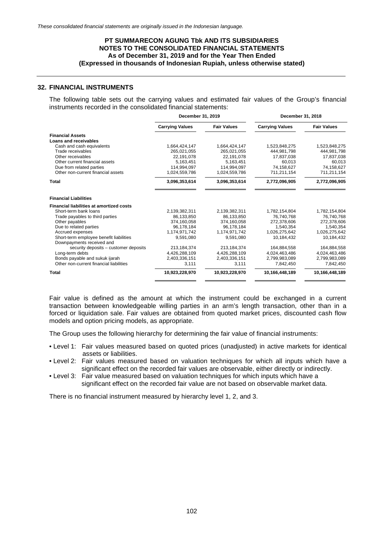#### **32. FINANCIAL INSTRUMENTS**

The following table sets out the carrying values and estimated fair values of the Group's financial instruments recorded in the consolidated financial statements:

|                                                 | December 31, 2019      |                    | December 31, 2018      |                    |
|-------------------------------------------------|------------------------|--------------------|------------------------|--------------------|
|                                                 | <b>Carrying Values</b> | <b>Fair Values</b> | <b>Carrying Values</b> | <b>Fair Values</b> |
| <b>Financial Assets</b>                         |                        |                    |                        |                    |
| Loans and receivables                           |                        |                    |                        |                    |
| Cash and cash equivalents                       | 1,664,424,147          | 1,664,424,147      | 1,523,848,275          | 1,523,848,275      |
| Trade receivables                               | 265,021,055            | 265,021,055        | 444,981,798            | 444,981,798        |
| Other receivables                               | 22,191,078             | 22,191,078         | 17,837,038             | 17,837,038         |
| Other current financial assets                  | 5,163,451              | 5,163,451          | 60.013                 | 60,013             |
| Due from related parties                        | 114.994.097            | 114,994,097        | 74.158.627             | 74,158,627         |
| Other non-current financial assets              | 1,024,559,786          | 1,024,559,786      | 711,211,154            | 711,211,154        |
| <b>Total</b>                                    | 3,096,353,614          | 3,096,353,614      | 2,772,096,905          | 2,772,096,905      |
| <b>Financial Liabilities</b>                    |                        |                    |                        |                    |
| <b>Financial liabilities at amortized costs</b> |                        |                    |                        |                    |
| Short-term bank loans                           | 2,139,382,311          | 2,139,382,311      | 1,782,154,804          | 1,782,154,804      |
| Trade payables to third parties                 | 86,133,850             | 86.133.850         | 76,740,768             | 76,740,768         |
| Other payables                                  | 374,160,058            | 374,160,058        | 272,378,606            | 272,378,606        |
| Due to related parties                          | 96,178,184             | 96,178,184         | 1,540,354              | 1,540,354          |
| Accrued expenses                                | 1,174,971,742          | 1,174,971,742      | 1,026,275,642          | 1,026,275,642      |
| Short-term employee benefit liabilities         | 9,591,080              | 9,591,080          | 10,184,432             | 10,184,432         |
| Downpayments received and                       |                        |                    |                        |                    |
| security deposits - customer deposits           | 213, 184, 374          | 213, 184, 374      | 164,884,558            | 164,884,558        |
| Long-term debts                                 | 4,426,288,109          | 4,426,288,109      | 4,024,463,486          | 4,024,463,486      |
| Bonds payable and sukuk ijarah                  | 2,403,336,151          | 2,403,336,151      | 2,799,983,089          | 2,799,983,089      |
| Other non-current financial liabilities         | 3,111                  | 3,111              | 7,842,450              | 7,842,450          |
| <b>Total</b>                                    | 10,923,228,970         | 10,923,228,970     | 10,166,448,189         | 10,166,448,189     |
|                                                 |                        |                    |                        |                    |

Fair value is defined as the amount at which the instrument could be exchanged in a current transaction between knowledgeable willing parties in an arm's length transaction, other than in a forced or liquidation sale. Fair values are obtained from quoted market prices, discounted cash flow models and option pricing models, as appropriate.

The Group uses the following hierarchy for determining the fair value of financial instruments:

- Level 1: Fair values measured based on quoted prices (unadjusted) in active markets for identical assets or liabilities.
- Level 2: Fair values measured based on valuation techniques for which all inputs which have a significant effect on the recorded fair values are observable, either directly or indirectly.
- Level 3: Fair value measured based on valuation techniques for which inputs which have a significant effect on the recorded fair value are not based on observable market data.

There is no financial instrument measured by hierarchy level 1, 2, and 3.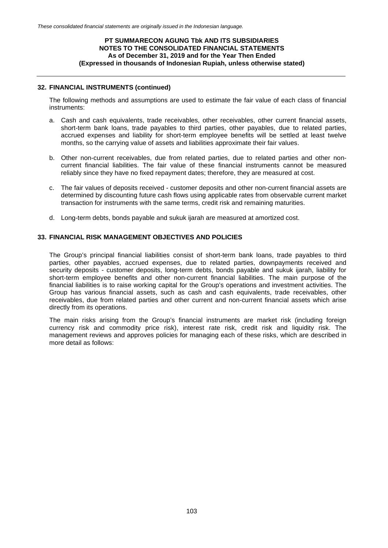#### **32. FINANCIAL INSTRUMENTS (continued)**

The following methods and assumptions are used to estimate the fair value of each class of financial instruments:

- a. Cash and cash equivalents, trade receivables, other receivables, other current financial assets, short-term bank loans, trade payables to third parties, other payables, due to related parties, accrued expenses and liability for short-term employee benefits will be settled at least twelve months, so the carrying value of assets and liabilities approximate their fair values.
- b. Other non-current receivables, due from related parties, due to related parties and other noncurrent financial liabilities. The fair value of these financial instruments cannot be measured reliably since they have no fixed repayment dates; therefore, they are measured at cost.
- c. The fair values of deposits received customer deposits and other non-current financial assets are determined by discounting future cash flows using applicable rates from observable current market transaction for instruments with the same terms, credit risk and remaining maturities.
- d. Long-term debts, bonds payable and sukuk ijarah are measured at amortized cost.

### **33. FINANCIAL RISK MANAGEMENT OBJECTIVES AND POLICIES**

The Group's principal financial liabilities consist of short-term bank loans, trade payables to third parties, other payables, accrued expenses, due to related parties, downpayments received and security deposits - customer deposits, long-term debts, bonds payable and sukuk ijarah, liability for short-term employee benefits and other non-current financial liabilities. The main purpose of the financial liabilities is to raise working capital for the Group's operations and investment activities. The Group has various financial assets, such as cash and cash equivalents, trade receivables, other receivables, due from related parties and other current and non-current financial assets which arise directly from its operations.

The main risks arising from the Group's financial instruments are market risk (including foreign currency risk and commodity price risk), interest rate risk, credit risk and liquidity risk. The management reviews and approves policies for managing each of these risks, which are described in more detail as follows: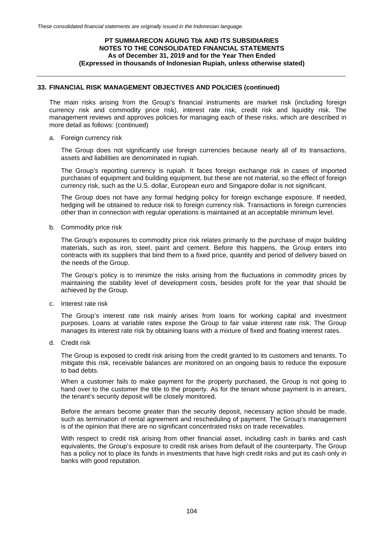## **33. FINANCIAL RISK MANAGEMENT OBJECTIVES AND POLICIES (continued)**

The main risks arising from the Group's financial instruments are market risk (including foreign currency risk and commodity price risk), interest rate risk, credit risk and liquidity risk. The management reviews and approves policies for managing each of these risks, which are described in more detail as follows: (continued)

a. Foreign currency risk

The Group does not significantly use foreign currencies because nearly all of its transactions, assets and liabilities are denominated in rupiah.

The Group's reporting currency is rupiah. It faces foreign exchange risk in cases of imported purchases of equipment and building equipment, but these are not material, so the effect of foreign currency risk, such as the U.S. dollar, European euro and Singapore dollar is not significant.

The Group does not have any formal hedging policy for foreign exchange exposure. If needed, hedging will be obtained to reduce risk to foreign currency risk. Transactions in foreign currencies other than in connection with regular operations is maintained at an acceptable minimum level.

b. Commodity price risk

The Group's exposures to commodity price risk relates primarily to the purchase of major building materials, such as iron, steel, paint and cement. Before this happens, the Group enters into contracts with its suppliers that bind them to a fixed price, quantity and period of delivery based on the needs of the Group.

The Group's policy is to minimize the risks arising from the fluctuations in commodity prices by maintaining the stability level of development costs, besides profit for the year that should be achieved by the Group.

c. Interest rate risk

The Group's interest rate risk mainly arises from loans for working capital and investment purposes. Loans at variable rates expose the Group to fair value interest rate risk. The Group manages its interest rate risk by obtaining loans with a mixture of fixed and floating interest rates.

d. Credit risk

The Group is exposed to credit risk arising from the credit granted to its customers and tenants. To mitigate this risk, receivable balances are monitored on an ongoing basis to reduce the exposure to bad debts.

When a customer fails to make payment for the property purchased, the Group is not going to hand over to the customer the title to the property. As for the tenant whose payment is in arrears, the tenant's security deposit will be closely monitored.

Before the arrears become greater than the security deposit, necessary action should be made, such as termination of rental agreement and rescheduling of payment. The Group's management is of the opinion that there are no significant concentrated risks on trade receivables.

With respect to credit risk arising from other financial asset, including cash in banks and cash equivalents, the Group's exposure to credit risk arises from default of the counterparty. The Group has a policy not to place its funds in investments that have high credit risks and put its cash only in banks with good reputation.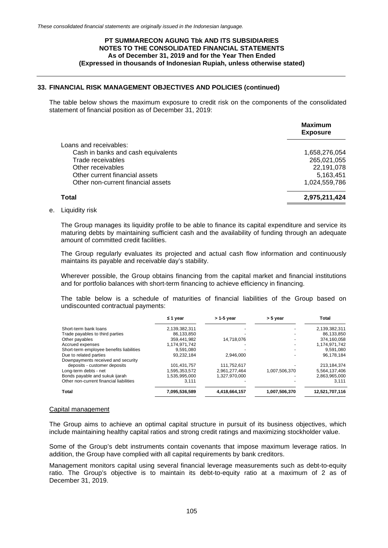### **33. FINANCIAL RISK MANAGEMENT OBJECTIVES AND POLICIES (continued)**

The table below shows the maximum exposure to credit risk on the components of the consolidated statement of financial position as of December 31, 2019:

|                                    | <b>Maximum</b><br><b>Exposure</b> |
|------------------------------------|-----------------------------------|
| Loans and receivables:             |                                   |
| Cash in banks and cash equivalents | 1,658,276,054                     |
| Trade receivables                  | 265,021,055                       |
| Other receivables                  | 22,191,078                        |
| Other current financial assets     | 5,163,451                         |
| Other non-current financial assets | 1,024,559,786                     |
| Total                              | 2,975,211,424                     |

e. Liquidity risk

The Group manages its liquidity profile to be able to finance its capital expenditure and service its maturing debts by maintaining sufficient cash and the availability of funding through an adequate amount of committed credit facilities.

The Group regularly evaluates its projected and actual cash flow information and continuously maintains its payable and receivable day's stability.

Wherever possible, the Group obtains financing from the capital market and financial institutions and for portfolio balances with short-term financing to achieve efficiency in financing.

The table below is a schedule of maturities of financial liabilities of the Group based on undiscounted contractual payments:

|                                          | $\leq$ 1 year | $> 1-5$ year  | > 5 year      | Total          |
|------------------------------------------|---------------|---------------|---------------|----------------|
| Short-term bank loans                    | 2,139,382,311 |               |               | 2,139,382,311  |
| Trade payables to third parties          | 86,133,850    |               |               | 86,133,850     |
| Other payables                           | 359,441,982   | 14,718,076    |               | 374,160,058    |
| Accrued expenses                         | 1,174,971,742 |               |               | 1,174,971,742  |
| Short-term employee benefits liabilities | 9,591,080     |               |               | 9,591,080      |
| Due to related parties                   | 93.232.184    | 2.946.000     |               | 96.178.184     |
| Downpayments received and security       |               |               |               |                |
| deposits - customer deposits             | 101,431,757   | 111.752.617   |               | 213,184,374    |
| Long-term debts - net                    | 1,595,353,572 | 2,961,277,464 | 1,007,506,370 | 5,564,137,406  |
| Bonds payable and sukuk ijarah           | 1,535,995,000 | 1.327.970.000 |               | 2,863,965,000  |
| Other non-current financial liabilities  | 3.111         |               |               | 3.111          |
| <b>Total</b>                             | 7,095,536,589 | 4,418,664,157 | 1,007,506,370 | 12,521,707,116 |

#### Capital management

The Group aims to achieve an optimal capital structure in pursuit of its business objectives, which include maintaining healthy capital ratios and strong credit ratings and maximizing stockholder value.

Some of the Group's debt instruments contain covenants that impose maximum leverage ratios. In addition, the Group have complied with all capital requirements by bank creditors.

Management monitors capital using several financial leverage measurements such as debt-to-equity ratio. The Group's objective is to maintain its debt-to-equity ratio at a maximum of 2 as of December 31, 2019.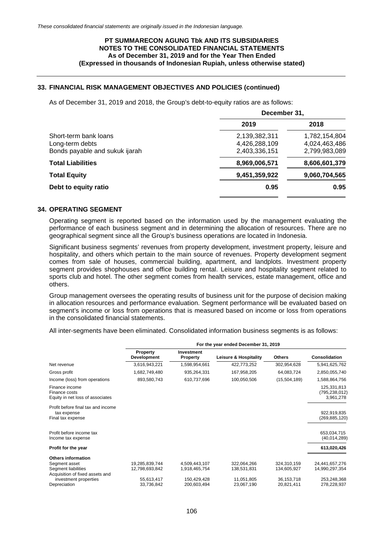### **33. FINANCIAL RISK MANAGEMENT OBJECTIVES AND POLICIES (continued)**

As of December 31, 2019 and 2018, the Group's debt-to-equity ratios are as follows:

|                                | December 31,  |               |  |
|--------------------------------|---------------|---------------|--|
|                                | 2019          | 2018          |  |
| Short-term bank loans          | 2,139,382,311 | 1,782,154,804 |  |
| Long-term debts                | 4,426,288,109 | 4,024,463,486 |  |
| Bonds payable and sukuk ijarah | 2,403,336,151 | 2,799,983,089 |  |
| <b>Total Liabilities</b>       | 8,969,006,571 | 8,606,601,379 |  |
| <b>Total Equity</b>            | 9,451,359,922 | 9,060,704,565 |  |
| Debt to equity ratio           | 0.95          | 0.95          |  |
|                                |               |               |  |

# **34. OPERATING SEGMENT**

Operating segment is reported based on the information used by the management evaluating the performance of each business segment and in determining the allocation of resources. There are no geographical segment since all the Group's business operations are located in Indonesia.

Significant business segments' revenues from property development, investment property, leisure and hospitality, and others which pertain to the main source of revenues. Property development segment comes from sale of houses, commercial building, apartment, and landplots. Investment property segment provides shophouses and office building rental. Leisure and hospitality segment related to sports club and hotel. The other segment comes from health services, estate management, office and others.

Group management oversees the operating results of business unit for the purpose of decision making in allocation resources and performance evaluation. Segment performance will be evaluated based on segment's income or loss from operations that is measured based on income or loss from operations in the consolidated financial statements.

All inter-segments have been eliminated. Consolidated information business segments is as follows:

|                                                                        | For the year ended December 31, 2019 |                               |                       |               |                                             |  |  |  |
|------------------------------------------------------------------------|--------------------------------------|-------------------------------|-----------------------|---------------|---------------------------------------------|--|--|--|
|                                                                        | <b>Property</b><br>Development       | Investment<br><b>Property</b> | Leisure & Hospitality | <b>Others</b> | <b>Consolidation</b>                        |  |  |  |
| Net revenue                                                            | 3,616,943,221                        | 1,598,954,661                 | 422,773,252           | 302,954,628   | 5,941,625,762                               |  |  |  |
| Gross profit                                                           | 1,682,749,480                        | 935,264,331                   | 167,958,205           | 64,083,724    | 2,850,055,740                               |  |  |  |
| Income (loss) from operations                                          | 893,580,743                          | 610,737,696                   | 100,050,506           | (15,504,189)  | 1,588,864,756                               |  |  |  |
| Finance income<br>Finance costs<br>Equity in net loss of associates    |                                      |                               |                       |               | 125,331,813<br>(795, 238, 012)<br>3,961,278 |  |  |  |
| Profit before final tax and income<br>tax expense<br>Final tax expense |                                      |                               |                       |               | 922,919,835<br>(269, 885, 120)              |  |  |  |
| Profit before income tax<br>Income tax expense                         |                                      |                               |                       |               | 653,034,715<br>(40,014,289)                 |  |  |  |
| Profit for the year                                                    |                                      |                               |                       |               | 613,020,426                                 |  |  |  |
| <b>Others information</b>                                              |                                      |                               |                       |               |                                             |  |  |  |
| Segment asset                                                          | 19,285,839,744                       | 4,509,443,107                 | 322,064,266           | 324,310,159   | 24,441,657,276                              |  |  |  |
| Segment liabilities                                                    | 12,798,693,842                       | 1.918.465.754                 | 138.531.831           | 134.605.927   | 14,990,297,354                              |  |  |  |
| Acquisition of fixed assets and                                        |                                      |                               |                       |               |                                             |  |  |  |
| investment properties                                                  | 55,613,417                           | 150.429.428                   | 11,051,805            | 36, 153, 718  | 253,248,368                                 |  |  |  |
| Depreciation                                                           | 33,736,842                           | 200,603,494                   | 23,067,190            | 20,821,411    | 278,228,937                                 |  |  |  |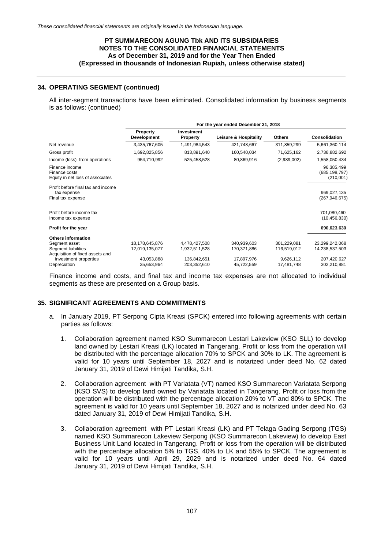## **34. OPERATING SEGMENT (continued)**

All inter-segment transactions have been eliminated. Consolidated information by business segments is as follows: (continued)

|                                                                         | For the year ended December 31, 2018 |                                |                            |                            |                                            |  |  |
|-------------------------------------------------------------------------|--------------------------------------|--------------------------------|----------------------------|----------------------------|--------------------------------------------|--|--|
|                                                                         | Property<br>Development              | Investment<br><b>Property</b>  | Leisure & Hospitality      | <b>Others</b>              | <b>Consolidation</b>                       |  |  |
| Net revenue                                                             | 3,435,767,605                        | 1,491,984,543                  | 421,748,667                | 311,859,299                | 5,661,360,114                              |  |  |
| Gross profit                                                            | 1,692,825,856                        | 813,891,640                    | 160,540,034                | 71,625,162                 | 2,738,882,692                              |  |  |
| Income (loss) from operations                                           | 954,710,992                          | 525,458,528                    | 80,869,916                 | (2,989,002)                | 1,558,050,434                              |  |  |
| Finance income<br>Finance costs<br>Equity in net loss of associates     |                                      |                                |                            |                            | 96,385,499<br>(685, 198, 797)<br>(210,001) |  |  |
| Profit before final tax and income<br>tax expense<br>Final tax expense  |                                      |                                |                            |                            | 969,027,135<br>(267, 946, 675)             |  |  |
| Profit before income tax<br>Income tax expense                          |                                      |                                |                            |                            | 701,080,460<br>(10, 456, 830)              |  |  |
| Profit for the year                                                     |                                      |                                |                            |                            | 690,623,630                                |  |  |
| <b>Others information</b>                                               |                                      |                                |                            |                            |                                            |  |  |
| Segment asset<br>Segment liabilities<br>Acquisition of fixed assets and | 18,178,645,876<br>12,019,135,077     | 4,478,427,508<br>1,932,511,528 | 340,939,603<br>170,371,886 | 301,229,081<br>116,519,012 | 23,299,242,068<br>14,238,537,503           |  |  |
| investment properties<br>Depreciation                                   | 43,053,888<br>35,653,964             | 136,842,651<br>203,352,610     | 17,897,976<br>45,722,559   | 9,626,112<br>17,481,748    | 207,420,627<br>302,210,881                 |  |  |

Finance income and costs, and final tax and income tax expenses are not allocated to individual segments as these are presented on a Group basis.

#### **35. SIGNIFICANT AGREEMENTS AND COMMITMENTS**

- a. In January 2019, PT Serpong Cipta Kreasi (SPCK) entered into following agreements with certain parties as follows:
	- 1. Collaboration agreement named KSO Summarecon Lestari Lakeview (KSO SLL) to develop land owned by Lestari Kreasi (LK) located in Tangerang. Profit or loss from the operation will be distributed with the percentage allocation 70% to SPCK and 30% to LK. The agreement is valid for 10 years until September 18, 2027 and is notarized under deed No. 62 dated January 31, 2019 of Dewi Himijati Tandika, S.H.
	- 2. Collaboration agreement with PT Variatata (VT) named KSO Summarecon Variatata Serpong (KSO SVS) to develop land owned by Variatata located in Tangerang. Profit or loss from the operation will be distributed with the percentage allocation 20% to VT and 80% to SPCK. The agreement is valid for 10 years until September 18, 2027 and is notarized under deed No. 63 dated January 31, 2019 of Dewi Himijati Tandika, S.H.
	- 3. Collaboration agreement with PT Lestari Kreasi (LK) and PT Telaga Gading Serpong (TGS) named KSO Summarecon Lakeview Serpong (KSO Summarecon Lakeview) to develop East Business Unit Land located in Tangerang. Profit or loss from the operation will be distributed with the percentage allocation 5% to TGS, 40% to LK and 55% to SPCK. The agreement is valid for 10 years until April 29, 2029 and is notarized under deed No. 64 dated January 31, 2019 of Dewi Himijati Tandika, S.H.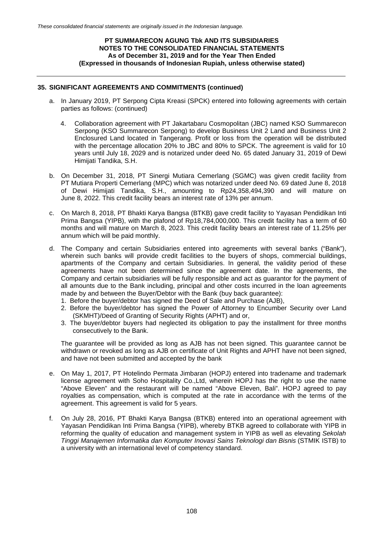## **35. SIGNIFICANT AGREEMENTS AND COMMITMENTS (continued)**

- a. In January 2019, PT Serpong Cipta Kreasi (SPCK) entered into following agreements with certain parties as follows: (continued)
	- 4. Collaboration agreement with PT Jakartabaru Cosmopolitan (JBC) named KSO Summarecon Serpong (KSO Summarecon Serpong) to develop Business Unit 2 Land and Business Unit 2 Enclosured Land located in Tangerang. Profit or loss from the operation will be distributed with the percentage allocation 20% to JBC and 80% to SPCK. The agreement is valid for 10 years until July 18, 2029 and is notarized under deed No. 65 dated January 31, 2019 of Dewi Himijati Tandika, S.H.
- b. On December 31, 2018, PT Sinergi Mutiara Cemerlang (SGMC) was given credit facility from PT Mutiara Properti Cemerlang (MPC) which was notarized under deed No. 69 dated June 8, 2018 of Dewi Himijati Tandika, S.H., amounting to Rp24,358,494,390 and will mature on June 8, 2022. This credit facility bears an interest rate of 13% per annum.
- c. On March 8, 2018, PT Bhakti Karya Bangsa (BTKB) gave credit facility to Yayasan Pendidikan Inti Prima Bangsa (YIPB), with the plafond of Rp18,784,000,000. This credit facility has a term of 60 months and will mature on March 8, 2023. This credit facility bears an interest rate of 11.25% per annum which will be paid monthly.
- d. The Company and certain Subsidiaries entered into agreements with several banks ("Bank"), wherein such banks will provide credit facilities to the buyers of shops, commercial buildings, apartments of the Company and certain Subsidiaries. In general, the validity period of these agreements have not been determined since the agreement date. In the agreements, the Company and certain subsidiaries will be fully responsible and act as guarantor for the payment of all amounts due to the Bank including, principal and other costs incurred in the loan agreements made by and between the Buyer/Debtor with the Bank (buy back guarantee):
	- 1. Before the buyer/debtor has signed the Deed of Sale and Purchase (AJB),
	- 2. Before the buyer/debtor has signed the Power of Attorney to Encumber Security over Land (SKMHT)/Deed of Granting of Security Rights (APHT) and or,
	- 3. The buyer/debtor buyers had neglected its obligation to pay the installment for three months consecutively to the Bank.

The guarantee will be provided as long as AJB has not been signed. This guarantee cannot be withdrawn or revoked as long as AJB on certificate of Unit Rights and APHT have not been signed, and have not been submitted and accepted by the bank

- e. On May 1, 2017, PT Hotelindo Permata Jimbaran (HOPJ) entered into tradename and trademark license agreement with Soho Hospitality Co.,Ltd, wherein HOPJ has the right to use the name "Above Eleven" and the restaurant will be named "Above Eleven, Bali". HOPJ agreed to pay royalties as compensation, which is computed at the rate in accordance with the terms of the agreement. This agreement is valid for 5 years.
- f. On July 28, 2016, PT Bhakti Karya Bangsa (BTKB) entered into an operational agreement with Yayasan Pendidikan Inti Prima Bangsa (YIPB), whereby BTKB agreed to collaborate with YIPB in reforming the quality of education and management system in YIPB as well as elevating *Sekolah Tinggi Manajemen Informatika dan Komputer Inovasi Sains Teknologi dan Bisnis* (STMIK ISTB) to a university with an international level of competency standard.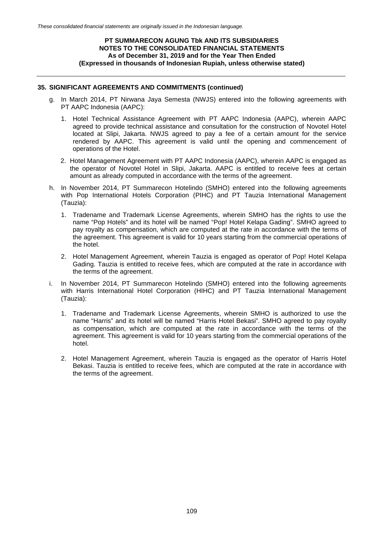### **35. SIGNIFICANT AGREEMENTS AND COMMITMENTS (continued)**

- g. In March 2014, PT Nirwana Jaya Semesta (NWJS) entered into the following agreements with PT AAPC Indonesia (AAPC):
	- 1. Hotel Technical Assistance Agreement with PT AAPC Indonesia (AAPC), wherein AAPC agreed to provide technical assistance and consultation for the construction of Novotel Hotel located at Slipi, Jakarta. NWJS agreed to pay a fee of a certain amount for the service rendered by AAPC. This agreement is valid until the opening and commencement of operations of the Hotel.
	- 2. Hotel Management Agreement with PT AAPC Indonesia (AAPC), wherein AAPC is engaged as the operator of Novotel Hotel in Slipi, Jakarta. AAPC is entitled to receive fees at certain amount as already computed in accordance with the terms of the agreement.
- h. In November 2014, PT Summarecon Hotelindo (SMHO) entered into the following agreements with Pop International Hotels Corporation (PIHC) and PT Tauzia International Management (Tauzia):
	- 1. Tradename and Trademark License Agreements, wherein SMHO has the rights to use the name "Pop Hotels" and its hotel will be named "Pop! Hotel Kelapa Gading". SMHO agreed to pay royalty as compensation, which are computed at the rate in accordance with the terms of the agreement. This agreement is valid for 10 years starting from the commercial operations of the hotel.
	- 2. Hotel Management Agreement, wherein Tauzia is engaged as operator of Pop! Hotel Kelapa Gading. Tauzia is entitled to receive fees, which are computed at the rate in accordance with the terms of the agreement.
- i. In November 2014, PT Summarecon Hotelindo (SMHO) entered into the following agreements with Harris International Hotel Corporation (HIHC) and PT Tauzia International Management (Tauzia):
	- 1. Tradename and Trademark License Agreements, wherein SMHO is authorized to use the name "Harris" and its hotel will be named "Harris Hotel Bekasi". SMHO agreed to pay royalty as compensation, which are computed at the rate in accordance with the terms of the agreement. This agreement is valid for 10 years starting from the commercial operations of the hotel.
	- 2. Hotel Management Agreement, wherein Tauzia is engaged as the operator of Harris Hotel Bekasi. Tauzia is entitled to receive fees, which are computed at the rate in accordance with the terms of the agreement.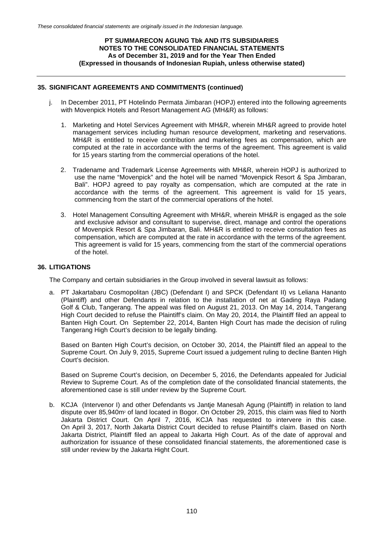# **35. SIGNIFICANT AGREEMENTS AND COMMITMENTS (continued)**

- j. In December 2011, PT Hotelindo Permata Jimbaran (HOPJ) entered into the following agreements with Movenpick Hotels and Resort Management AG (MH&R) as follows:
	- 1. Marketing and Hotel Services Agreement with MH&R, wherein MH&R agreed to provide hotel management services including human resource development, marketing and reservations. MH&R is entitled to receive contribution and marketing fees as compensation, which are computed at the rate in accordance with the terms of the agreement. This agreement is valid for 15 years starting from the commercial operations of the hotel.
	- 2. Tradename and Trademark License Agreements with MH&R, wherein HOPJ is authorized to use the name "Movenpick" and the hotel will be named "Movenpick Resort & Spa Jimbaran, Bali". HOPJ agreed to pay royalty as compensation, which are computed at the rate in accordance with the terms of the agreement. This agreement is valid for 15 years, commencing from the start of the commercial operations of the hotel.
	- 3. Hotel Management Consulting Agreement with MH&R, wherein MH&R is engaged as the sole and exclusive advisor and consultant to supervise, direct, manage and control the operations of Movenpick Resort & Spa Jimbaran, Bali. MH&R is entitled to receive consultation fees as compensation, which are computed at the rate in accordance with the terms of the agreement. This agreement is valid for 15 years, commencing from the start of the commercial operations of the hotel.

# **36. LITIGATIONS**

The Company and certain subsidiaries in the Group involved in several lawsuit as follows:

a. PT Jakartabaru Cosmopolitan (JBC) (Defendant I) and SPCK (Defendant II) vs Leliana Hananto (Plaintiff) and other Defendants in relation to the installation of net at Gading Raya Padang Golf & Club, Tangerang. The appeal was filed on August 21, 2013. On May 14, 2014, Tangerang High Court decided to refuse the Plaintiff's claim. On May 20, 2014, the Plaintiff filed an appeal to Banten High Court. On September 22, 2014, Banten High Court has made the decision of ruling Tangerang High Court's decision to be legally binding.

Based on Banten High Court's decision, on October 30, 2014, the Plaintiff filed an appeal to the Supreme Court. On July 9, 2015, Supreme Court issued a judgement ruling to decline Banten High Court's decision.

Based on Supreme Court's decision, on December 5, 2016, the Defendants appealed for Judicial Review to Supreme Court. As of the completion date of the consolidated financial statements, the aforementioned case is still under review by the Supreme Court.

b. KCJA (Intervenor I) and other Defendants vs Jantie Manesah Agung (Plaintiff) in relation to land dispute over 85,940m<sup>2</sup> of land located in Bogor. On October 29, 2015, this claim was filed to North Jakarta District Court. On April 7, 2016, KCJA has requested to intervere in this case. On April 3, 2017, North Jakarta District Court decided to refuse Plaintiff's claim. Based on North Jakarta District, Plaintiff filed an appeal to Jakarta High Court. As of the date of approval and authorization for issuance of these consolidated financial statements, the aforementioned case is still under review by the Jakarta Hight Court.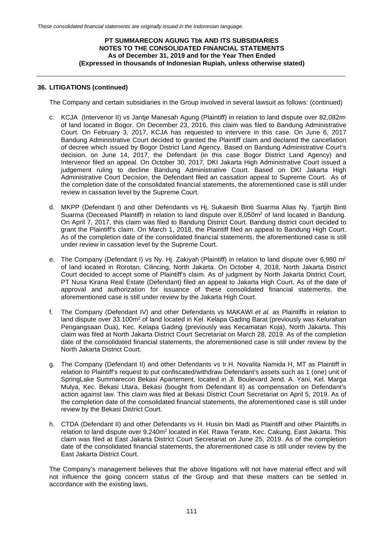# **36. LITIGATIONS (continued)**

The Company and certain subsidiaries in the Group involved in several lawsuit as follows: (continued)

- c. KCJA (Intervenor II) vs Jantie Manesah Agung (Plaintiff) in relation to land dispute over 82,082m<sup>2</sup> of land located in Bogor. On December 23, 2016, this claim was filed to Bandung Administrative Court. On February 3, 2017, KCJA has requested to intervere in this case. On June 6, 2017 Bandung Administrative Court decided to granted the Plaintiff claim and declared the cancellation of decree which issued by Bogor District Land Agency. Based on Bandung Administrative Court's decision, on June 14, 2017, the Defendant (in this case Bogor District Land Agency) and Intervenor filed an appeal. On October 30, 2017, DKI Jakarta High Administrative Court issued a judgement ruling to decline Bandung Administrative Court. Based on DKI Jakarta High Administrative Court Decision, the Defendant filed an cassation appeal to Supreme Court. As of the completion date of the consolidated financial statements, the aforementioned case is still under review in cassation level by the Supreme Court.
- d. MKPP (Defendant I) and other Defendants vs Hj. Sukaesih Binti Suarma Alias Ny. Tjartjih Binti Suarma (Deceased Plaintiff) in relation to land dispute over 8,050m<sup>2</sup> of land located in Bandung. On April 7, 2017, this claim was filed to Bandung District Court. Bandung district court decided to grant the Plaintiff's claim. On March 1, 2018, the Plaintiff filed an appeal to Bandung High Court. As of the completion date of the consolidated financial statements, the aforementioned case is still under review in cassation level by the Supreme Court.
- e. The Company (Defendant I) vs Ny. Hj. Zakiyah (Plaintiff) in relation to land dispute over 6,980 m<sup>2</sup> of land located in Rorotan, Cilincing, North Jakarta. On October 4, 2018, North Jakarta District Court decided to accept some of Plaintiff's claim. As of judgment by North Jakarta District Court, PT Nusa Kirana Real Estate (Defendant) filed an appeal to Jakarta High Court. As of the date of approval and authorization for issuance of these consolidated financial statements, the aforementioned case is still under review by the Jakarta High Court.
- f. The Company (Defendant IV) and other Defendants vs MAKAWI *et al*. as Plaintiffs in relation to land dispute over 33.100m<sup>2</sup> of land located in Kel. Kelapa Gading Barat (previously was Kelurahan Pengangsaan Dua), Kec. Kelapa Gading (previously was Kecamatan Koja), North Jakarta. This claim was filed at North Jakarta District Court Secretariat on March 28, 2019. As of the completion date of the consolidated financial statements, the aforementioned case is still under review by the North Jakarta District Court.
- g. The Company (Defendant II) and other Defendants vs Ir.H. Novalita Namida H, MT as Plaintiff in relation to Plaintiff's request to put confiscated/withdraw Defendant's assets such as 1 (one) unit of SpringLake Summarecon Bekasi Apartement, located in Jl. Boulevard Jend. A. Yani, Kel. Marga Mulya, Kec. Bekasi Utara, Bekasi (bought from Defendant II) as compensation on Defendant's action against law. This claim was filed at Bekasi District Court Secretariat on April 5, 2019. As of the completion date of the consolidated financial statements, the aforementioned case is still under review by the Bekasi District Court.
- h. CTDA (Defendant II) and other Defendants vs H. Husin bin Madi as Plaintiff and other Plaintiffs in relation to land dispute over 9.240m<sup>2</sup> located in Kel. Rawa Terate, Kec. Cakung, East Jakarta. This claim was filed at East Jakarta District Court Secretariat on June 25, 2019. As of the completion date of the consolidated financial statements, the aforementioned case is still under review by the East Jakarta District Court.

The Company's management believes that the above litigations will not have material effect and will not influence the going concern status of the Group and that these matters can be settled in accordance with the existing laws.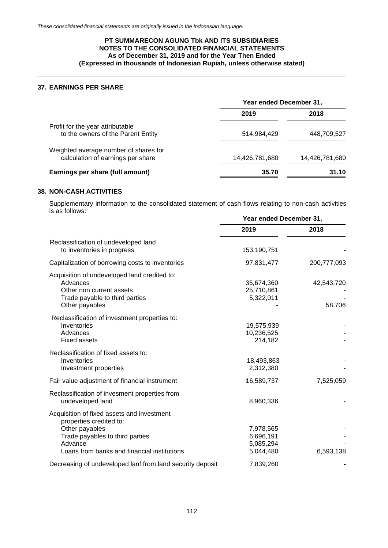# **37. EARNINGS PER SHARE**

|                                                                            | Year ended December 31, |                |
|----------------------------------------------------------------------------|-------------------------|----------------|
|                                                                            | 2019                    | 2018           |
| Profit for the year attributable<br>to the owners of the Parent Entity     | 514,984,429             | 448,709,527    |
| Weighted average number of shares for<br>calculation of earnings per share | 14,426,781,680          | 14,426,781,680 |
| Earnings per share (full amount)                                           | 35.70                   | 31.10          |

# **38. NON-CASH ACTIVITIES**

Supplementary information to the consolidated statement of cash flows relating to non-cash activities is as follows: **Year ended December 31,** 

|                                                                                                                                                                                      | rear ended December 31,                          |                      |
|--------------------------------------------------------------------------------------------------------------------------------------------------------------------------------------|--------------------------------------------------|----------------------|
|                                                                                                                                                                                      | 2019                                             | 2018                 |
| Reclassification of undeveloped land<br>to inventories in progress                                                                                                                   | 153,190,751                                      |                      |
| Capitalization of borrowing costs to inventories                                                                                                                                     | 97,831,477                                       | 200, 777, 093        |
| Acquisition of undeveloped land credited to:<br>Advances<br>Other non current assets<br>Trade payable to third parties<br>Other payables                                             | 35,674,360<br>25,710,861<br>5,322,011            | 42,543,720<br>58,706 |
| Reclassification of investment properties to:<br>Inventories<br>Advances<br><b>Fixed assets</b>                                                                                      | 19,575,939<br>10,236,525<br>214,182              |                      |
| Reclassification of fixed assets to:<br>Inventories<br>Investment properties                                                                                                         | 18,493,863<br>2,312,380                          |                      |
| Fair value adjustment of financial instrument                                                                                                                                        | 16,589,737                                       | 7,525,059            |
| Reclassification of invesment properties from<br>undeveloped land                                                                                                                    | 8,960,336                                        |                      |
| Acquisition of fixed assets and investment<br>properties credited to:<br>Other payables<br>Trade payables to third parties<br>Advance<br>Loans from banks and financial institutions | 7,978,565<br>6,696,191<br>5,085,294<br>5,044,480 | 6,593,138            |
| Decreasing of undeveloped lanf from land security deposit                                                                                                                            | 7,839,260                                        |                      |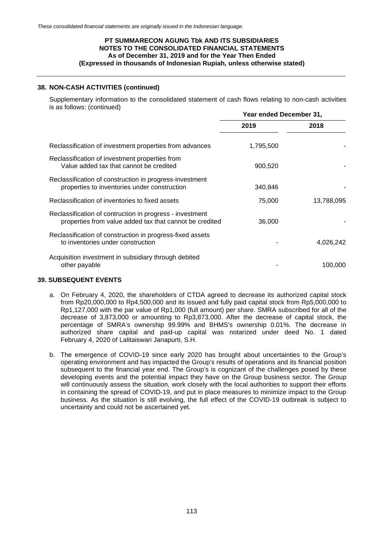### **38. NON-CASH ACTIVITIES (continued)**

Supplementary information to the consolidated statement of cash flows relating to non-cash activities is as follows: (continued)

|                                                                                                                     | Year ended December 31, |            |  |
|---------------------------------------------------------------------------------------------------------------------|-------------------------|------------|--|
|                                                                                                                     | 2019                    | 2018       |  |
| Reclassification of investment properties from advances                                                             | 1,795,500               |            |  |
| Reclassification of investment properties from<br>Value added tax that cannot be credited                           | 900,520                 |            |  |
| Reclassification of construction in progress-investment<br>properties to inventories under construction             | 340,846                 |            |  |
| Reclassification of inventories to fixed assets                                                                     | 75,000                  | 13,788,095 |  |
| Reclassification of contruction in progress - investment<br>properties from value added tax that cannot be credited | 36,000                  |            |  |
| Reclassification of construction in progress-fixed assets<br>to inventories under construction                      |                         | 4,026,242  |  |
| Acquisition investment in subsidiary through debited<br>other payable                                               |                         | 100,000    |  |

#### **39. SUBSEQUENT EVENTS**

- a. On February 4, 2020, the shareholders of CTDA agreed to decrease its authorized capital stock from Rp20,000,000 to Rp4,500,000 and its issued and fully paid capital stock from Rp5,000,000 to Rp1,127,000 with the par value of Rp1,000 (full amount) per share. SMRA subscribed for all of the decrease of 3,873,000 or amounting to Rp3,873,000. After the decrease of capital stock, the percentage of SMRA's ownership 99.99% and BHMS's ownership 0.01%. The decrease in authorized share capital and paid-up capital was notarized under deed No. 1 dated February 4, 2020 of Lalitaiswari Janapurti, S.H.
- b. The emergence of COVID-19 since early 2020 has brought about uncertainties to the Group's operating environment and has impacted the Group's results of operations and its financial position subsequent to the financial year end. The Group's is cognizant of the challenges posed by these developing events and the potential impact they have on the Group business sector. The Group will continuously assess the situation, work closely with the local authorities to support their efforts in containing the spread of COVID-19, and put in place measures to minimize impact to the Group business. As the situation is still evolving, the full effect of the COVID-19 outbreak is subject to uncertainty and could not be ascertained yet.